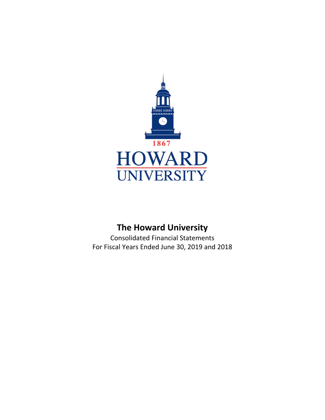

# **The Howard University**

Consolidated Financial Statements For Fiscal Years Ended June 30, 2019 and 2018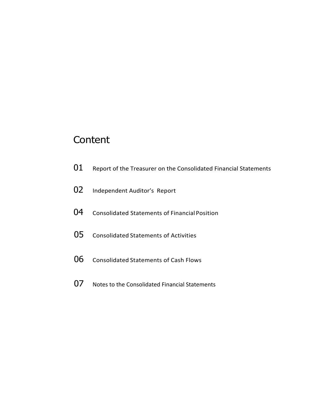# **Content**

| 01 | Report of the Treasurer on the Consolidated Financial Statements |
|----|------------------------------------------------------------------|
| 02 | Independent Auditor's Report                                     |
| 04 | <b>Consolidated Statements of Financial Position</b>             |
| 05 | <b>Consolidated Statements of Activities</b>                     |
| 06 | <b>Consolidated Statements of Cash Flows</b>                     |
|    | Notes to the Consolidated Financial Statements                   |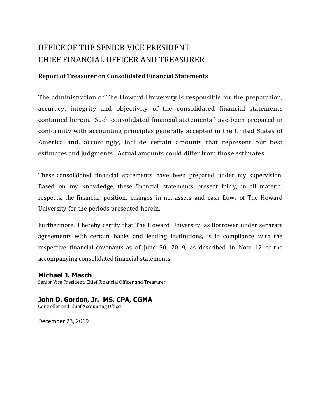# OFFICE OF THE SENIOR VICE PRESIDENT CHIEF FINANCIAL OFFICER AND TREASURER

## **Report of Treasurer on Consolidated Financial Statements**

 The administration of The Howard University is responsible for the preparation, contained herein. Such consolidated financial statements have been prepared in conformity with accounting principles generally accepted in the United States of America and, accordingly, include certain amounts that represent our best estimates and judgments. Actual amounts could differ from those estimates. accuracy, integrity and objectivity of the consolidated financial statements

 These consolidated financial statements have been prepared under my supervision. Based on my knowledge, these financial statements present fairly, in all material respects, the financial position, changes in net assets and cash flows of The Howard University for the periods presented herein.

Furthermore, I hereby certify that The Howard University, as Borrower under separate agreements with certain banks and lending institutions, is in compliance with the respective financial covenants as of June 30, 2019, as described in Note 12 of the accompanying consolidated financial statements.

### **Michael J. Masch**

Senior Vice President, Chief Financial Officer and Treasurer

## **John D. Gordon, Jr. MS, CPA, CGMA**

Controller and Chief Accounting Officer

December 23, 2019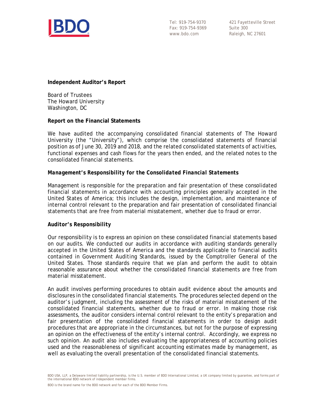

Fax: 919-754-9369 Suite 300

<www.bdo.com>Raleigh, NC 27601 Tel: 919-754-9370 421 Fayetteville Street

#### **Independent Auditor's Report**

Board of Trustees The Howard University Washington, DC

#### **Report on the Financial Statements**

We have audited the accompanying consolidated financial statements of The Howard University (the "University"), which comprise the consolidated statements of financial position as of June 30, 2019 and 2018, and the related consolidated statements of activities, functional expenses and cash flows for the years then ended, and the related notes to the consolidated financial statements.

#### *Management's Responsibility for the Consolidated Financial Statements*

Management is responsible for the preparation and fair presentation of these consolidated financial statements in accordance with accounting principles generally accepted in the United States of America; this includes the design, implementation, and maintenance of internal control relevant to the preparation and fair presentation of consolidated financial statements that are free from material misstatement, whether due to fraud or error.

#### *Auditor's Responsibility*

Our responsibility is to express an opinion on these consolidated financial statements based on our audits. We conducted our audits in accordance with auditing standards generally accepted in the United States of America and the standards applicable to financial audits contained in *Government Auditing Standards*, issued by the Comptroller General of the United States. Those standards require that we plan and perform the audit to obtain reasonable assurance about whether the consolidated financial statements are free from material misstatement.

An audit involves performing procedures to obtain audit evidence about the amounts and disclosures in the consolidated financial statements. The procedures selected depend on the auditor's judgment, including the assessment of the risks of material misstatement of the consolidated financial statements, whether due to fraud or error. In making those risk assessments, the auditor considers internal control relevant to the entity's preparation and fair presentation of the consolidated financial statements in order to design audit procedures that are appropriate in the circumstances, but not for the purpose of expressing an opinion on the effectiveness of the entity's internal control. Accordingly, we express no such opinion. An audit also includes evaluating the appropriateness of accounting policies used and the reasonableness of significant accounting estimates made by management, as well as evaluating the overall presentation of the consolidated financial statements.

BDO USA, LLP, a Delaware limited liability partnership, is the U.S. member of BDO International Limited, a UK company limited by guarantee, and forms part of the international BDO network of independent member firms.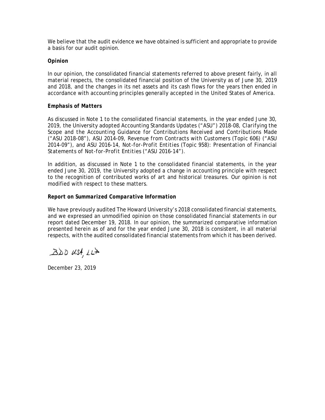We believe that the audit evidence we have obtained is sufficient and appropriate to provide a basis for our audit opinion.

#### *Opinion*

In our opinion, the consolidated financial statements referred to above present fairly, in all material respects, the consolidated financial position of the University as of June 30, 2019 and 2018, and the changes in its net assets and its cash flows for the years then ended in accordance with accounting principles generally accepted in the United States of America.

#### *Emphasis of Matters*

As discussed in Note 1 to the consolidated financial statements, in the year ended June 30, 2019, the University adopted Accounting Standards Updates ("ASU") 2018-08, *Clarifying the Scope and the Accounting Guidance for Contributions Received and Contributions Made*  ("ASU 2018-08"), ASU 2014-09, *Revenue from Contracts with Customers (Topic 606)* ("ASU 2014-09"), and ASU 2016-14, *Not-for-Profit Entities (Topic 958): Presentation of Financial Statements of Not-for-Profit Entities* ("ASU 2016-14").

In addition, as discussed in Note 1 to the consolidated financial statements, in the year ended June 30, 2019, the University adopted a change in accounting principle with respect to the recognition of contributed works of art and historical treasures. Our opinion is not modified with respect to these matters.

#### *Report on Summarized Comparative Information*

We have previously audited The Howard University's 2018 consolidated financial statements, and we expressed an unmodified opinion on those consolidated financial statements in our report dated December 19, 2018. In our opinion, the summarized comparative information presented herein as of and for the year ended June 30, 2018 is consistent, in all material respects, with the audited consolidated financial statements from which it has been derived.

 $B\Delta O$   $USA$ ,  $LLA$ 

December 23, 2019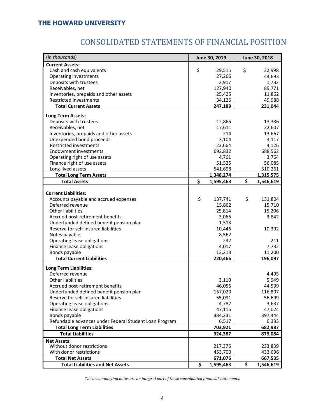## **THE HOWARD UNIVERSITY**

| <b>Current Assets:</b><br>\$<br>\$<br>Cash and cash equivalents<br>29,515<br>32,998<br>44,693<br>27,266<br>Operating investments<br>Deposits with trustees<br>2,917<br>1,732<br>Receivables, net<br>127,940<br>89,771<br>Inventories, prepaids and other assets<br>11,862<br>25,425<br>Restricted investments<br>34,126<br>49,988<br><b>Total Current Assets</b><br>247,189<br>231,044<br><b>Long Term Assets:</b><br>Deposits with trustees<br>12,865<br>13,386<br>Receivables, net<br>17,611<br>22,607<br>Inventories, prepaids and other assets<br>214<br>13,667<br>Unexpended bond proceeds<br>3,104<br>3,117<br><b>Restricted investments</b><br>23,664<br>4,126<br><b>Endowment investments</b><br>692,832<br>688,562<br>Operating right of use assets<br>4,761<br>3,764<br>Finance right of use assets<br>51,525<br>56,085<br>Long-lived assets<br>541,698<br>510,261<br><b>Total Long Term Assets</b><br>1,348,274<br>1,315,575<br>$\overline{\boldsymbol{\zeta}}$<br>$\overline{\boldsymbol{\zeta}}$<br><b>Total Assets</b><br>1,595,463<br>1,546,619<br><b>Current Liabilities:</b><br>\$<br>\$<br>Accounts payable and accrued expenses<br>137,741<br>131,804<br>Deferred revenue<br>15,862<br>15,710<br><b>Other liabilities</b><br>25,814<br>15,206<br>Accrued post-retirement benefits<br>3,066<br>3,842<br>Underfunded defined benefit pension plan<br>1,513<br>Reserve for self-insured liabilities<br>10,446<br>10,392<br>Notes payable<br>8,562<br>Operating lease obligations<br>211<br>232<br>Finance lease obligations<br>4,017<br>7,732<br>Bonds payable<br>13,213<br>11,200<br><b>Total Current Liabilities</b><br>220,466<br>196,097<br><b>Long Term Liabilities:</b><br>Deferred revenue<br>4,495<br><b>Other liabilities</b><br>5,949<br>3,110<br>Accrued post-retirement benefits<br>46,055<br>44,599<br>Underfunded defined benefit pension plan<br>157,020<br>116,807<br>Reserve for self-insured liabilities<br>55,091<br>56,699<br>3,637<br>Operating lease obligations<br>4,782<br>Finance lease obligations<br>47,115<br>47,024<br>Bonds payable<br>384,231<br>397,444<br>Refundable advances under Federal Student Loan Program<br>6,517<br>6,333<br><b>Total Long Term Liabilities</b><br>703,921<br>682,987<br><b>Total Liabilities</b><br>924,387<br>879,084<br><b>Net Assets:</b><br>Without donor restrictions<br>217,376<br>233,839<br>453,700<br>With donor restrictions<br>433,696<br>671,076<br><b>Total Net Assets</b><br>667,535 | (in thousands) | June 30, 2019 | June 30, 2018 |
|-------------------------------------------------------------------------------------------------------------------------------------------------------------------------------------------------------------------------------------------------------------------------------------------------------------------------------------------------------------------------------------------------------------------------------------------------------------------------------------------------------------------------------------------------------------------------------------------------------------------------------------------------------------------------------------------------------------------------------------------------------------------------------------------------------------------------------------------------------------------------------------------------------------------------------------------------------------------------------------------------------------------------------------------------------------------------------------------------------------------------------------------------------------------------------------------------------------------------------------------------------------------------------------------------------------------------------------------------------------------------------------------------------------------------------------------------------------------------------------------------------------------------------------------------------------------------------------------------------------------------------------------------------------------------------------------------------------------------------------------------------------------------------------------------------------------------------------------------------------------------------------------------------------------------------------------------------------------------------------------------------------------------------------------------------------------------------------------------------------------------------------------------------------------------------------------------------------------------------------------------------------------------------------------------------------------------------------------------------------------------------------------------------------------------------------------------------------------------------|----------------|---------------|---------------|
|                                                                                                                                                                                                                                                                                                                                                                                                                                                                                                                                                                                                                                                                                                                                                                                                                                                                                                                                                                                                                                                                                                                                                                                                                                                                                                                                                                                                                                                                                                                                                                                                                                                                                                                                                                                                                                                                                                                                                                                                                                                                                                                                                                                                                                                                                                                                                                                                                                                                               |                |               |               |
|                                                                                                                                                                                                                                                                                                                                                                                                                                                                                                                                                                                                                                                                                                                                                                                                                                                                                                                                                                                                                                                                                                                                                                                                                                                                                                                                                                                                                                                                                                                                                                                                                                                                                                                                                                                                                                                                                                                                                                                                                                                                                                                                                                                                                                                                                                                                                                                                                                                                               |                |               |               |
|                                                                                                                                                                                                                                                                                                                                                                                                                                                                                                                                                                                                                                                                                                                                                                                                                                                                                                                                                                                                                                                                                                                                                                                                                                                                                                                                                                                                                                                                                                                                                                                                                                                                                                                                                                                                                                                                                                                                                                                                                                                                                                                                                                                                                                                                                                                                                                                                                                                                               |                |               |               |
|                                                                                                                                                                                                                                                                                                                                                                                                                                                                                                                                                                                                                                                                                                                                                                                                                                                                                                                                                                                                                                                                                                                                                                                                                                                                                                                                                                                                                                                                                                                                                                                                                                                                                                                                                                                                                                                                                                                                                                                                                                                                                                                                                                                                                                                                                                                                                                                                                                                                               |                |               |               |
|                                                                                                                                                                                                                                                                                                                                                                                                                                                                                                                                                                                                                                                                                                                                                                                                                                                                                                                                                                                                                                                                                                                                                                                                                                                                                                                                                                                                                                                                                                                                                                                                                                                                                                                                                                                                                                                                                                                                                                                                                                                                                                                                                                                                                                                                                                                                                                                                                                                                               |                |               |               |
|                                                                                                                                                                                                                                                                                                                                                                                                                                                                                                                                                                                                                                                                                                                                                                                                                                                                                                                                                                                                                                                                                                                                                                                                                                                                                                                                                                                                                                                                                                                                                                                                                                                                                                                                                                                                                                                                                                                                                                                                                                                                                                                                                                                                                                                                                                                                                                                                                                                                               |                |               |               |
|                                                                                                                                                                                                                                                                                                                                                                                                                                                                                                                                                                                                                                                                                                                                                                                                                                                                                                                                                                                                                                                                                                                                                                                                                                                                                                                                                                                                                                                                                                                                                                                                                                                                                                                                                                                                                                                                                                                                                                                                                                                                                                                                                                                                                                                                                                                                                                                                                                                                               |                |               |               |
|                                                                                                                                                                                                                                                                                                                                                                                                                                                                                                                                                                                                                                                                                                                                                                                                                                                                                                                                                                                                                                                                                                                                                                                                                                                                                                                                                                                                                                                                                                                                                                                                                                                                                                                                                                                                                                                                                                                                                                                                                                                                                                                                                                                                                                                                                                                                                                                                                                                                               |                |               |               |
|                                                                                                                                                                                                                                                                                                                                                                                                                                                                                                                                                                                                                                                                                                                                                                                                                                                                                                                                                                                                                                                                                                                                                                                                                                                                                                                                                                                                                                                                                                                                                                                                                                                                                                                                                                                                                                                                                                                                                                                                                                                                                                                                                                                                                                                                                                                                                                                                                                                                               |                |               |               |
|                                                                                                                                                                                                                                                                                                                                                                                                                                                                                                                                                                                                                                                                                                                                                                                                                                                                                                                                                                                                                                                                                                                                                                                                                                                                                                                                                                                                                                                                                                                                                                                                                                                                                                                                                                                                                                                                                                                                                                                                                                                                                                                                                                                                                                                                                                                                                                                                                                                                               |                |               |               |
|                                                                                                                                                                                                                                                                                                                                                                                                                                                                                                                                                                                                                                                                                                                                                                                                                                                                                                                                                                                                                                                                                                                                                                                                                                                                                                                                                                                                                                                                                                                                                                                                                                                                                                                                                                                                                                                                                                                                                                                                                                                                                                                                                                                                                                                                                                                                                                                                                                                                               |                |               |               |
|                                                                                                                                                                                                                                                                                                                                                                                                                                                                                                                                                                                                                                                                                                                                                                                                                                                                                                                                                                                                                                                                                                                                                                                                                                                                                                                                                                                                                                                                                                                                                                                                                                                                                                                                                                                                                                                                                                                                                                                                                                                                                                                                                                                                                                                                                                                                                                                                                                                                               |                |               |               |
|                                                                                                                                                                                                                                                                                                                                                                                                                                                                                                                                                                                                                                                                                                                                                                                                                                                                                                                                                                                                                                                                                                                                                                                                                                                                                                                                                                                                                                                                                                                                                                                                                                                                                                                                                                                                                                                                                                                                                                                                                                                                                                                                                                                                                                                                                                                                                                                                                                                                               |                |               |               |
|                                                                                                                                                                                                                                                                                                                                                                                                                                                                                                                                                                                                                                                                                                                                                                                                                                                                                                                                                                                                                                                                                                                                                                                                                                                                                                                                                                                                                                                                                                                                                                                                                                                                                                                                                                                                                                                                                                                                                                                                                                                                                                                                                                                                                                                                                                                                                                                                                                                                               |                |               |               |
|                                                                                                                                                                                                                                                                                                                                                                                                                                                                                                                                                                                                                                                                                                                                                                                                                                                                                                                                                                                                                                                                                                                                                                                                                                                                                                                                                                                                                                                                                                                                                                                                                                                                                                                                                                                                                                                                                                                                                                                                                                                                                                                                                                                                                                                                                                                                                                                                                                                                               |                |               |               |
|                                                                                                                                                                                                                                                                                                                                                                                                                                                                                                                                                                                                                                                                                                                                                                                                                                                                                                                                                                                                                                                                                                                                                                                                                                                                                                                                                                                                                                                                                                                                                                                                                                                                                                                                                                                                                                                                                                                                                                                                                                                                                                                                                                                                                                                                                                                                                                                                                                                                               |                |               |               |
|                                                                                                                                                                                                                                                                                                                                                                                                                                                                                                                                                                                                                                                                                                                                                                                                                                                                                                                                                                                                                                                                                                                                                                                                                                                                                                                                                                                                                                                                                                                                                                                                                                                                                                                                                                                                                                                                                                                                                                                                                                                                                                                                                                                                                                                                                                                                                                                                                                                                               |                |               |               |
|                                                                                                                                                                                                                                                                                                                                                                                                                                                                                                                                                                                                                                                                                                                                                                                                                                                                                                                                                                                                                                                                                                                                                                                                                                                                                                                                                                                                                                                                                                                                                                                                                                                                                                                                                                                                                                                                                                                                                                                                                                                                                                                                                                                                                                                                                                                                                                                                                                                                               |                |               |               |
|                                                                                                                                                                                                                                                                                                                                                                                                                                                                                                                                                                                                                                                                                                                                                                                                                                                                                                                                                                                                                                                                                                                                                                                                                                                                                                                                                                                                                                                                                                                                                                                                                                                                                                                                                                                                                                                                                                                                                                                                                                                                                                                                                                                                                                                                                                                                                                                                                                                                               |                |               |               |
|                                                                                                                                                                                                                                                                                                                                                                                                                                                                                                                                                                                                                                                                                                                                                                                                                                                                                                                                                                                                                                                                                                                                                                                                                                                                                                                                                                                                                                                                                                                                                                                                                                                                                                                                                                                                                                                                                                                                                                                                                                                                                                                                                                                                                                                                                                                                                                                                                                                                               |                |               |               |
|                                                                                                                                                                                                                                                                                                                                                                                                                                                                                                                                                                                                                                                                                                                                                                                                                                                                                                                                                                                                                                                                                                                                                                                                                                                                                                                                                                                                                                                                                                                                                                                                                                                                                                                                                                                                                                                                                                                                                                                                                                                                                                                                                                                                                                                                                                                                                                                                                                                                               |                |               |               |
|                                                                                                                                                                                                                                                                                                                                                                                                                                                                                                                                                                                                                                                                                                                                                                                                                                                                                                                                                                                                                                                                                                                                                                                                                                                                                                                                                                                                                                                                                                                                                                                                                                                                                                                                                                                                                                                                                                                                                                                                                                                                                                                                                                                                                                                                                                                                                                                                                                                                               |                |               |               |
|                                                                                                                                                                                                                                                                                                                                                                                                                                                                                                                                                                                                                                                                                                                                                                                                                                                                                                                                                                                                                                                                                                                                                                                                                                                                                                                                                                                                                                                                                                                                                                                                                                                                                                                                                                                                                                                                                                                                                                                                                                                                                                                                                                                                                                                                                                                                                                                                                                                                               |                |               |               |
|                                                                                                                                                                                                                                                                                                                                                                                                                                                                                                                                                                                                                                                                                                                                                                                                                                                                                                                                                                                                                                                                                                                                                                                                                                                                                                                                                                                                                                                                                                                                                                                                                                                                                                                                                                                                                                                                                                                                                                                                                                                                                                                                                                                                                                                                                                                                                                                                                                                                               |                |               |               |
|                                                                                                                                                                                                                                                                                                                                                                                                                                                                                                                                                                                                                                                                                                                                                                                                                                                                                                                                                                                                                                                                                                                                                                                                                                                                                                                                                                                                                                                                                                                                                                                                                                                                                                                                                                                                                                                                                                                                                                                                                                                                                                                                                                                                                                                                                                                                                                                                                                                                               |                |               |               |
|                                                                                                                                                                                                                                                                                                                                                                                                                                                                                                                                                                                                                                                                                                                                                                                                                                                                                                                                                                                                                                                                                                                                                                                                                                                                                                                                                                                                                                                                                                                                                                                                                                                                                                                                                                                                                                                                                                                                                                                                                                                                                                                                                                                                                                                                                                                                                                                                                                                                               |                |               |               |
|                                                                                                                                                                                                                                                                                                                                                                                                                                                                                                                                                                                                                                                                                                                                                                                                                                                                                                                                                                                                                                                                                                                                                                                                                                                                                                                                                                                                                                                                                                                                                                                                                                                                                                                                                                                                                                                                                                                                                                                                                                                                                                                                                                                                                                                                                                                                                                                                                                                                               |                |               |               |
|                                                                                                                                                                                                                                                                                                                                                                                                                                                                                                                                                                                                                                                                                                                                                                                                                                                                                                                                                                                                                                                                                                                                                                                                                                                                                                                                                                                                                                                                                                                                                                                                                                                                                                                                                                                                                                                                                                                                                                                                                                                                                                                                                                                                                                                                                                                                                                                                                                                                               |                |               |               |
|                                                                                                                                                                                                                                                                                                                                                                                                                                                                                                                                                                                                                                                                                                                                                                                                                                                                                                                                                                                                                                                                                                                                                                                                                                                                                                                                                                                                                                                                                                                                                                                                                                                                                                                                                                                                                                                                                                                                                                                                                                                                                                                                                                                                                                                                                                                                                                                                                                                                               |                |               |               |
|                                                                                                                                                                                                                                                                                                                                                                                                                                                                                                                                                                                                                                                                                                                                                                                                                                                                                                                                                                                                                                                                                                                                                                                                                                                                                                                                                                                                                                                                                                                                                                                                                                                                                                                                                                                                                                                                                                                                                                                                                                                                                                                                                                                                                                                                                                                                                                                                                                                                               |                |               |               |
|                                                                                                                                                                                                                                                                                                                                                                                                                                                                                                                                                                                                                                                                                                                                                                                                                                                                                                                                                                                                                                                                                                                                                                                                                                                                                                                                                                                                                                                                                                                                                                                                                                                                                                                                                                                                                                                                                                                                                                                                                                                                                                                                                                                                                                                                                                                                                                                                                                                                               |                |               |               |
|                                                                                                                                                                                                                                                                                                                                                                                                                                                                                                                                                                                                                                                                                                                                                                                                                                                                                                                                                                                                                                                                                                                                                                                                                                                                                                                                                                                                                                                                                                                                                                                                                                                                                                                                                                                                                                                                                                                                                                                                                                                                                                                                                                                                                                                                                                                                                                                                                                                                               |                |               |               |
|                                                                                                                                                                                                                                                                                                                                                                                                                                                                                                                                                                                                                                                                                                                                                                                                                                                                                                                                                                                                                                                                                                                                                                                                                                                                                                                                                                                                                                                                                                                                                                                                                                                                                                                                                                                                                                                                                                                                                                                                                                                                                                                                                                                                                                                                                                                                                                                                                                                                               |                |               |               |
|                                                                                                                                                                                                                                                                                                                                                                                                                                                                                                                                                                                                                                                                                                                                                                                                                                                                                                                                                                                                                                                                                                                                                                                                                                                                                                                                                                                                                                                                                                                                                                                                                                                                                                                                                                                                                                                                                                                                                                                                                                                                                                                                                                                                                                                                                                                                                                                                                                                                               |                |               |               |
|                                                                                                                                                                                                                                                                                                                                                                                                                                                                                                                                                                                                                                                                                                                                                                                                                                                                                                                                                                                                                                                                                                                                                                                                                                                                                                                                                                                                                                                                                                                                                                                                                                                                                                                                                                                                                                                                                                                                                                                                                                                                                                                                                                                                                                                                                                                                                                                                                                                                               |                |               |               |
|                                                                                                                                                                                                                                                                                                                                                                                                                                                                                                                                                                                                                                                                                                                                                                                                                                                                                                                                                                                                                                                                                                                                                                                                                                                                                                                                                                                                                                                                                                                                                                                                                                                                                                                                                                                                                                                                                                                                                                                                                                                                                                                                                                                                                                                                                                                                                                                                                                                                               |                |               |               |
|                                                                                                                                                                                                                                                                                                                                                                                                                                                                                                                                                                                                                                                                                                                                                                                                                                                                                                                                                                                                                                                                                                                                                                                                                                                                                                                                                                                                                                                                                                                                                                                                                                                                                                                                                                                                                                                                                                                                                                                                                                                                                                                                                                                                                                                                                                                                                                                                                                                                               |                |               |               |
|                                                                                                                                                                                                                                                                                                                                                                                                                                                                                                                                                                                                                                                                                                                                                                                                                                                                                                                                                                                                                                                                                                                                                                                                                                                                                                                                                                                                                                                                                                                                                                                                                                                                                                                                                                                                                                                                                                                                                                                                                                                                                                                                                                                                                                                                                                                                                                                                                                                                               |                |               |               |
|                                                                                                                                                                                                                                                                                                                                                                                                                                                                                                                                                                                                                                                                                                                                                                                                                                                                                                                                                                                                                                                                                                                                                                                                                                                                                                                                                                                                                                                                                                                                                                                                                                                                                                                                                                                                                                                                                                                                                                                                                                                                                                                                                                                                                                                                                                                                                                                                                                                                               |                |               |               |
|                                                                                                                                                                                                                                                                                                                                                                                                                                                                                                                                                                                                                                                                                                                                                                                                                                                                                                                                                                                                                                                                                                                                                                                                                                                                                                                                                                                                                                                                                                                                                                                                                                                                                                                                                                                                                                                                                                                                                                                                                                                                                                                                                                                                                                                                                                                                                                                                                                                                               |                |               |               |
|                                                                                                                                                                                                                                                                                                                                                                                                                                                                                                                                                                                                                                                                                                                                                                                                                                                                                                                                                                                                                                                                                                                                                                                                                                                                                                                                                                                                                                                                                                                                                                                                                                                                                                                                                                                                                                                                                                                                                                                                                                                                                                                                                                                                                                                                                                                                                                                                                                                                               |                |               |               |
|                                                                                                                                                                                                                                                                                                                                                                                                                                                                                                                                                                                                                                                                                                                                                                                                                                                                                                                                                                                                                                                                                                                                                                                                                                                                                                                                                                                                                                                                                                                                                                                                                                                                                                                                                                                                                                                                                                                                                                                                                                                                                                                                                                                                                                                                                                                                                                                                                                                                               |                |               |               |
|                                                                                                                                                                                                                                                                                                                                                                                                                                                                                                                                                                                                                                                                                                                                                                                                                                                                                                                                                                                                                                                                                                                                                                                                                                                                                                                                                                                                                                                                                                                                                                                                                                                                                                                                                                                                                                                                                                                                                                                                                                                                                                                                                                                                                                                                                                                                                                                                                                                                               |                |               |               |
|                                                                                                                                                                                                                                                                                                                                                                                                                                                                                                                                                                                                                                                                                                                                                                                                                                                                                                                                                                                                                                                                                                                                                                                                                                                                                                                                                                                                                                                                                                                                                                                                                                                                                                                                                                                                                                                                                                                                                                                                                                                                                                                                                                                                                                                                                                                                                                                                                                                                               |                |               |               |
|                                                                                                                                                                                                                                                                                                                                                                                                                                                                                                                                                                                                                                                                                                                                                                                                                                                                                                                                                                                                                                                                                                                                                                                                                                                                                                                                                                                                                                                                                                                                                                                                                                                                                                                                                                                                                                                                                                                                                                                                                                                                                                                                                                                                                                                                                                                                                                                                                                                                               |                |               |               |
|                                                                                                                                                                                                                                                                                                                                                                                                                                                                                                                                                                                                                                                                                                                                                                                                                                                                                                                                                                                                                                                                                                                                                                                                                                                                                                                                                                                                                                                                                                                                                                                                                                                                                                                                                                                                                                                                                                                                                                                                                                                                                                                                                                                                                                                                                                                                                                                                                                                                               |                |               |               |
|                                                                                                                                                                                                                                                                                                                                                                                                                                                                                                                                                                                                                                                                                                                                                                                                                                                                                                                                                                                                                                                                                                                                                                                                                                                                                                                                                                                                                                                                                                                                                                                                                                                                                                                                                                                                                                                                                                                                                                                                                                                                                                                                                                                                                                                                                                                                                                                                                                                                               |                |               |               |
|                                                                                                                                                                                                                                                                                                                                                                                                                                                                                                                                                                                                                                                                                                                                                                                                                                                                                                                                                                                                                                                                                                                                                                                                                                                                                                                                                                                                                                                                                                                                                                                                                                                                                                                                                                                                                                                                                                                                                                                                                                                                                                                                                                                                                                                                                                                                                                                                                                                                               |                |               |               |
| \$<br><b>Total Liabilities and Net Assets</b><br>\$<br>1,595,463<br>1,546,619                                                                                                                                                                                                                                                                                                                                                                                                                                                                                                                                                                                                                                                                                                                                                                                                                                                                                                                                                                                                                                                                                                                                                                                                                                                                                                                                                                                                                                                                                                                                                                                                                                                                                                                                                                                                                                                                                                                                                                                                                                                                                                                                                                                                                                                                                                                                                                                                 |                |               |               |

# CONSOLIDATED STATEMENTS OF FINANCIAL POSITION

 *The accompanying notes are an integral part of these consolidated financial statements.*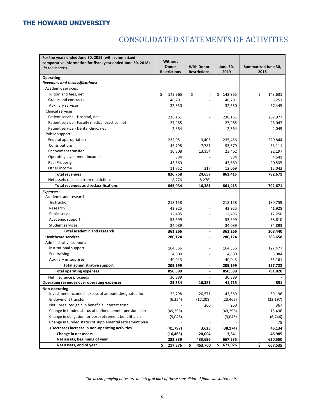## **THE HOWARD UNIVERSITY**

# CONSOLIDATED STATEMENTS OF ACTIVITIES

| For the years ended June 30, 2019 (with summarized<br>comparative information for fiscal year ended June 30, 2018) | <b>Without</b>      |                          |                 |                     |
|--------------------------------------------------------------------------------------------------------------------|---------------------|--------------------------|-----------------|---------------------|
| (in thousands)                                                                                                     | Donor               | <b>With Donor</b>        | <b>June 30,</b> | Summarized June 30, |
|                                                                                                                    | <b>Restrictions</b> | <b>Restrictions</b>      | 2019            | 2018                |
| Operating                                                                                                          |                     |                          |                 |                     |
| Revenues and reclassifications:                                                                                    |                     |                          |                 |                     |
| Academic services:                                                                                                 |                     |                          |                 |                     |
| Tuition and fees, net                                                                                              | \$<br>142,365       | \$                       | \$142,365       | \$<br>143,631       |
| Grants and contracts                                                                                               | 48,791              |                          | 48,791          | 53,251              |
| <b>Auxiliary services</b>                                                                                          | 32,550              |                          | 32,550          | 37,445              |
| Clinical services:                                                                                                 |                     |                          |                 |                     |
| Patient service - Hospital, net                                                                                    | 238,161             |                          | 238,161         | 207,977             |
| Patient service - Faculty medical practice, net                                                                    | 27,965              |                          | 27,965          | 23,047              |
| Patient service - Dental clinic, net                                                                               | 2,364               |                          | 2,364           | 2,049               |
| Public support:                                                                                                    |                     |                          |                 |                     |
| Federal appropriation                                                                                              | 232,051             | 3,405                    | 235,456         | 229,844             |
| Contributions                                                                                                      | 45,798              | 7,781                    | 53,579          | 33,111              |
| Endowment transfer                                                                                                 | 10,308              | 13,154                   | 23,462          | 22,197              |
| Operating investment income                                                                                        | 984                 |                          | 984             | 4,541               |
| <b>Real Property</b>                                                                                               | 43,669              |                          | 43,669          | 20,535              |
| Other income                                                                                                       | 11,752              | 317                      | 12,069          | 15,043              |
| <b>Total revenues</b>                                                                                              | 836,758             | 24,657                   | 861,415         | 792,671             |
| Net assets released from restrictions                                                                              | 8,276               | (8, 276)                 |                 |                     |
| <b>Total revenues and reclassifications</b>                                                                        | 845,034             | 16,381                   | 861,415         | 792,671             |
| <b>Expenses:</b>                                                                                                   |                     |                          |                 |                     |
| Academic and research:                                                                                             |                     |                          |                 |                     |
| Instruction                                                                                                        | 218,158             |                          | 218,158         | 180,759             |
| Research                                                                                                           | 42,925              |                          | 42,925          | 41,928              |
| Public service                                                                                                     | 12,495              |                          | 12,495          | 12,250              |
| Academic support                                                                                                   | 53,599              |                          | 53,599          | 38,610              |
| Student services                                                                                                   | 34,089              |                          | 34,089          | 34,893              |
| <b>Total academic and research</b>                                                                                 | 361,266             |                          | 361,266         | 308,440             |
| <b>Healthcare services</b>                                                                                         | 280,124             | $\blacksquare$           | 280,124         | 285,658             |
| Administrative support:                                                                                            |                     |                          |                 |                     |
| Institutional support                                                                                              | 164,356             |                          | 164,356         | 127,477             |
| Fundraising                                                                                                        | 4,800               |                          | 4,800           | 5,084               |
| Auxiliary enterprises                                                                                              | 40,043              |                          | 40,043          | 65,161              |
| Total administrative support                                                                                       | 209,199             | $\blacksquare$           | 209,199         | 197,722             |
| <b>Total operating expenses</b>                                                                                    | 850,589             | $\blacksquare$           | 850,589         | 791,820             |
| Net insurance proceeds                                                                                             | 30,889              | $\overline{\phantom{a}}$ | 30,889          |                     |
| Operating revenues over operating expenses                                                                         | 25,334              | 16,381                   | 41,715          | 851                 |
| Non-operating                                                                                                      |                     |                          |                 |                     |
| Investment income in excess of amount designated for                                                               | 22,798              | 20,571                   | 43,369          | 59,196              |
| Endowment transfer                                                                                                 | (6, 254)            | (17, 208)                | (23, 462)       | (22, 197)           |
| Net unrealized gain in beneficial interest trust                                                                   |                     | 260                      | 260             | 367                 |
| Change in funded status of defined benefit pension plan                                                            | (49, 296)           |                          | (49, 296)       | 15,436              |
| Change in obligation for post-retirement benefit plan                                                              | (9,045)             |                          | (9,045)         | (6, 746)            |
| Change in funded status of supplemental retirement plan                                                            |                     |                          |                 | 78                  |
| (Decrease) increase in non-operating activities                                                                    | (41, 797)           | 3,623                    | (38, 174)       | 46,134              |
| Change in net assets                                                                                               | (16, 463)           | 20,004                   | 3,541           | 46,985              |
| Net assets, beginning of year                                                                                      | 233,839             | 433,696                  | 667,535         | 620,550             |
| Net assets, end of year                                                                                            | \$<br>217,376       | \$<br>453,700            | \$<br>671,076   | \$<br>667,535       |

 *The accompanying notes are an integral part of these consolidated financial statements.*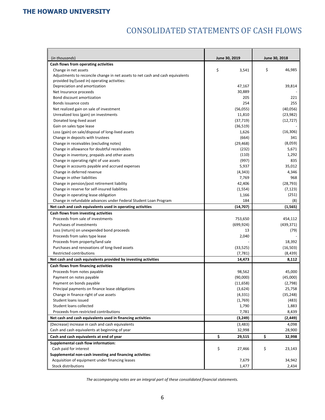# CONSOLIDATED STATEMENTS OF CASH FLOWS

| (in thousands)                                                                 | June 30, 2019 | June 30, 2018 |
|--------------------------------------------------------------------------------|---------------|---------------|
| Cash flows from operating activities                                           |               |               |
| Change in net assets                                                           | \$<br>3,541   | \$<br>46,985  |
| Adjustments to reconcile change in net assets to net cash and cash equivalents |               |               |
| provided by/(used in) operating activities:                                    |               |               |
| Depreciation and amortization                                                  | 47,167        | 39,814        |
| Net Insurance proceeds                                                         | 30,889        |               |
| Bond discount amortization                                                     | 205           | 221           |
| Bonds issuance costs                                                           | 254           | 255           |
| Net realized gain on sale of investment                                        | (56, 055)     | (40, 056)     |
| Unrealized loss (gain) on investments                                          | 11,810        | (23, 982)     |
| Donated long-lived asset                                                       | (37, 719)     | (12, 727)     |
| Gain on sales type lease                                                       | (36, 519)     |               |
| Loss (gain) on sale/disposal of long-lived assets                              | 1,626         | (16, 306)     |
| Change in deposits with trustees                                               | (664)         | 341           |
| Change in receivables (excluding notes)                                        | (29, 468)     | (8,059)       |
| Change in allowance for doubtful receivables                                   | (232)         | 5,671         |
| Change in inventory, prepaids and other assets                                 | (110)         | 1,292         |
| Change in operating right of use assets                                        | (997)         | 835           |
| Change in accounts payable and accrued expenses                                | 5,937         | 35,012        |
| Change in deferred revenue                                                     | (4, 343)      | 4,346         |
| Change in other liabilities                                                    | 7,769         | 968           |
| Change in pension/post retirement liability                                    | 42,406        | (28, 793)     |
| Change in reserve for self-insured liabilities                                 | (1, 554)      | (7, 123)      |
| Change in operating lease obligation                                           | 1,166         | (251)         |
| Change in refundable advances under Federal Student Loan Program               | 184           | (8)           |
| Net cash and cash equivalents used in operating activities                     | (14, 707)     | (1, 565)      |
| Cash flows from investing activities                                           |               |               |
| Proceeds from sale of investments                                              | 753,650       | 454,112       |
| Purchases of investments                                                       | (699, 924)    | (439, 371)    |
| Loss (return) on unexpended bond proceeds                                      | 13            | (79)          |
| Proceeds from sales type lease                                                 | 2,040         |               |
| Proceeds from property/land sale                                               |               | 18,392        |
| Purchases and renovations of long-lived assets                                 | (33, 525)     | (16, 503)     |
| Restricted contributions                                                       | (7, 781)      | (8, 439)      |
| Net cash and cash equivalents provided by investing activities                 | 14,473        | 8,112         |
| Cash flows from financing activities                                           |               |               |
| Proceeds from notes payable                                                    | 98,562        | 45,000        |
| Payment on notes payable                                                       | (90,000)      | (45,000)      |
| Payment on bonds payable                                                       | (11, 658)     | (2,798)       |
| Principal payments on finance lease obligations                                | (3,624)       | 25,758        |
| Change in finance right of use assets                                          | (4, 331)      | (35, 248)     |
| Student loans issued                                                           | (1,769)       | (483)         |
| Student loans collected                                                        | 1,790         | 1,883         |
| Proceeds from restricted contributions                                         | 7,781         | 8,439         |
| Net cash and cash equivalents used in financing activities                     | (3, 249)      | (2, 449)      |
| (Decrease) increase in cash and cash equivalents                               | (3,483)       | 4,098         |
| Cash and cash equivalents at beginning of year                                 | 32,998        | 28,900        |
| Cash and cash equivalents at end of year                                       | \$<br>29,515  | \$<br>32,998  |
| Supplemental cash flow information:                                            |               |               |
| Cash paid for interest                                                         | \$<br>27,466  | \$<br>23,143  |
| Supplemental non-cash investing and financing activities:                      |               |               |
| Acquisition of equipment under financing leases                                | 7,679         | 34,942        |
| <b>Stock distributions</b>                                                     | 1,477         | 2,434         |

 *The accompanying notes are an integral part of these consolidated financial statements.*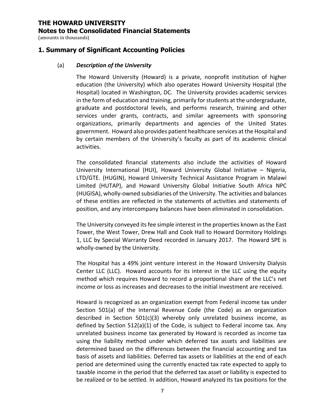## **THE HOWARD UNIVERSITY**

**Notes to the Consolidated Financial Statements** 

(amounts in thousands)

## **1. Summary of Significant Accounting Policies**

#### (a) *Description of the University*

 services under grants, contracts, and similar agreements with sponsoring by certain members of the University's faculty as part of its academic clinical The Howard University (Howard) is a private, nonprofit institution of higher education (the University) which also operates Howard University Hospital (the Hospital) located in Washington, DC. The University provides academic services in the form of education and training, primarily for students at the undergraduate, graduate and postdoctoral levels, and performs research, training and other organizations, primarily departments and agencies of the United States government. Howard also provides patient healthcare services at the Hospital and activities.

 Limited (HUTAP), and Howard University Global Initiative South Africa NPC The consolidated financial statements also include the activities of Howard University International (HUI), Howard University Global Initiative – Nigeria, LTD/GTE. (HUGIN), Howard University Technical Assistance Program in Malawi (HUGISA), wholly‐owned subsidiaries of the University. The activities and balances of these entities are reflected in the statements of activities and statements of position, and any intercompany balances have been eliminated in consolidation.

 The University conveyed its fee simple interest in the properties known asthe East Tower, the West Tower, Drew Hall and Cook Hall to Howard Dormitory Holdings 1, LLC by Special Warranty Deed recorded in January 2017. The Howard SPE is wholly-owned by the University.

 method which requires Howard to record a proportional share of the LLC's net The Hospital has a 49% joint venture interest in the Howard University Dialysis Center LLC (LLC). Howard accounts for its interest in the LLC using the equity income or loss as increases and decreases to the initial investment are received.

 defined by Section 512(a)(1) of the Code, is subject to Federal income tax. Any unrelated business income tax generated by Howard is recorded as income tax determined based on the differences between the financial accounting and tax Howard is recognized as an organization exempt from Federal income tax under Section 501(a) of the Internal Revenue Code (the Code) as an organization described in Section  $501(c)(3)$  whereby only unrelated business income, as using the liability method under which deferred tax assets and liabilities are basis of assets and liabilities. Deferred tax assets or liabilities at the end of each period are determined using the currently enacted tax rate expected to apply to taxable income in the period that the deferred tax asset or liability is expected to be realized or to be settled. In addition, Howard analyzed its tax positions for the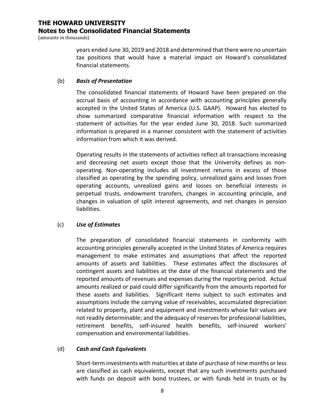(amounts in thousands)

years ended June 30, 2019 and 2018 and determined that there were no uncertain tax positions that would have a material impact on Howard's consolidated financial statements.

### (b) *Basis of Presentation*

 The consolidated financial statements of Howard have been prepared on the accepted in the United States of America (U.S. GAAP). Howard has elected to accrual basis of accounting in accordance with accounting principles generally show summarized comparative financial information with respect to the statement of activities for the year ended June 30, 2018. Such summarized information is prepared in a manner consistent with the statement of activities information from which it was derived.

Operating results in the statements of activities reflect all transactions increasing and decreasing net assets except those that the University defines as non‐ operating. Non‐operating includes all investment returns in excess of those classified as operating by the spending policy, unrealized gains and losses from operating accounts, unrealized gains and losses on beneficial interests in perpetual trusts, endowment transfers, changes in accounting principle, and changes in valuation of split interest agreements, and net changes in pension liabilities.

### (c) *Use of Estimates*

 amounts of assets and liabilities. These estimates affect the disclosures of assumptions include the carrying value of receivables, accumulated depreciation The preparation of consolidated financial statements in conformity with accounting principles generally accepted in the United States of America requires management to make estimates and assumptions that affect the reported contingent assets and liabilities at the date of the financial statements and the reported amounts of revenues and expenses during the reporting period. Actual amounts realized or paid could differ significantly from the amounts reported for these assets and liabilities. Significant items subject to such estimates and related to property, plant and equipment and investments whose fair values are not readily determinable; and the adequacy of reserves for professional liabilities, retirement benefits, self‐insured health benefits, self‐insured workers' compensation and environmental liabilities.

### (d) *Cash and Cash Equivalents*

Short-term investments with maturities at date of purchase of nine months or less are classified as cash equivalents, except that any such investments purchased with funds on deposit with bond trustees, or with funds held in trusts or by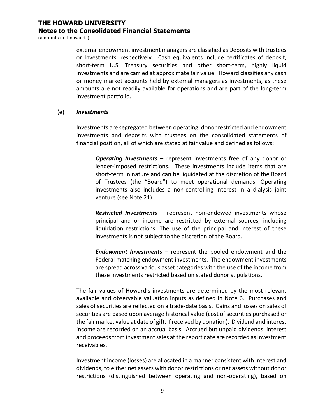(amounts in thousands)

external endowment investment managers are classified as Deposits with trustees or Investments, respectively. Cash equivalents include certificates of deposit, short-term U.S. Treasury securities and other short-term, highly liquid investments and are carried at approximate fair value. Howard classifies any cash or money market accounts held by external managers as investments, as these amounts are not readily available for operations and are part of the long-term investment portfolio.

#### (e) *Investments*

Investments are segregated between operating, donor restricted and endowment investments and deposits with trustees on the consolidated statements of financial position, all of which are stated at fair value and defined as follows:

*Operating Investments* – represent investments free of any donor or lender-imposed restrictions. These investments include items that are short-term in nature and can be liquidated at the discretion of the Board of Trustees (the "Board") to meet operational demands. Operating investments also includes a non-controlling interest in a dialysis joint venture (see Note 21).

*Restricted Investments* – represent non‐endowed investments whose principal and or income are restricted by external sources, including liquidation restrictions. The use of the principal and interest of these investments is not subject to the discretion of the Board.

 *Endowment Investments* – represent the pooled endowment and the Federal matching endowment investments. The endowment investments are spread across various asset categories with the use of the income from these investments restricted based on stated donor stipulations.

 sales of securities are reflected on a trade‐date basis. Gains and losses on sales of securities are based upon average historical value (cost of securities purchased or The fair values of Howard's investments are determined by the most relevant available and observable valuation inputs as defined in Note 6. Purchases and the fair market value at date of gift, if received by donation). Dividend and interest income are recorded on an accrual basis. Accrued but unpaid dividends, interest and proceeds from investment sales at the report date are recorded as investment receivables.

Investment income (losses) are allocated in a manner consistent with interest and dividends, to either net assets with donor restrictions or net assets without donor restrictions (distinguished between operating and non‐operating), based on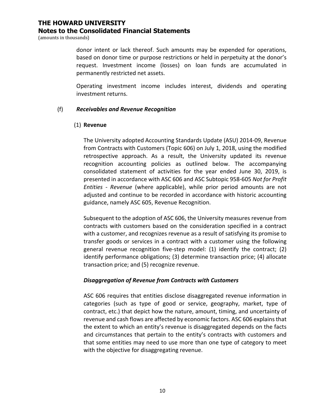(amounts in thousands)

donor intent or lack thereof. Such amounts may be expended for operations, based on donor time or purpose restrictions or held in perpetuity at the donor's request. Investment income (losses) on loan funds are accumulated in permanently restricted net assets.

Operating investment income includes interest, dividends and operating investment returns.

### (f) *Receivables and Revenue Recognition*

#### (1) **Revenue**

 retrospective approach. As a result, the University updated its revenue consolidated statement of activities for the year ended June 30, 2019, is The University adopted Accounting Standards Update (ASU) 2014‐09, Revenue from Contracts with Customers (Topic 606) on July 1, 2018, using the modified recognition accounting policies as outlined below. The accompanying presented in accordance with ASC 606 and ASC Subtopic 958‐605 *Not for Profit Entities ‐ Revenue* (where applicable), while prior period amounts are not adjusted and continue to be recorded in accordance with historic accounting guidance, namely ASC 605, Revenue Recognition.

 with a customer, and recognizes revenue as a result of satisfying its promise to transfer goods or services in a contract with a customer using the following Subsequent to the adoption of ASC 606, the University measures revenue from contracts with customers based on the consideration specified in a contract general revenue recognition five-step model:  $(1)$  identify the contract;  $(2)$ identify performance obligations; (3) determine transaction price; (4) allocate transaction price; and (5) recognize revenue.

### *Disaggregation of Revenue from Contracts with Customers*

 the extent to which an entity's revenue is disaggregated depends on the facts ASC 606 requires that entities disclose disaggregated revenue information in categories (such as type of good or service, geography, market, type of contract, etc.) that depict how the nature, amount, timing, and uncertainty of revenue and cash flows are affected by economic factors. ASC 606 explains that and circumstances that pertain to the entity's contracts with customers and that some entities may need to use more than one type of category to meet with the objective for disaggregating revenue.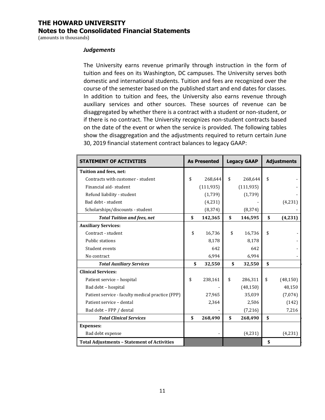(amounts in thousands)

#### *Judgements*

 disaggregated by whether there is a contract with a student or non‐student, or on the date of the event or when the service is provided. The following tables The University earns revenue primarily through instruction in the form of tuition and fees on its Washington, DC campuses. The University serves both domestic and international students. Tuition and fees are recognized over the course of the semester based on the published start and end dates for classes. In addition to tuition and fees, the University also earns revenue through auxiliary services and other sources. These sources of revenue can be if there is no contract. The University recognizes non‐student contracts based show the disaggregation and the adjustments required to return certain June 30, 2019 financial statement contract balances to legacy GAAP:

| <b>STATEMENT OF ACTIVITIES</b>                     | <b>As Presented</b> |            | <b>Legacy GAAP</b> |            | <b>Adjustments</b> |           |
|----------------------------------------------------|---------------------|------------|--------------------|------------|--------------------|-----------|
| Tuition and fees, net:                             |                     |            |                    |            |                    |           |
| Contracts with customer - student                  | \$                  | 268,644    | \$                 | 268,644    | \$                 |           |
| Financial aid-student                              |                     | (111, 935) |                    | (111, 935) |                    |           |
| Refund liability - student                         |                     | (1,739)    |                    | (1,739)    |                    |           |
| Bad debt - student                                 |                     | (4,231)    |                    |            |                    | (4,231)   |
| Scholarships/discounts - student                   |                     | (8, 374)   |                    | (8, 374)   |                    |           |
| <b>Total Tuition and fees, net</b>                 | \$                  | 142,365    | \$                 | 146,595    | \$                 | (4, 231)  |
| <b>Auxiliary Services:</b>                         |                     |            |                    |            |                    |           |
| Contract - student                                 | \$                  | 16,736     | \$                 | 16,736     | \$                 |           |
| <b>Public stations</b>                             |                     | 8,178      |                    | 8,178      |                    |           |
| Student events                                     |                     | 642        |                    | 642        |                    |           |
| No contract                                        |                     | 6,994      |                    | 6,994      |                    |           |
| <b>Total Auxiliary Services</b>                    | \$                  | 32,550     | \$                 | 32,550     | \$                 |           |
| <b>Clinical Services:</b>                          |                     |            |                    |            |                    |           |
| Patient service - hospital                         | \$                  | 238,161    | \$                 | 286,311    | \$                 | (48, 150) |
| Bad debt - hospital                                |                     |            |                    | (48, 150)  |                    | 48,150    |
| Patient service - faculty medical practice (FPP)   |                     | 27,965     |                    | 35,039     |                    | (7,074)   |
| Patient service - dental                           |                     | 2,364      |                    | 2,506      |                    | (142)     |
| Bad debt - FPP / dental                            |                     |            |                    | (7,216)    |                    | 7,216     |
| <b>Total Clinical Services</b>                     | \$                  | 268,490    | \$                 | 268,490    | \$                 |           |
| <b>Expenses:</b>                                   |                     |            |                    |            |                    |           |
| Bad debt expense                                   |                     |            |                    | (4,231)    |                    | (4,231)   |
| <b>Total Adjustments - Statement of Activities</b> |                     |            |                    |            | \$                 |           |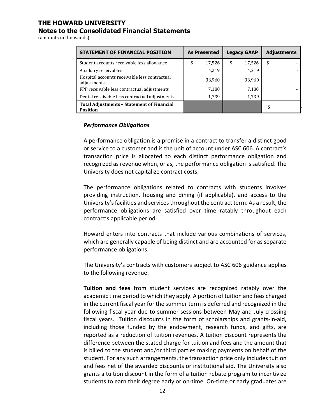(amounts in thousands)

| STATEMENT OF FINANCIAL POSITION                                      | <b>As Presented</b> | <b>Legacy GAAP</b> | <b>Adjustments</b> |
|----------------------------------------------------------------------|---------------------|--------------------|--------------------|
| Student accounts receivable less allowance                           | \$<br>17,526        | \$<br>17,526       | \$                 |
| Auxiliary receivables                                                | 4,219               | 4,219              |                    |
| Hospital accounts receivable less contractual<br>adjustments         | 36,960              | 36,960             |                    |
| FPP receivable less contractual adjustments                          | 7,180               | 7,180              |                    |
| Dental receivable less contractual adjustments                       | 1,739               | 1,739              |                    |
| <b>Total Adjustments - Statement of Financial</b><br><b>Position</b> |                     |                    | \$                 |

### *Performance Obligations*

 A performance obligation is a promise in a contract to transfer a distinct good or service to a customer and is the unit of account under ASC 606. A contract's transaction price is allocated to each distinct performance obligation and recognized as revenue when, or as, the performance obligation is satisfied. The University does not capitalize contract costs.

The performance obligations related to contracts with students involves providing instruction, housing and dining (if applicable), and access to the University's facilities and services throughout the contract term. As a result, the performance obligations are satisfied over time ratably throughout each contract's applicable period.

 which are generally capable of being distinct and are accounted for as separate Howard enters into contracts that include various combinations of services, performance obligations.

 The University's contracts with customers subject to ASC 606 guidance applies to the following revenue:

 **Tuition and fees** from student services are recognized ratably over the academic time period to which they apply. A portion of tuition and fees charged in the current fiscal year for the summer term is deferred and recognized in the fiscal years. Tuition discounts in the form of scholarships and grants‐in‐aid, reported as a reduction of tuition revenues. A tuition discount represents the and fees net of the awarded discounts or institutional aid. The University also grants a tuition discount in the form of a tuition rebate program to incentivize following fiscal year due to summer sessions between May and July crossing including those funded by the endowment, research funds, and gifts, are difference between the stated charge for tuition and fees and the amount that is billed to the student and/or third parties making payments on behalf of the student. For any such arrangements, the transaction price only includes tuition students to earn their degree early or on‐time. On‐time or early graduates are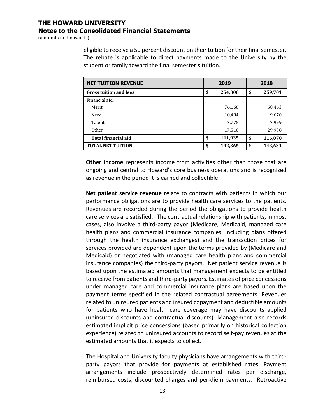(amounts in thousands)

eligible to receive a 50 percent discount on their tuition for their final semester. The rebate is applicable to direct payments made to the University by the student or family toward the final semester's tuition.

| <b>NET TUITION REVENUE</b>    | 2019<br>2018  |    |         |
|-------------------------------|---------------|----|---------|
| <b>Gross tuition and fees</b> | \$<br>254,300 | \$ | 259,701 |
| Financial aid:                |               |    |         |
| Merit                         | 76,166        |    | 68,463  |
| Need                          | 10,484        |    | 9,670   |
| Talent                        | 7,775         |    | 7,999   |
| 0 <sub>ther</sub>             | 17,510        |    | 29,938  |
| <b>Total financial aid</b>    | \$<br>111,935 | \$ | 116,070 |
| <b>TOTAL NET TUITION</b>      | \$<br>142,365 | \$ | 143,631 |

**Other income** represents income from activities other than those that are ongoing and central to Howard's core business operations and is recognized as revenue in the period it is earned and collectible.

 **Net patient service revenue** relate to contracts with patients in which our care services are satisfied. The contractual relationship with patients, in most experience) related to uninsured accounts to record self‐pay revenues at the performance obligations are to provide health care services to the patients. Revenues are recorded during the period the obligations to provide health cases, also involve a third‐party payor (Medicare, Medicaid, managed care health plans and commercial insurance companies, including plans offered through the health insurance exchanges) and the transaction prices for services provided are dependent upon the terms provided by (Medicare and Medicaid) or negotiated with (managed care health plans and commercial insurance companies) the third-party payors. Net patient service revenue is based upon the estimated amounts that management expects to be entitled to receive from patients and third‐party payors. Estimates of price concessions under managed care and commercial insurance plans are based upon the payment terms specified in the related contractual agreements. Revenues related to uninsured patients and insured copayment and deductible amounts for patients who have health care coverage may have discounts applied (uninsured discounts and contractual discounts). Management also records estimated implicit price concessions (based primarily on historical collection estimated amounts that it expects to collect.

The Hospital and University faculty physicians have arrangements with third‐ party payors that provide for payments at established rates. Payment arrangements include prospectively determined rates per discharge, reimbursed costs, discounted charges and per‐diem payments. Retroactive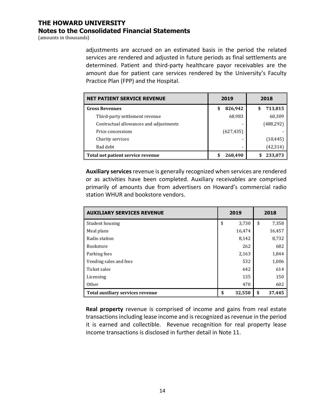(amounts in thousands)

 adjustments are accrued on an estimated basis in the period the related services are rendered and adjusted in future periods as final settlements are determined. Patient and third‐party healthcare payor receivables are the amount due for patient care services rendered by the University's Faculty Practice Plan (FPP) and the Hospital.

| <b>NET PATIENT SERVICE REVENUE</b>     | 2019                     | 2018          |
|----------------------------------------|--------------------------|---------------|
| <b>Gross Revenues</b>                  | 826,942<br>\$            | 713,815<br>\$ |
| Third-party settlement revenue         | 68,983                   | 60,309        |
| Contractual allowances and adjustments |                          | (488, 292)    |
| Price concessions                      | (627, 435)               |               |
| Charity services                       |                          | (10, 445)     |
| Bad debt                               | $\overline{\phantom{0}}$ | (42, 314)     |
| Total net patient service revenue      | 268,490                  | 233,073       |

**Auxiliary services** revenue is generally recognized when services are rendered or as activities have been completed. Auxiliary receivables are comprised primarily of amounts due from advertisers on Howard's commercial radio station WHUR and bookstore vendors.

| <b>AUXILIARY SERVICES REVENUE</b> |    | 2019   |    |        |  | 2018 |
|-----------------------------------|----|--------|----|--------|--|------|
| Student housing                   | \$ | 3,730  | \$ | 7,358  |  |      |
| Meal plans                        |    | 16,474 |    | 16,457 |  |      |
| Radio station                     |    | 8,142  |    | 8,732  |  |      |
| Bookstore                         |    | 262    |    | 682    |  |      |
| Parking fees                      |    | 2,163  |    | 1,844  |  |      |
| Vending sales and fees            |    | 532    |    | 1,006  |  |      |
| Ticket sales                      |    | 642    |    | 614    |  |      |
| Licensing                         |    | 135    |    | 150    |  |      |
| <b>Other</b>                      |    | 470    |    | 602    |  |      |
| Total auxiliary services revenue  | \$ | 32,550 | \$ | 37.445 |  |      |

it is earned and collectible. Revenue recognition for real property lease **Real property** revenue is comprised of income and gains from real estate transactions including lease income and is recognized as revenue in the period income transactions is disclosed in further detail in Note 11.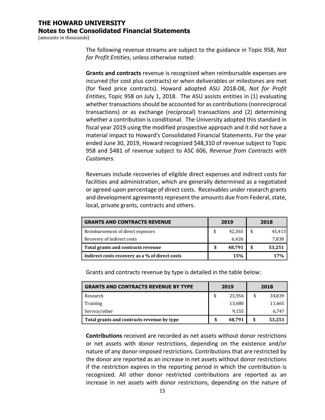(amounts in thousands)

The following revenue streams are subject to the guidance in Topic 958, *Not for Profit Entities*, unless otherwise noted:

 whether a contribution is conditional. The University adopted this standard in fiscal year 2019 using the modified prospective approach and it did not have a **Grants and contracts** revenue is recognized when reimbursable expenses are incurred (for cost plus contracts) or when deliverables or milestones are met (for fixed price contracts). Howard adopted ASU 2018‐08, *Not for Profit Entities*, Topic 958 on July 1, 2018. The ASU assists entities in (1) evaluating whether transactions should be accounted for as contributions (nonreciprocal transactions) or as exchange (reciprocal) transactions and (2) determining material impact to Howard's Consolidated Financial Statements. For the year ended June 30, 2019, Howard recognized \$48,310 of revenue subject to Topic 958 and \$481 of revenue subject to ASC 606, *Revenue from Contracts with Customers.*

Revenues include recoveries of eligible direct expenses and indirect costs for facilities and administration, which are generally determined as a negotiated or agreed‐upon percentage of direct costs. Receivables under research grants and development agreements represent the amounts due from Federal, state, local, private grants, contracts and others.

| <b>GRANTS AND CONTRACTS REVENUE</b>            | 2019   | 2018   |
|------------------------------------------------|--------|--------|
| Reimbursement of direct expenses               | 42,365 | 45,413 |
| Recovery of indirect costs                     | 6.426  | 7,838  |
| Total grants and contracts revenue             | 48,791 | 53,251 |
| Indirect costs recovery as a % of direct costs | 15%    | 17%    |

| <b>GRANTS AND CONTRACTS REVENUE BY TYPE</b> | 2019 |        | 2018         |
|---------------------------------------------|------|--------|--------------|
| Research                                    | \$   | 25,956 | 34,839       |
| Training                                    |      | 13,680 | 11,665       |
| Service/other                               |      | 9.155  | 6,747        |
| Total grants and contracts revenue by type  |      | 48,791 | \$<br>53,251 |

Grants and contracts revenue by type is detailed in the table below:

 or net assets with donor restrictions, depending on the existence and/or **Contributions** received are recorded as net assets without donor restrictions nature of any donor‐imposed restrictions. Contributions that are restricted by the donor are reported as an increase in net assets without donor restrictions if the restriction expires in the reporting period in which the contribution is recognized. All other donor restricted contributions are reported as an increase in net assets with donor restrictions, depending on the nature of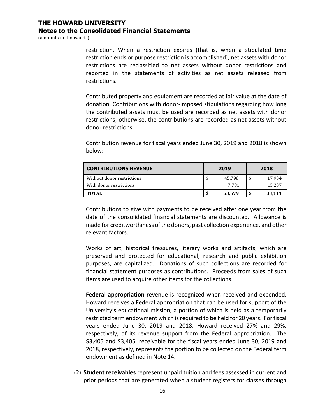(amounts in thousands)

 restrictions are reclassified to net assets without donor restrictions and restriction. When a restriction expires (that is, when a stipulated time restriction ends or purpose restriction is accomplished), net assets with donor reported in the statements of activities as net assets released from restrictions.

 Contributed property and equipment are recorded at fair value at the date of donation. Contributions with donor‐imposed stipulations regarding how long the contributed assets must be used are recorded as net assets with donor restrictions; otherwise, the contributions are recorded as net assets without donor restrictions.

Contribution revenue for fiscal years ended June 30, 2019 and 2018 is shown below:

| <b>CONTRIBUTIONS REVENUE</b> | 2019   | 2018   |
|------------------------------|--------|--------|
| Without donor restrictions   | 45.798 | 17,904 |
| With donor restrictions      | 7.781  | 15.207 |
| TOTAL                        | 53,579 | 33.111 |

Contributions to give with payments to be received after one year from the date of the consolidated financial statements are discounted. Allowance is made for creditworthiness of the donors, past collection experience, and other relevant factors.

Works of art, historical treasures, literary works and artifacts, which are preserved and protected for educational, research and public exhibition purposes, are capitalized. Donations of such collections are recorded for financial statement purposes as contributions. Proceeds from sales of such items are used to acquire other items for the collections.

 Howard receives a Federal appropriation that can be used for support of the **Federal appropriation** revenue is recognized when received and expended. University's educational mission, a portion of which is held as a temporarily restricted term endowment which is required to be held for 20 years. For fiscal years ended June 30, 2019 and 2018, Howard received 27% and 29%, respectively, of its revenue support from the Federal appropriation. The \$3,405 and \$3,405, receivable for the fiscal years ended June 30, 2019 and 2018, respectively, represents the portion to be collected on the Federal term endowment as defined in Note 14.

(2) **Student receivables** represent unpaid tuition and fees assessed in current and prior periods that are generated when a student registers for classes through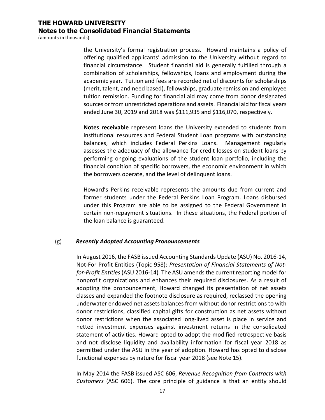(amounts in thousands)

 the University's formal registration process. Howard maintains a policy of offering qualified applicants' admission to the University without regard to financial circumstance. Student financial aid is generally fulfilled through a combination of scholarships, fellowships, loans and employment during the academic year. Tuition and fees are recorded net of discounts for scholarships (merit, talent, and need based), fellowships, graduate remission and employee tuition remission. Funding for financial aid may come from donor designated sources or from unrestricted operations and assets. Financial aid for fiscal years ended June 30, 2019 and 2018 was \$111,935 and \$116,070, respectively.

**Notes receivable** represent loans the University extended to students from institutional resources and Federal Student Loan programs with outstanding balances, which includes Federal Perkins Loans. Management regularly assesses the adequacy of the allowance for credit losses on student loans by performing ongoing evaluations of the student loan portfolio, including the financial condition of specific borrowers, the economic environment in which the borrowers operate, and the level of delinquent loans.

Howard's Perkins receivable represents the amounts due from current and former students under the Federal Perkins Loan Program. Loans disbursed under this Program are able to be assigned to the Federal Government in certain non‐repayment situations. In these situations, the Federal portion of the loan balance is guaranteed.

#### (g)  *Recently Adopted Accounting Pronouncements*

In August 2016, the FASB issued Accounting Standards Update (ASU) No. 2016‐14, Not‐For Profit Entities (Topic 958): *Presentation of Financial Statements of Not‐ for‐Profit Entities* (ASU 2016‐14)*.* The ASU amends the current reporting model for nonprofit organizations and enhances their required disclosures. As a result of adopting the pronouncement, Howard changed its presentation of net assets classes and expanded the footnote disclosure as required, reclassed the opening underwater endowed net assets balances from without donor restrictions to with donor restrictions, classified capital gifts for construction as net assets without donor restrictions when the associated long-lived asset is place in service and netted investment expenses against investment returns in the consolidated statement of activities. Howard opted to adopt the modified retrospective basis and not disclose liquidity and availability information for fiscal year 2018 as permitted under the ASU in the year of adoption. Howard has opted to disclose functional expenses by nature for fiscal year 2018 (see Note 15).

 In May 2014 the FASB issued ASC 606, *Revenue Recognition from Contracts with Customers* (ASC 606). The core principle of guidance is that an entity should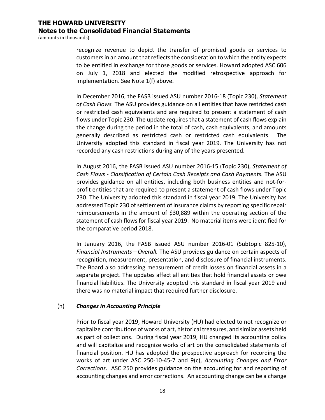(amounts in thousands)

customers in an amount that reflects the consideration to which the entity expects to be entitled in exchange for those goods or services. Howard adopted ASC 606 recognize revenue to depict the transfer of promised goods or services to on July 1, 2018 and elected the modified retrospective approach for implementation. See Note 1(f) above.

In December 2016, the FASB issued ASU number 2016‐18 (Topic 230), *Statement of Cash Flows.* The ASU provides guidance on all entities that have restricted cash or restricted cash equivalents and are required to present a statement of cash flows under Topic 230. The update requires that a statement of cash flows explain the change during the period in the total of cash, cash equivalents, and amounts generally described as restricted cash or restricted cash equivalents. The University adopted this standard in fiscal year 2019. The University has not recorded any cash restrictions during any of the years presented.

 *Cash Flows ‐ Classification of Certain Cash Receipts and Cash Payments.* The ASU In August 2016, the FASB issued ASU number 2016‐15 (Topic 230), *Statement of* provides guidance on all entities, including both business entities and not‐for‐ profit entities that are required to present a statement of cash flows under Topic 230. The University adopted this standard in fiscal year 2019. The University has addressed Topic 230 of settlement of insurance claims by reporting specific repair reimbursements in the amount of \$30,889 within the operating section of the statement of cash flows for fiscal year 2019. No material items were identified for the comparative period 2018.

 The Board also addressing measurement of credit losses on financial assets in a In January 2016, the FASB issued ASU number 2016‐01 (Subtopic 825‐10), *Financial Instruments—Overall.* The ASU provides guidance on certain aspects of recognition, measurement, presentation, and disclosure of financial instruments. separate project. The updates affect all entities that hold financial assets or owe financial liabilities. The University adopted this standard in fiscal year 2019 and there was no material impact that required further disclosure.

### (h) *Changes in Accounting Principle*

 as part of collections. During fiscal year 2019, HU changed its accounting policy Prior to fiscal year 2019, Howard University (HU) had elected to not recognize or capitalize contributions of works of art, historical treasures, and similar assets held and will capitalize and recognize works of art on the consolidated statements of financial position. HU has adopted the prospective approach for recording the works of art under ASC 250‐10‐45‐7 and 9(c), *Accounting Changes and Error Corrections*. ASC 250 provides guidance on the accounting for and reporting of accounting changes and error corrections. An accounting change can be a change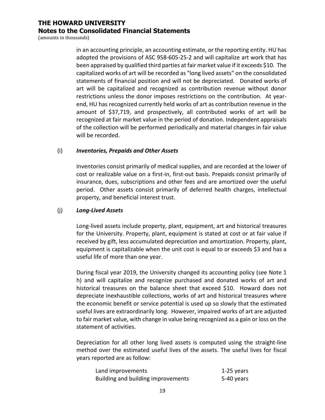(amounts in thousands)

in an accounting principle, an accounting estimate, or the reporting entity. HU has adopted the provisions of ASC 958‐605‐25‐2 and will capitalize art work that has been appraised by qualified third parties at fair market value if it exceeds \$10. The capitalized works of art will be recorded as "long lived assets" on the consolidated statements of financial position and will not be depreciated. Donated works of art will be capitalized and recognized as contribution revenue without donor restrictions unless the donor imposes restrictions on the contribution. At year‐ end, HU has recognized currently held works of art as contribution revenue in the amount of \$37,719, and prospectively, all contributed works of art will be recognized at fair market value in the period of donation. Independent appraisals of the collection will be performed periodically and material changes in fair value will be recorded.

#### (i) *Inventories, Prepaids and Other Assets*

 cost or realizable value on a first‐in, first‐out basis. Prepaids consist primarily of Inventories consist primarily of medical supplies, and are recorded at the lower of insurance, dues, subscriptions and other fees and are amortized over the useful period. Other assets consist primarily of deferred health charges, intellectual property, and beneficial interest trust.

### (j) *Long‐Lived Assets*

 for the University. Property, plant, equipment is stated at cost or at fair value if Long‐lived assets include property, plant, equipment, art and historical treasures received by gift, less accumulated depreciation and amortization. Property, plant, equipment is capitalizable when the unit cost is equal to or exceeds \$3 and has a useful life of more than one year.

 h) and will capitalize and recognize purchased and donated works of art and During fiscal year 2019, the University changed its accounting policy (see Note 1 historical treasures on the balance sheet that exceed \$10. Howard does not depreciate inexhaustible collections, works of art and historical treasures where the economic benefit or service potential is used up so slowly that the estimated useful lives are extraordinarily long. However, impaired works of art are adjusted to fair market value, with change in value being recognized as a gain or loss on the statement of activities.

Depreciation for all other long lived assets is computed using the straight-line method over the estimated useful lives of the assets. The useful lives for fiscal years reported are as follow:

| Land improvements                  | 1-25 years |
|------------------------------------|------------|
| Building and building improvements | 5-40 years |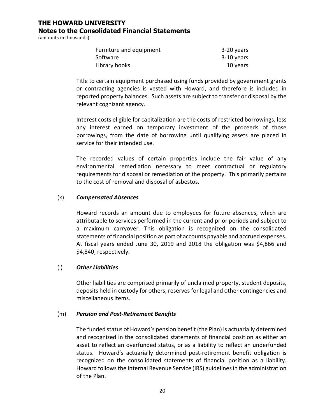(amounts in thousands)

| Furniture and equipment | 3-20 years |
|-------------------------|------------|
| Software                | 3-10 years |
| Library books           | 10 years   |

Title to certain equipment purchased using funds provided by government grants or contracting agencies is vested with Howard, and therefore is included in reported property balances. Such assets are subject to transfer or disposal by the relevant cognizant agency.

Interest costs eligible for capitalization are the costs of restricted borrowings, less any interest earned on temporary investment of the proceeds of those borrowings, from the date of borrowing until qualifying assets are placed in service for their intended use.

The recorded values of certain properties include the fair value of any environmental remediation necessary to meet contractual or regulatory requirements for disposal or remediation of the property. This primarily pertains to the cost of removal and disposal of asbestos.

#### (k) *Compensated Absences*

 At fiscal years ended June 30, 2019 and 2018 the obligation was \$4,866 and Howard records an amount due to employees for future absences, which are attributable to services performed in the current and prior periods and subject to a maximum carryover. This obligation is recognized on the consolidated statements of financial position as part of accounts payable and accrued expenses. \$4,840, respectively.

### (l) *Other Liabilities*

Other liabilities are comprised primarily of unclaimed property, student deposits, deposits held in custody for others, reserves for legal and other contingencies and miscellaneous items.

#### (m) *Pension and Post‐Retirement Benefits*

 recognized on the consolidated statements of financial position as a liability. The funded status of Howard's pension benefit (the Plan) is actuarially determined and recognized in the consolidated statements of financial position as either an asset to reflect an overfunded status, or as a liability to reflect an underfunded status. Howard's actuarially determined post-retirement benefit obligation is Howard follows the Internal Revenue Service (IRS) guidelinesin the administration of the Plan.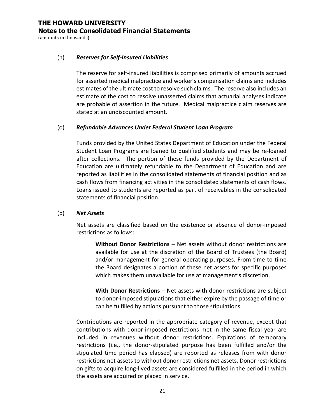(amounts in thousands)

#### (n) *Reserves for Self‐Insured Liabilities*

 The reserve for self‐insured liabilities is comprised primarily of amounts accrued are probable of assertion in the future. Medical malpractice claim reserves are for asserted medical malpractice and worker's compensation claims and includes estimates of the ultimate cost to resolve such claims. The reserve also includes an estimate of the cost to resolve unasserted claims that actuarial analyses indicate stated at an undiscounted amount.

#### (o) *Refundable Advances Under Federal Student Loan Program*

 cash flows from financing activities in the consolidated statements of cash flows. Funds provided by the United States Department of Education under the Federal Student Loan Programs are loaned to qualified students and may be re‐loaned after collections. The portion of these funds provided by the Department of Education are ultimately refundable to the Department of Education and are reported as liabilities in the consolidated statements of financial position and as Loans issued to students are reported as part of receivables in the consolidated statements of financial position.

#### (p) *Net Assets*

Net assets are classified based on the existence or absence of donor-imposed restrictions as follows:

 **Without Donor Restrictions** – Net assets without donor restrictions are available for use at the discretion of the Board of Trustees (the Board) and/or management for general operating purposes. From time to time the Board designates a portion of these net assets for specific purposes which makes them unavailable for use at management's discretion.

 **With Donor Restrictions** – Net assets with donor restrictions are subject to donor‐imposed stipulations that either expire by the passage of time or can be fulfilled by actions pursuant to those stipulations.

 included in revenues without donor restrictions. Expirations of temporary Contributions are reported in the appropriate category of revenue, except that contributions with donor‐imposed restrictions met in the same fiscal year are restrictions (i.e., the donor‐stipulated purpose has been fulfilled and/or the stipulated time period has elapsed) are reported as releases from with donor restrictions net assets to without donor restrictions net assets. Donor restrictions on gifts to acquire long‐lived assets are considered fulfilled in the period in which the assets are acquired or placed in service.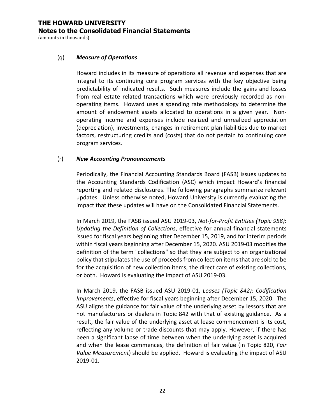(amounts in thousands)

## (q) *Measure of Operations*

 from real estate related transactions which were previously recorded as non‐ amount of endowment assets allocated to operations in a given year. Non‐ Howard includes in its measure of operations all revenue and expenses that are integral to its continuing core program services with the key objective being predictability of indicated results. Such measures include the gains and losses operating items. Howard uses a spending rate methodology to determine the operating income and expenses include realized and unrealized appreciation (depreciation), investments, changes in retirement plan liabilities due to market factors, restructuring credits and (costs) that do not pertain to continuing core program services.

#### (r) *New Accounting Pronouncements*

Periodically, the Financial Accounting Standards Board (FASB) issues updates to the Accounting Standards Codification (ASC) which impact Howard's financial reporting and related disclosures. The following paragraphs summarize relevant updates. Unless otherwise noted, Howard University is currently evaluating the impact that these updates will have on the Consolidated Financial Statements.

 issued for fiscal years beginning after December 15, 2019, and for interim periods In March 2019, the FASB issued ASU 2019‐03, *Not‐for‐Profit Entities (Topic 958)*: *Updating the Definition of Collections*, effective for annual financial statements within fiscal years beginning after December 15, 2020. ASU 2019‐03 modifies the definition of the term "collections" so that they are subject to an organizational policy that stipulates the use of proceeds from collection items that are sold to be for the acquisition of new collection items, the direct care of existing collections, or both. Howard is evaluating the impact of ASU 2019‐03.

 not manufacturers or dealers in Topic 842 with that of existing guidance. As a result, the fair value of the underlying asset at lease commencement is its cost, *Value Measurement*) should be applied. Howard is evaluating the impact of ASU In March 2019, the FASB issued ASU 2019‐01, *Leases (Topic 842): Codification Improvements*, effective for fiscal years beginning after December 15, 2020. The ASU aligns the guidance for fair value of the underlying asset by lessors that are reflecting any volume or trade discounts that may apply. However, if there has been a significant lapse of time between when the underlying asset is acquired and when the lease commences, the definition of fair value (in Topic 820, *Fair*  2019‐01.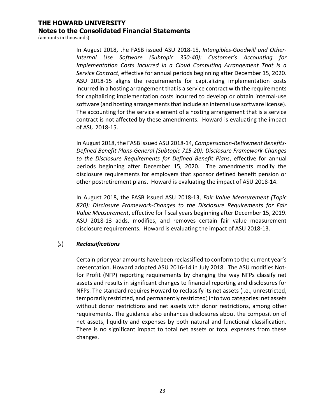(amounts in thousands)

In August 2018, the FASB issued ASU 2018‐15, *Intangibles‐Goodwill and Other‐ Internal Use Software (Subtopic 350‐40): Customer's Accounting for Implementation Costs Incurred in a Cloud Computing Arrangement That is a Service Contract*, effective for annual periods beginning after December 15, 2020. ASU 2018‐15 aligns the requirements for capitalizing implementation costs incurred in a hosting arrangement that is a service contract with the requirements for capitalizing implementation costs incurred to develop or obtain internal‐use software (and hosting arrangements that include an internal use software license). The accounting for the service element of a hosting arrangement that is a service contract is not affected by these amendments. Howard is evaluating the impact of ASU 2018‐15.

 In August 2018, the FASB issued ASU 2018‐14, *Compensation‐Retirement Benefits‐ Defined Benefit Plans‐General (Subtopic 715‐20): Disclosure Framework‐Changes to the Disclosure Requirements for Defined Benefit Plans*, effective for annual periods beginning after December 15, 2020. The amendments modify the disclosure requirements for employers that sponsor defined benefit pension or other postretirement plans. Howard is evaluating the impact of ASU 2018‐14.

 In August 2018, the FASB issued ASU 2018‐13, *Fair Value Measurement (Topic Value Measurement*, effective for fiscal years beginning after December 15, 2019. *820): Disclosure Framework‐Changes to the Disclosure Requirements for Fair* ASU 2018‐13 adds, modifies, and removes certain fair value measurement disclosure requirements. Howard is evaluating the impact of ASU 2018‐13.

### (s) *Reclassifications*

 Certain prior year amounts have been reclassified to conform to the current year's presentation. Howard adopted ASU 2016‐14 in July 2018. The ASU modifies Not‐ NFPs. The standard requires Howard to reclassify its net assets (i.e., unrestricted, There is no significant impact to total net assets or total expenses from these for Profit (NFP) reporting requirements by changing the way NFPs classify net assets and results in significant changes to financial reporting and disclosures for temporarily restricted, and permanently restricted) into two categories: net assets without donor restrictions and net assets with donor restrictions, among other requirements. The guidance also enhances disclosures about the composition of net assets, liquidity and expenses by both natural and functional classification. changes.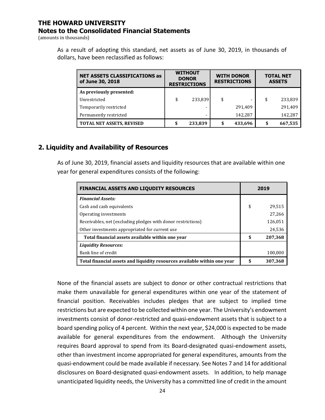(amounts in thousands)

As a result of adopting this standard, net assets as of June 30, 2019, in thousands of dollars, have been reclassified as follows:

| <b>NET ASSETS CLASSIFICATIONS as</b><br>of June 30, 2018 | <b>WITHOUT</b><br><b>DONOR</b><br><b>RESTRICTIONS</b> |         | <b>WITH DONOR</b><br><b>RESTRICTIONS</b> | <b>TOTAL NET</b><br><b>ASSETS</b> |         |  |
|----------------------------------------------------------|-------------------------------------------------------|---------|------------------------------------------|-----------------------------------|---------|--|
| As previously presented:                                 |                                                       |         |                                          |                                   |         |  |
| Unrestricted                                             | \$                                                    | 233,839 | \$<br>۰                                  | \$                                | 233,839 |  |
| Temporarily restricted                                   |                                                       |         | 291,409                                  |                                   | 291,409 |  |
| Permanently restricted                                   |                                                       |         | 142,287                                  |                                   | 142,287 |  |
| <b>TOTAL NET ASSETS, REVISED</b>                         |                                                       | 233,839 | \$<br>433,696                            |                                   | 667,535 |  |

# **2. Liquidity and Availability of Resources**

As of June 30, 2019, financial assets and liquidity resources that are available within one year for general expenditures consists of the following:

| <b>FINANCIAL ASSETS AND LIQUDITY RESOURCES</b>                           | 2019          |  |  |
|--------------------------------------------------------------------------|---------------|--|--|
| <b>Financial Assets:</b>                                                 |               |  |  |
| Cash and cash equivalents                                                | \$<br>29,515  |  |  |
| Operating investments                                                    | 27,266        |  |  |
| Receivables, net (excluding pledges with donor restrictions)             | 126,051       |  |  |
| Other investments appropriated for current use                           | 24,536        |  |  |
| Total financial assets available within one year                         | \$<br>207,368 |  |  |
| <b>Liquidity Resources:</b>                                              |               |  |  |
| Bank line of credit                                                      | 100,000       |  |  |
| Total financial assets and liquidity resources available within one year | 307,368       |  |  |

 board spending policy of 4 percent. Within the next year, \$24,000 is expected to be made quasi‐endowment could be made available if necessary. See Notes 7 and 14 for additional disclosures on Board‐designated quasi‐endowment assets. In addition, to help manage None of the financial assets are subject to donor or other contractual restrictions that make them unavailable for general expenditures within one year of the statement of financial position. Receivables includes pledges that are subject to implied time restrictions but are expected to be collected within one year. The University's endowment investments consist of donor‐restricted and quasi‐endowment assets that is subject to a available for general expenditures from the endowment. Although the University requires Board approval to spend from its Board-designated quasi-endowment assets, other than investment income appropriated for general expenditures, amounts from the unanticipated liquidity needs, the University has a committed line of credit in the amount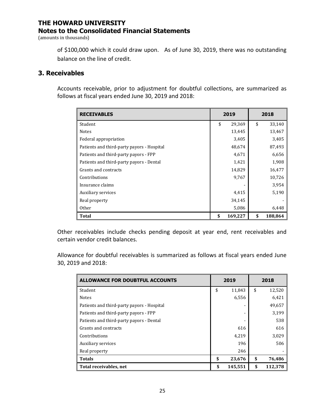(amounts in thousands)

 of \$100,000 which it could draw upon. As of June 30, 2019, there was no outstanding balance on the line of credit.

# **3. Receivables**

Accounts receivable, prior to adjustment for doubtful collections, are summarized as follows at fiscal years ended June 30, 2019 and 2018:

| <b>RECEIVABLES</b>                         | 2019             | 2018 |         |  |
|--------------------------------------------|------------------|------|---------|--|
| Student                                    | \$<br>29,369     | \$   | 33,140  |  |
| <b>Notes</b>                               | 13,445           |      | 13,467  |  |
| Federal appropriation                      | 3,405            |      | 3,405   |  |
| Patients and third-party payors - Hospital | 87,493<br>48,674 |      |         |  |
| Patients and third-party payors - FPP      | 4,671            |      | 6,656   |  |
| Patients and third-party payors - Dental   | 1,421            |      | 1,908   |  |
| Grants and contracts                       | 14,829           |      | 16,477  |  |
| Contributions                              | 9,767            |      | 10,726  |  |
| Insurance claims                           |                  |      | 3,954   |  |
| Auxiliary services                         | 4,415            |      | 5,190   |  |
| Real property                              | 34,145           |      |         |  |
| <b>Other</b>                               | 5,086            |      | 6,448   |  |
| Total                                      | \$<br>169,227    | \$   | 188,864 |  |

Other receivables include checks pending deposit at year end, rent receivables and certain vendor credit balances.

Allowance for doubtful receivables is summarized as follows at fiscal years ended June 30, 2019 and 2018:

| <b>ALLOWANCE FOR DOUBTFUL ACCOUNTS</b>     |     | 2019    | 2018 |         |  |
|--------------------------------------------|-----|---------|------|---------|--|
| Student                                    | \$  | 11,843  | \$   | 12,520  |  |
| <b>Notes</b>                               |     | 6,556   |      | 6,421   |  |
| Patients and third-party payors - Hospital |     |         |      | 49,657  |  |
| Patients and third-party payors - FPP      |     |         |      | 3,199   |  |
| Patients and third-party payors - Dental   |     |         |      | 538     |  |
| Grants and contracts                       |     | 616     |      | 616     |  |
| Contributions                              |     | 4,219   |      | 3,029   |  |
| Auxiliary services                         | 196 |         |      | 506     |  |
| Real property                              |     | 246     |      |         |  |
| <b>Totals</b>                              | \$  | 23,676  | \$   | 76,486  |  |
| Total receivables, net                     | \$  | 145,551 | \$   | 112,378 |  |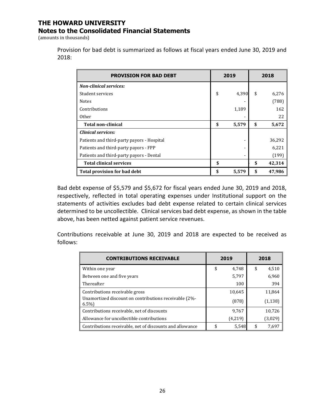(amounts in thousands)

Provision for bad debt is summarized as follows at fiscal years ended June 30, 2019 and 2018:

| <b>PROVISION FOR BAD DEBT</b>              | 2019        | 2018 |        |  |
|--------------------------------------------|-------------|------|--------|--|
| <b>Non-clinical services:</b>              |             |      |        |  |
| Student services                           | \$<br>4,390 | \$   | 6,276  |  |
| <b>Notes</b>                               |             |      | (788)  |  |
| Contributions                              | 1,189       |      | 162    |  |
| Other                                      |             |      | 22     |  |
| <b>Total non-clinical</b>                  | \$<br>5,579 | \$   | 5,672  |  |
| <b>Clinical services:</b>                  |             |      |        |  |
| Patients and third-party payors - Hospital |             |      | 36,292 |  |
| Patients and third-party payors - FPP      |             |      | 6,221  |  |
| Patients and third-party payors - Dental   |             |      | (199)  |  |
| <b>Total clinical services</b>             | \$          | \$   | 42,314 |  |
| Total provision for bad debt               | \$<br>5,579 | \$   | 47,986 |  |

 determined to be uncollectible. Clinical services bad debt expense, as shown in the table Bad debt expense of \$5,579 and \$5,672 for fiscal years ended June 30, 2019 and 2018, respectively, reflected in total operating expenses under Institutional support on the statements of activities excludes bad debt expense related to certain clinical services above, has been netted against patient service revenues.

 Contributions receivable at June 30, 2019 and 2018 are expected to be received as follows:

| <b>CONTRIBUTIONS RECEIVABLE</b>                                  | 2019        | 2018 |          |  |
|------------------------------------------------------------------|-------------|------|----------|--|
| Within one year                                                  | \$<br>4,748 | S    | 4,510    |  |
| Between one and five years                                       | 5,797       |      | 6,960    |  |
| Thereafter                                                       | 100         |      | 394      |  |
| Contributions receivable gross                                   | 10,645      |      | 11,864   |  |
| Unamortized discount on contributions receivable (2%-<br>$6.5\%$ | (878)       |      | (1, 138) |  |
| Contributions receivable, net of discounts                       | 9,767       |      | 10,726   |  |
| Allowance for uncollectible contributions                        | (4,219)     |      | (3,029)  |  |
| Contributions receivable, net of discounts and allowance         | \$<br>5.548 | S    | 7,697    |  |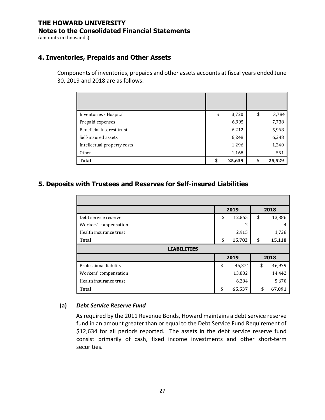(amounts in thousands)

# **4. Inventories, Prepaids and Other Assets**

Components of inventories, prepaids and other assets accounts at fiscal years ended June 30, 2019 and 2018 are as follows:

| Inventories - Hospital      | \$<br>3,720  | \$<br>3,784  |
|-----------------------------|--------------|--------------|
| Prepaid expenses            | 6,995        | 7,738        |
| Beneficial interest trust   | 6,212        | 5,968        |
| Self-insured assets         | 6,248        | 6,248        |
| Intellectual property costs | 1,296        | 1,240        |
| Other                       | 1,168        | 551          |
| Total                       | \$<br>25,639 | \$<br>25,529 |

## **5. Deposits with Trustees and Reserves for Self-insured Liabilities**

|                        | 2019         | 2018           |
|------------------------|--------------|----------------|
| Debt service reserve   | \$<br>12,865 | \$<br>13,386   |
| Workers' compensation  | 2            | $\overline{4}$ |
| Health insurance trust | 2,915        | 1,728          |
| <b>Total</b>           | \$<br>15,782 | \$<br>15,118   |
|                        |              |                |
| <b>LIABILITIES</b>     |              |                |
|                        | 2019         | 2018           |
| Professional liability | \$<br>45,371 | \$<br>46,979   |
| Workers' compensation  | 13,882       | 14,442         |
| Health insurance trust | 6,284        | 5,670          |

### **(a)**  *Debt Service Reserve Fund*

As required by the 2011 Revenue Bonds, Howard maintains a debt service reserve fund in an amount greater than or equal to the Debt Service Fund Requirement of \$12,634 for all periods reported. The assets in the debt service reserve fund consist primarily of cash, fixed income investments and other short‐term securities.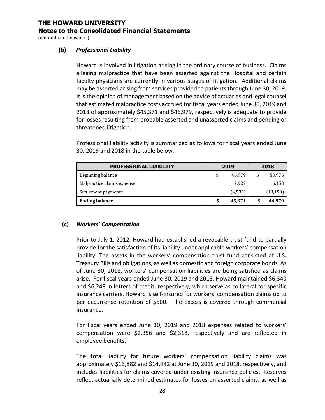(amounts in thousands)

## **(b)**  *Professional Liability*

It is the opinion of management based on the advice of actuaries and legal counsel 2018 of approximately \$45,371 and \$46,979, respectively is adequate to provide Howard is involved in litigation arising in the ordinary course of business. Claims alleging malpractice that have been asserted against the Hospital and certain faculty physicians are currently in various stages of litigation. Additional claims may be asserted arising from services provided to patients through June 30, 2019. that estimated malpractice costs accrued for fiscal years ended June 30, 2019 and for losses resulting from probable asserted and unasserted claims and pending or threatened litigation.

Professional liability activity is summarized as follows for fiscal years ended June 30, 2019 and 2018 in the table below.

| <b>PROFESSIONAL LIABILITY</b> | 2019 |         |  | 2018      |
|-------------------------------|------|---------|--|-----------|
| Beginning balance             | \$   | 46.979  |  | 53,976    |
| Malpractice claims expense    |      | 2,927   |  | 6,153     |
| Settlement payments           |      | (4,535) |  | (13, 150) |
| <b>Ending balance</b>         | \$   | 45,371  |  | 46,979    |

### **(c)**  *Workers' Compensation*

 arise. For fiscal years ended June 30, 2019 and 2018, Howard maintained \$6,340 per occurrence retention of \$500. The excess is covered through commercial Prior to July 1, 2012, Howard had established a revocable trust fund to partially provide for the satisfaction of its liability under applicable workers' compensation liability. The assets in the workers' compensation trust fund consisted of U.S. Treasury Bills and obligations, as well as domestic and foreign corporate bonds. As of June 30, 2018, workers' compensation liabilities are being satisfied as claims and \$6,248 in letters of credit, respectively, which serve as collateral for specific insurance carriers. Howard is self‐insured for workers' compensation claims up to insurance.

For fiscal years ended June 30, 2019 and 2018 expenses related to workers' compensation were \$2,356 and \$2,318, respectively and are reflected in employee benefits.

The total liability for future workers' compensation liability claims was approximately \$13,882 and \$14,442 at June 30, 2019 and 2018, respectively, and includes liabilities for claims covered under existing insurance policies. Reserves reflect actuarially determined estimates for losses on asserted claims, as well as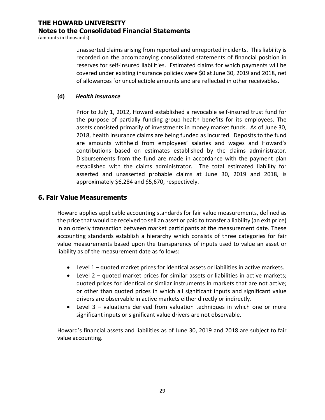(amounts in thousands)

unasserted claims arising from reported and unreported incidents. This liability is recorded on the accompanying consolidated statements of financial position in reserves for self‐insured liabilities. Estimated claims for which payments will be covered under existing insurance policies were \$0 at June 30, 2019 and 2018, net of allowances for uncollectible amounts and are reflected in other receivables.

## **(d)**  *Health Insurance*

 assets consisted primarily of investments in money market funds. As of June 30, contributions based on estimates established by the claims administrator. established with the claims administrator. The total estimated liability for Prior to July 1, 2012, Howard established a revocable self‐insured trust fund for the purpose of partially funding group health benefits for its employees. The 2018, health insurance claims are being funded as incurred. Deposits to the fund are amounts withheld from employees' salaries and wages and Howard's Disbursements from the fund are made in accordance with the payment plan asserted and unasserted probable claims at June 30, 2019 and 2018, is approximately \$6,284 and \$5,670, respectively.

## **6. Fair Value Measurements**

 the price that would be received to sell an asset or paid to transfer a liability (an exit price) Howard applies applicable accounting standards for fair value measurements, defined as in an orderly transaction between market participants at the measurement date. These accounting standards establish a hierarchy which consists of three categories for fair value measurements based upon the transparency of inputs used to value an asset or liability as of the measurement date as follows:

- Level 1 quoted market prices for identical assets or liabilities in active markets.
- $\bullet$  Level 2 quoted market prices for similar assets or liabilities in active markets; quoted prices for identical or similar instruments in markets that are not active; or other than quoted prices in which all significant inputs and significant value drivers are observable in active markets either directly or indirectly.
- Level 3 valuations derived from valuation techniques in which one or more significant inputs or significant value drivers are not observable*.*

Howard's financial assets and liabilities as of June 30, 2019 and 2018 are subject to fair value accounting.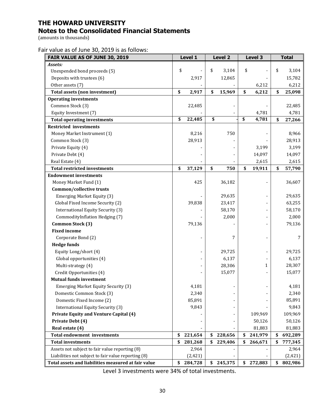# **THE HOWARD UNIVERSITY**

# **Notes to the Consolidated Financial Statements**

(amounts in thousands)

#### Fair value as of June 30, 2019 is as follows:

| FAIR VALUE AS OF JUNE 30, 2019                      | Level 1 |          | Level <sub>2</sub> |         | Level 3 |                | <b>Total</b>  |
|-----------------------------------------------------|---------|----------|--------------------|---------|---------|----------------|---------------|
| Assets:                                             |         |          |                    |         |         |                |               |
| Unexpended bond proceeds (5)                        | \$      |          | \$                 | 3,104   | \$      |                | \$<br>3,104   |
| Deposits with trustees (6)                          |         | 2,917    |                    | 12,865  |         |                | 15,782        |
| Other assets (7)                                    |         |          |                    |         |         | 6,212          | 6,212         |
| <b>Total assets (non investment)</b>                | \$      | 2,917    | \$                 | 15,969  | \$      | 6,212          | \$<br>25,098  |
| <b>Operating investments</b>                        |         |          |                    |         |         |                |               |
| Common Stock (3)                                    |         | 22,485   |                    |         |         |                | 22,485        |
| Equity Investment (7)                               |         |          |                    |         |         | 4,781          | 4,781         |
| <b>Total operating investments</b>                  | \$      | 22,485   | \$                 |         | \$      | 4,781          | \$<br>27,266  |
| <b>Restricted investments</b>                       |         |          |                    |         |         |                |               |
| Money Market Instrument (1)                         |         | 8,216    |                    | 750     |         |                | 8,966         |
| Common Stock (3)                                    |         | 28,913   |                    |         |         |                | 28,913        |
| Private Equity (4)                                  |         |          |                    |         |         | 3,199          | 3,199         |
| Private Debt (4)                                    |         |          |                    |         |         | 14,097         | 14,097        |
| Real Estate (4)                                     |         |          |                    |         |         | 2,615          | 2,615         |
| <b>Total restricted investments</b>                 | \$      | 37,129   | \$                 | 750     | \$      | 19,911         | \$<br>57,790  |
| <b>Endowment investments</b>                        |         |          |                    |         |         |                |               |
| Money Market Fund (1)                               |         | 425      |                    | 36,182  |         | $\overline{a}$ | 36,607        |
| Common/collective trusts                            |         |          |                    |         |         |                |               |
| <b>Emerging Market Equity (3)</b>                   |         |          |                    | 29,635  |         |                | 29,635        |
| Global Fixed Income Security (2)                    |         | 39,838   |                    | 23,417  |         |                | 63,255        |
| International Equity Security (3)                   |         |          |                    | 58,170  |         | $\blacksquare$ | 58,170        |
| CommodityInflation Hedging (7)                      |         |          |                    | 2,000   |         |                | 2,000         |
| Common Stock (3)                                    |         | 79,136   |                    |         |         |                | 79,136        |
| <b>Fixed income</b>                                 |         |          |                    |         |         |                |               |
| Corporate Bond (2)                                  |         |          |                    | 7       |         | $\blacksquare$ | 7             |
| <b>Hedge funds</b>                                  |         |          |                    |         |         |                |               |
| Equity Long/short (4)                               |         |          |                    | 29,725  |         | $\overline{a}$ | 29,725        |
| Global opportunities (4)                            |         |          |                    | 6,137   |         |                | 6,137         |
| Multi-strategy (4)                                  |         |          |                    | 28,306  |         | $\mathbf{1}$   | 28,307        |
| Credit Opportunities (4)                            |         |          |                    | 15,077  |         |                | 15,077        |
| <b>Mutual funds investment</b>                      |         |          |                    |         |         |                |               |
| <b>Emerging Market Equity Security (3)</b>          |         | 4,181    |                    |         |         |                | 4,181         |
| Domestic Common Stock (3)                           |         | 2,340    |                    |         |         |                | 2,340         |
| Domestic Fixed Income (2)                           |         | 85,891   |                    |         |         |                | 85,891        |
| International Equity Security (3)                   |         | 9,843    |                    |         |         |                | 9,843         |
| <b>Private Equity and Venture Capital (4)</b>       |         |          |                    |         |         | 109,969        | 109,969       |
| Private Debt (4)                                    |         |          |                    |         |         | 50,126         | 50,126        |
| Real estate (4)                                     |         |          |                    |         |         | 81,883         | 81,883        |
| <b>Total endowment investments</b>                  | \$      | 221,654  | \$                 | 228,656 | \$      | 241,979        | \$<br>692,289 |
| <b>Total investments</b>                            | \$      | 281,268  | \$                 | 229,406 | \$      | 266,671        | \$<br>777,345 |
| Assets not subject to fair value reporting (8)      |         | 2,964    |                    |         |         |                | 2,964         |
| Liabilities not subject to fair value reporting (8) |         | (2, 421) |                    |         |         |                | (2, 421)      |
| Total assets and liabilities measured at fair value | \$      | 284,728  | \$                 | 245,375 | \$      | 272,883        | \$<br>802,986 |

Level 3 investments were 34% of total investments.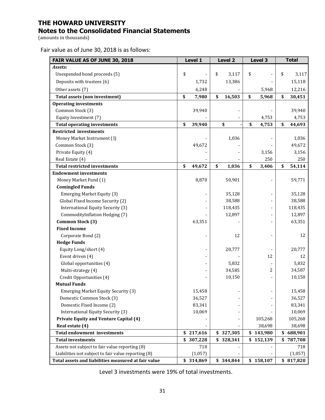# **THE HOWARD UNIVERSITY**

## **Notes to the Consolidated Financial Statements**

(amounts in thousands)

Fair value as of June 30, 2018 is as follows:

| FAIR VALUE AS OF JUNE 30, 2018                      | Level 1       |    | <b>Level 2</b> |    | Level 3                      |    | <b>Total</b> |
|-----------------------------------------------------|---------------|----|----------------|----|------------------------------|----|--------------|
| Assets:                                             |               |    |                |    |                              |    |              |
| Unexpended bond proceeds (5)                        | \$            | \$ | 3,117          | \$ |                              | \$ | 3,117        |
| Deposits with trustees (6)                          | 1,732         |    | 13,386         |    |                              |    | 15,118       |
| Other assets (7)                                    | 6,248         |    |                |    | 5,968                        |    | 12,216       |
| <b>Total assets (non investment)</b>                | \$<br>7,980   | \$ | 16,503         | \$ | 5,968                        | \$ | 30,451       |
| <b>Operating investments</b>                        |               |    |                |    |                              |    |              |
| Common Stock (3)                                    | 39,940        |    |                |    |                              |    | 39,940       |
| Equity Investment (7)                               |               |    |                |    | 4,753                        |    | 4,753        |
| <b>Total operating investments</b>                  | \$<br>39,940  |    | \$             | \$ | 4,753                        | \$ | 44,693       |
| <b>Restricted investments</b>                       |               |    |                |    |                              |    |              |
| Money Market Instrument (1)                         |               |    | 1,036          |    |                              |    | 1,036        |
| Common Stock (3)                                    | 49,672        |    |                |    |                              |    | 49,672       |
| Private Equity (4)                                  |               |    |                |    | 3,156                        |    | 3,156        |
| Real Estate (4)                                     |               |    |                |    | 250                          |    | 250          |
| <b>Total restricted investments</b>                 | \$<br>49,672  | \$ | 1,036          | \$ | 3,406                        | \$ | 54,114       |
| <b>Endowment investments</b>                        |               |    |                |    |                              |    |              |
| Money Market Fund (1)                               | 8,870         |    | 50,901         |    | $\overline{a}$               |    | 59,771       |
| <b>Comingled Funds</b>                              |               |    |                |    |                              |    |              |
| <b>Emerging Market Equity (3)</b>                   |               |    | 35,128         |    | $\overline{a}$               |    | 35,128       |
| Global Fixed Income Security (2)                    |               |    | 38,588         |    |                              |    | 38,588       |
| International Equity Security (3)                   |               |    | 118,435        |    |                              |    | 118,435      |
| CommodityInflation Hedging (7)                      |               |    | 12,897         |    | $\qquad \qquad \blacksquare$ |    | 12,897       |
| Common Stock (3)                                    | 63,351        |    |                |    | $\overline{a}$               |    | 63,351       |
| <b>Fixed Income</b>                                 |               |    |                |    |                              |    |              |
| Corporate Bond (2)                                  |               |    | 12             |    | $\qquad \qquad \blacksquare$ |    | 12           |
| <b>Hedge Funds</b>                                  |               |    |                |    |                              |    |              |
| Equity Long/short (4)                               |               |    | 20,777         |    |                              |    | 20,777       |
| Event driven (4)                                    |               |    |                |    | 12                           |    | 12           |
| Global opportunities (4)                            |               |    | 5,832          |    |                              |    | 5,832        |
| Multi-strategy (4)                                  |               |    | 34,585         |    | 2                            |    | 34,587       |
| Credit Opportunities (4)                            |               |    | 10,150         |    |                              |    | 10,150       |
| <b>Mutual Funds</b>                                 |               |    |                |    |                              |    |              |
| <b>Emerging Market Equity Security (3)</b>          | 15,458        |    |                |    |                              |    | 15,458       |
| Domestic Common Stock (3)                           | 36,527        |    |                |    |                              |    | 36,527       |
| Domestic Fixed Income (2)                           | 83,341        |    |                |    |                              |    | 83,341       |
| International Equity Security (3)                   | 10,069        |    |                |    |                              |    | 10,069       |
| <b>Private Equity and Venture Capital (4)</b>       |               |    |                |    | 105,268                      |    | 105,268      |
| Real estate (4)                                     |               |    |                |    | 38,698                       |    | 38,698       |
| <b>Total endowment investments</b>                  | \$217,616     |    | \$327,305      |    | \$143,980                    | \$ | 688,901      |
| <b>Total investments</b>                            | \$<br>307,228 |    | \$328,341      |    | \$152,139                    | \$ | 787,708      |
| Assets not subject to fair value reporting (8)      | 718           |    |                |    |                              |    | 718          |
| Liabilities not subject to fair value reporting (8) | (1,057)       |    |                |    |                              |    | (1,057)      |
| Total assets and liabilities measured at fair value | \$314,869     |    | \$344,844      |    | \$158,107                    |    | \$817,820    |

Level 3 investments were 19% of total investments.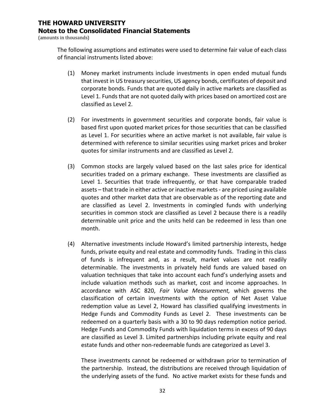(amounts in thousands)

 The following assumptions and estimates were used to determine fair value of each class of financial instruments listed above:

- (1) Money market instruments include investments in open ended mutual funds that invest in US treasury securities, US agency bonds, certificates of deposit and corporate bonds. Funds that are quoted daily in active markets are classified as Level 1. Funds that are not quoted daily with prices based on amortized cost are classified as Level 2.
- as Level 1. For securities where an active market is not available, fair value is (2) For investments in government securities and corporate bonds, fair value is based first upon quoted market prices for those securities that can be classified determined with reference to similar securities using market prices and broker quotes for similar instruments and are classified as Level 2.
- assets that trade in either active or inactive markets ‐ are priced using available securities in common stock are classified as Level 2 because there is a readily (3) Common stocks are largely valued based on the last sales price for identical securities traded on a primary exchange. These investments are classified as Level 1. Securities that trade infrequently, or that have comparable traded quotes and other market data that are observable as of the reporting date and are classified as Level 2. Investments in comingled funds with underlying determinable unit price and the units held can be redeemed in less than one month.
- classification of certain investments with the option of Net Asset Value (4) Alternative investments include Howard's limited partnership interests, hedge funds, private equity and real estate and commodity funds. Trading in this class of funds is infrequent and, as a result, market values are not readily determinable. The investments in privately held funds are valued based on valuation techniques that take into account each fund's underlying assets and include valuation methods such as market, cost and income approaches. In accordance with ASC 820, *Fair Value Measurement,* which governs the redemption value as Level 2, Howard has classified qualifying investments in Hedge Funds and Commodity Funds as Level 2. These investments can be redeemed on a quarterly basis with a 30 to 90 days redemption notice period. Hedge Funds and Commodity Funds with liquidation terms in excess of 90 days are classified as Level 3. Limited partnerships including private equity and real estate funds and other non‐redeemable funds are categorized as Level 3.

These investments cannot be redeemed or withdrawn prior to termination of the partnership. Instead, the distributions are received through liquidation of the underlying assets of the fund. No active market exists for these funds and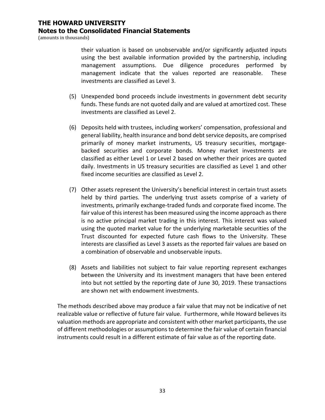(amounts in thousands)

their valuation is based on unobservable and/or significantly adjusted inputs using the best available information provided by the partnership, including management assumptions. Due diligence procedures performed by management indicate that the values reported are reasonable. These investments are classified as Level 3.

- (5) Unexpended bond proceeds include investments in government debt security funds. These funds are not quoted daily and are valued at amortized cost. These investments are classified as Level 2.
- (6) Deposits held with trustees, including workers' compensation, professional and general liability, health insurance and bond debt service deposits, are comprised primarily of money market instruments, US treasury securities, mortgagebacked securities and corporate bonds. Money market investments are classified as either Level 1 or Level 2 based on whether their prices are quoted daily. Investments in US treasury securities are classified as Level 1 and other fixed income securities are classified as Level 2.
- Trust discounted for expected future cash flows to the University. These (7) Other assets represent the University's beneficial interest in certain trust assets held by third parties. The underlying trust assets comprise of a variety of investments, primarily exchange‐traded funds and corporate fixed income. The fair value of this interest has been measured using the income approach as there is no active principal market trading in this interest. This interest was valued using the quoted market value for the underlying marketable securities of the interests are classified as Level 3 assets as the reported fair values are based on a combination of observable and unobservable inputs.
- (8) Assets and liabilities not subject to fair value reporting represent exchanges between the University and its investment managers that have been entered into but not settled by the reporting date of June 30, 2019. These transactions are shown net with endowment investments.

The methods described above may produce a fair value that may not be indicative of net realizable value or reflective of future fair value. Furthermore, while Howard believes its valuation methods are appropriate and consistent with other market participants, the use of different methodologies or assumptions to determine the fair value of certain financial instruments could result in a different estimate of fair value as of the reporting date.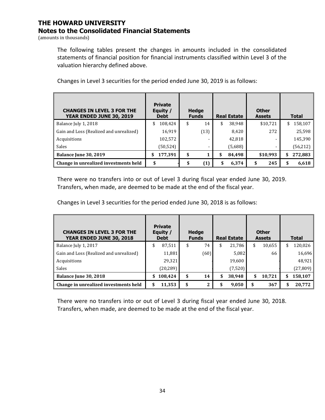(amounts in thousands)

The following tables present the changes in amounts included in the consolidated statements of financial position for financial instruments classified within Level 3 of the valuation hierarchy defined above.

| <b>CHANGES IN LEVEL 3 FOR THE</b><br>YEAR ENDED JUNE 30, 2019 | <b>Private</b><br>Equity /<br><b>Debt</b> | <b>Hedge</b><br><b>Funds</b> |                          | <b>Real Estate</b> |         | <b>Other</b><br><b>Assets</b> |          | <b>Total</b> |           |
|---------------------------------------------------------------|-------------------------------------------|------------------------------|--------------------------|--------------------|---------|-------------------------------|----------|--------------|-----------|
| Balance July 1, 2018                                          | 108,424<br>\$                             | \$                           | 14                       | \$                 | 38,948  |                               | \$10,721 | \$           | 158,107   |
| Gain and Loss (Realized and unrealized)                       | 16,919                                    |                              | (13)                     |                    | 8,420   |                               | 272      |              | 25,598    |
| Acquisitions                                                  | 102,572                                   |                              | $\overline{\phantom{a}}$ |                    | 42,818  |                               |          |              | 145,390   |
| <b>Sales</b>                                                  | (50, 524)                                 |                              | $\overline{\phantom{a}}$ |                    | (5,688) |                               |          |              | (56, 212) |
| Balance June 30, 2019                                         | 177,391<br>\$                             | \$                           | 1                        | \$                 | 84,498  |                               | \$10,993 | \$           | 272,883   |
| Change in unrealized investments held                         | \$                                        | \$                           | (1)                      | \$                 | 6,374   | \$                            | 245      |              | 6,618     |

Changes in Level 3 securities for the period ended June 30, 2019 is as follows:

There were no transfers into or out of Level 3 during fiscal year ended June 30, 2019. Transfers, when made, are deemed to be made at the end of the fiscal year.

Changes in Level 3 securities for the period ended June 30, 2018 is as follows:

| <b>CHANGES IN LEVEL 3 FOR THE</b><br>YEAR ENDED JUNE 30, 2018 | <b>Private</b><br>Equity /<br><b>Debt</b> | <b>Hedge</b><br><b>Funds</b> |      | <b>Real Estate</b> |         | <b>Other</b><br><b>Assets</b> |        | <b>Total</b> |           |
|---------------------------------------------------------------|-------------------------------------------|------------------------------|------|--------------------|---------|-------------------------------|--------|--------------|-----------|
| Balance July 1, 2017                                          | 87,511<br>\$                              | \$                           | 74   | \$                 | 21,786  | \$                            | 10,655 | \$           | 120,026   |
| Gain and Loss (Realized and unrealized)                       | 11,881                                    |                              | (60) |                    | 5,082   |                               | 66     |              | 16,696    |
| Acquisitions                                                  | 29,321                                    |                              |      |                    | 19,600  |                               |        |              | 48,921    |
| Sales                                                         | (20, 289)                                 |                              |      |                    | (7,520) |                               |        |              | (27, 809) |
| Balance June 30, 2018                                         | 108,424<br>\$                             | \$                           | 14   | \$                 | 38,948  | \$                            | 10,721 | \$           | 158,107   |
| Change in unrealized investments held                         | 11,353<br>\$                              | \$                           | 2    | \$                 | 9,050   | \$                            | 367    |              | 20,772    |

There were no transfers into or out of Level 3 during fiscal year ended June 30, 2018. Transfers, when made, are deemed to be made at the end of the fiscal year.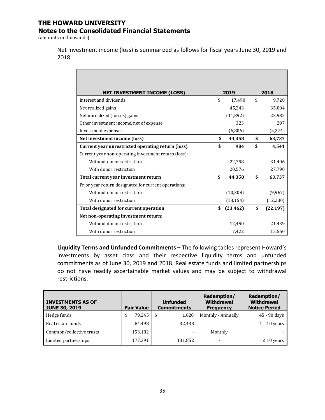(amounts in thousands)

 Net investment income (loss) is summarized as follows for fiscal years June 30, 2019 and 2018:

| <b>NET INVESTMENT INCOME (LOSS)</b>                  | 2019            | 2018            |
|------------------------------------------------------|-----------------|-----------------|
| Interest and dividends                               | \$<br>17,490    | \$<br>9,728     |
| Net realized gains                                   | 45,243          | 35,004          |
| Net unrealized (losses) gains                        | (11, 892)       | 23,982          |
| Other investment income, net of expense              | 323             | 297             |
| Investment expenses                                  | (6,806)         | (5, 274)        |
| Net investment income (loss)                         | \$<br>44,358    | \$<br>63,737    |
| Current year unrestricted operating return (loss)    | \$<br>984       | \$<br>4,541     |
| Current year non-operating investment return (loss): |                 |                 |
| Without donor restriction                            | 22,798          | 31,406          |
| With donor restriction                               | 20,576          | 27,790          |
| Total current year investment return                 | \$<br>44,358    | \$<br>63,737    |
| Prior year return designated for current operations: |                 |                 |
| Without donor restriction                            | (10, 308)       | (9,967)         |
| With donor restriction                               | (13, 154)       | (12, 230)       |
| Total designated for current operation               | \$<br>(23, 462) | \$<br>(22, 197) |
| Net non-operating investment return:                 |                 |                 |
| Without donor restriction                            | 12,490          | 21,439          |
| With donor restriction                               | 7,422           | 15,560          |

**Liquidity Terms and Unfunded Commitments –** The following tables represent Howard's investments by asset class and their respective liquidity terms and unfunded commitments as of June 30, 2019 and 2018. Real estate funds and limited partnerships do not have readily ascertainable market values and may be subject to withdrawal restrictions.

| <b>INVESTMENTS AS OF</b><br><b>JUNE 30, 2019</b> | <b>Fair Value</b> | <b>Unfunded</b><br><b>Commitments</b> | <b>Redemption/</b><br>Withdrawal<br><b>Frequency</b> | Redemption/<br>Withdrawal<br><b>Notice Period</b> |
|--------------------------------------------------|-------------------|---------------------------------------|------------------------------------------------------|---------------------------------------------------|
| Hedge funds                                      | 79.245<br>\$      | 1,020<br>\$                           | Monthly - Annually                                   | 45 - 90 days                                      |
| Real estate funds                                | 84,498            | 32,438                                |                                                      | $1 - 10$ years                                    |
| Common/collective trusts                         | 153,182           | -                                     | Monthly                                              |                                                   |
| Limited partnerships                             | 177,391           | 131,852                               |                                                      | $\leq 10$ years                                   |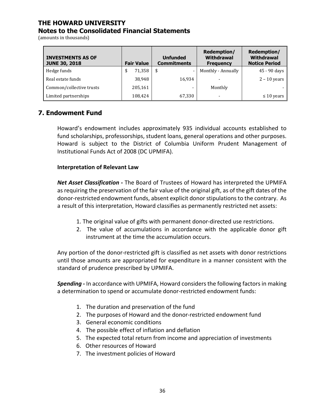(amounts in thousands)

| <b>INVESTMENTS AS OF</b><br><b>JUNE 30, 2018</b> | <b>Fair Value</b> | <b>Unfunded</b><br><b>Commitments</b> | Redemption/<br>Withdrawal<br><b>Frequency</b> | Redemption/<br>Withdrawal<br><b>Notice Period</b> |
|--------------------------------------------------|-------------------|---------------------------------------|-----------------------------------------------|---------------------------------------------------|
| Hedge funds                                      | 71,358<br>\$      | \$                                    | Monthly - Annually                            | 45 - 90 days                                      |
| Real estate funds                                | 38,948            | 16,934                                |                                               | $2 - 10$ years                                    |
| Common/collective trusts                         | 205,161           |                                       | Monthly                                       |                                                   |
| Limited partnerships                             | 108,424           | 67,330                                |                                               | $\leq 10$ years                                   |

# **7. Endowment Fund**

Howard's endowment includes approximately 935 individual accounts established to fund scholarships, professorships, student loans, general operations and other purposes. Howard is subject to the District of Columbia Uniform Prudent Management of Institutional Funds Act of 2008 (DC UPMIFA).

#### **Interpretation of Relevant Law**

*Net Asset Classification ‐* The Board of Trustees of Howard has interpreted the UPMIFA as requiring the preservation of the fair value of the original gift, as of the gift dates of the donor-restricted endowment funds, absent explicit donor stipulations to the contrary. As a result of this interpretation, Howard classifies as permanently restricted net assets:

- 1. The original value of gifts with permanent donor‐directed use restrictions.
- 2. The value of accumulations in accordance with the applicable donor gift instrument at the time the accumulation occurs.

Any portion of the donor-restricted gift is classified as net assets with donor restrictions until those amounts are appropriated for expenditure in a manner consistent with the standard of prudence prescribed by UPMIFA.

*Spending ‐* In accordance with UPMIFA, Howard considers the following factors in making a determination to spend or accumulate donor‐restricted endowment funds:

- 1. The duration and preservation of the fund
- 2. The purposes of Howard and the donor‐restricted endowment fund
- 3. General economic conditions
- 4. The possible effect of inflation and deflation
- 5. The expected total return from income and appreciation of investments
- 6. Other resources of Howard
- 7. The investment policies of Howard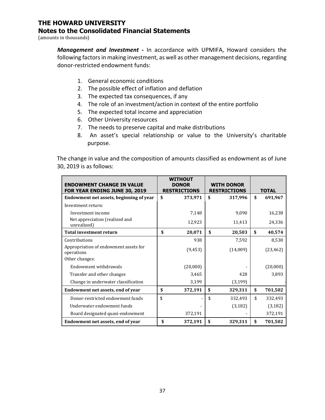(amounts in thousands)

 *Management and Investment* **‐** In accordance with UPMIFA, Howard considers the following factors in making investment, as well as other management decisions, regarding donor‐restricted endowment funds:

- 1. General economic conditions
- 2. The possible effect of inflation and deflation
- 3. The expected tax consequences, if any
- 4. The role of an investment/action in context of the entire portfolio
- 5. The expected total income and appreciation
- 6. Other University resources
- 7. The needs to preserve capital and make distributions
- 8. An asset's special relationship or value to the University's charitable purpose.

The change in value and the composition of amounts classified as endowment as of June 30, 2019 is as follows:

| <b>ENDOWMENT CHANGE IN VALUE</b><br>FOR YEAR ENDING JUNE 30, 2019 | WITHOUT<br><b>DONOR</b><br><b>RESTRICTIONS</b> |          | <b>WITH DONOR</b><br><b>RESTRICTIONS</b> |          | <b>TOTAL</b>  |
|-------------------------------------------------------------------|------------------------------------------------|----------|------------------------------------------|----------|---------------|
| Endowment net assets, beginning of year                           | \$                                             | 373,971  | \$                                       | 317,996  | \$<br>691,967 |
| Investment return:                                                |                                                |          |                                          |          |               |
| Investment income                                                 |                                                | 7,148    |                                          | 9,090    | 16,238        |
| Net appreciation (realized and<br>unrealized)                     |                                                | 12,923   |                                          | 11,413   | 24,336        |
| <b>Total investment return</b>                                    | \$                                             | 20,071   | \$                                       | 20,503   | \$<br>40,574  |
| Contributions                                                     |                                                | 938      |                                          | 7,592    | 8,530         |
| Appropriation of endowment assets for<br>operations               |                                                | (9, 453) |                                          | (14,009) | (23, 462)     |
| Other changes:                                                    |                                                |          |                                          |          |               |
| Endowment withdrawals                                             |                                                | (20,000) |                                          |          | (20,000)      |
| Transfer and other changes                                        |                                                | 3,465    |                                          | 428      | 3,893         |
| Change in underwater classification                               |                                                | 3,199    |                                          | (3, 199) |               |
| Endowment net assets, end of year                                 | \$                                             | 372,191  | \$                                       | 329,311  | \$<br>701,502 |
| Donor-restricted endowment funds                                  | \$                                             |          | \$                                       | 332,493  | \$<br>332,493 |
| Underwater endowment funds                                        |                                                |          |                                          | (3, 182) | (3, 182)      |
| Board designated quasi-endowment                                  |                                                | 372,191  |                                          |          | 372,191       |
| Endowment net assets, end of year                                 | \$                                             | 372,191  | \$                                       | 329,311  | \$<br>701,502 |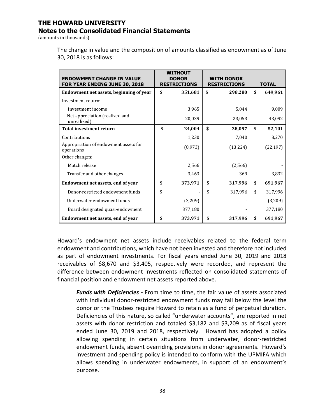(amounts in thousands)

The change in value and the composition of amounts classified as endowment as of June 30, 2018 is as follows:

| <b>ENDOWMENT CHANGE IN VALUE</b><br>FOR YEAR ENDING JUNE 30, 2018 | <b>WITHOUT</b><br><b>DONOR</b><br><b>RESTRICTIONS</b> |         | <b>WITH DONOR</b><br><b>RESTRICTIONS</b> |           | <b>TOTAL</b>  |
|-------------------------------------------------------------------|-------------------------------------------------------|---------|------------------------------------------|-----------|---------------|
| Endowment net assets, beginning of year                           | \$                                                    | 351,681 | \$                                       | 298,280   | \$<br>649,961 |
| Investment return:                                                |                                                       |         |                                          |           |               |
| Investment income                                                 |                                                       | 3,965   |                                          | 5,044     | 9,009         |
| Net appreciation (realized and<br>unrealized)                     |                                                       | 20,039  |                                          | 23,053    | 43,092        |
| <b>Total investment return</b>                                    | \$                                                    | 24,004  | \$                                       | 28,097    | \$<br>52,101  |
| Contributions                                                     |                                                       | 1,230   |                                          | 7,040     | 8,270         |
| Appropriation of endowment assets for<br>operations               |                                                       | (8,973) |                                          | (13, 224) | (22, 197)     |
| Other changes:                                                    |                                                       |         |                                          |           |               |
| Match release                                                     |                                                       | 2,566   |                                          | (2,566)   |               |
| Transfer and other changes                                        |                                                       | 3,463   |                                          | 369       | 3,832         |
| Endowment net assets, end of year                                 | \$                                                    | 373,971 | \$                                       | 317,996   | \$<br>691,967 |
| Donor-restricted endowment funds                                  | \$                                                    |         | \$                                       | 317,996   | \$<br>317,996 |
| Underwater endowment funds                                        |                                                       | (3,209) |                                          |           | (3,209)       |
| Board designated quasi-endowment                                  |                                                       | 377,180 |                                          |           | 377,180       |
| Endowment net assets, end of year                                 | \$                                                    | 373,971 | \$                                       | 317,996   | \$<br>691,967 |

 endowment and contributions, which have not been invested and therefore not included Howard's endowment net assets include receivables related to the federal term as part of endowment investments. For fiscal years ended June 30, 2019 and 2018 receivables of \$8,670 and \$3,405, respectively were recorded, and represent the difference between endowment investments reflected on consolidated statements of financial position and endowment net assets reported above.

 *Funds with Deficiencies ‐* From time to time, the fair value of assets associated Deficiencies of this nature, so called "underwater accounts", are reported in net with individual donor-restricted endowment funds may fall below the level the donor or the Trustees require Howard to retain as a fund of perpetual duration. assets with donor restriction and totaled \$3,182 and \$3,209 as of fiscal years ended June 30, 2019 and 2018, respectively. Howard has adopted a policy allowing spending in certain situations from underwater, donor-restricted endowment funds, absent overriding provisions in donor agreements. Howard's investment and spending policy is intended to conform with the UPMIFA which allows spending in underwater endowments, in support of an endowment's purpose.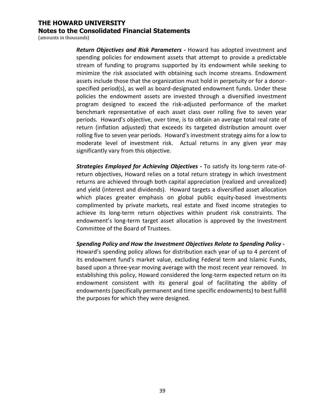(amounts in thousands)

 periods. Howard's objective, over time, is to obtain an average total real rate of moderate level of investment risk. Actual returns in any given year may *Return Objectives and Risk Parameters ‐* Howard has adopted investment and spending policies for endowment assets that attempt to provide a predictable stream of funding to programs supported by its endowment while seeking to minimize the risk associated with obtaining such income streams. Endowment assets include those that the organization must hold in perpetuity or for a donor‐ specified period(s), as well as board-designated endowment funds. Under these policies the endowment assets are invested through a diversified investment program designed to exceed the risk‐adjusted performance of the market benchmark representative of each asset class over rolling five to seven year return (inflation adjusted) that exceeds its targeted distribution amount over rolling five to seven year periods. Howard's investment strategy aims for a low to significantly vary from this objective.

 return objectives, Howard relies on a total return strategy in which investment complimented by private markets, real estate and fixed income strategies to **Strategies Employed for Achieving Objectives - To satisfy its long-term rate-of**returns are achieved through both capital appreciation (realized and unrealized) and yield (interest and dividends). Howard targets a diversified asset allocation which places greater emphasis on global public equity-based investments achieve its long-term return objectives within prudent risk constraints. The endowment's long-term target asset allocation is approved by the Investment Committee of the Board of Trustees.

 based upon a three‐year moving average with the most recent year removed. In establishing this policy, Howard considered the long‐term expected return on its *Spending Policy and How the Investment Objectives Relate to Spending Policy ‐*  Howard's spending policy allows for distribution each year of up to 4 percent of its endowment fund's market value, excluding Federal term and Islamic Funds, endowment consistent with its general goal of facilitating the ability of endowments (specifically permanent and time specific endowments) to best fulfill the purposes for which they were designed.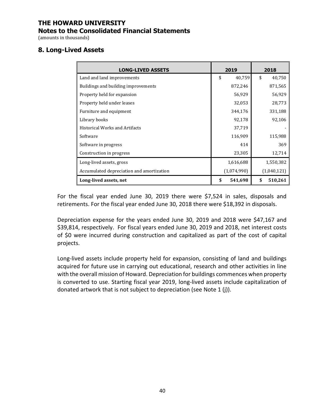(amounts in thousands)

# **8. Long-Lived Assets**

| <b>LONG-LIVED ASSETS</b>                  | 2019          | 2018          |
|-------------------------------------------|---------------|---------------|
| Land and land improvements                | \$<br>40,759  | \$<br>40,750  |
| Buildings and building improvements       | 872,246       | 871,565       |
| Property held for expansion               | 56,929        | 56,929        |
| Property held under leases                | 32,053        | 28,773        |
| Furniture and equipment                   | 344,176       | 331,188       |
| Library books                             | 92,178        | 92,106        |
| <b>Historical Works and Artifacts</b>     | 37,719        |               |
| Software                                  | 116,909       | 115,988       |
| Software in progress                      | 414           | 369           |
| Construction in progress                  | 23,305        | 12,714        |
| Long-lived assets, gross                  | 1,616,688     | 1,550,382     |
| Accumulated depreciation and amortization | (1,074,990)   | (1,040,121)   |
| Long-lived assets, net                    | \$<br>541,698 | \$<br>510,261 |

For the fiscal year ended June 30, 2019 there were \$7,524 in sales, disposals and retirements. For the fiscal year ended June 30, 2018 there were \$18,392 in disposals.

of \$0 were incurred during construction and capitalized as part of the cost of capital Depreciation expense for the years ended June 30, 2019 and 2018 were \$47,167 and \$39,814, respectively. For fiscal years ended June 30, 2019 and 2018, net interest costs projects.

 with the overall mission of Howard. Depreciation for buildings commences when property Long‐lived assets include property held for expansion, consisting of land and buildings acquired for future use in carrying out educational, research and other activities in line is converted to use. Starting fiscal year 2019, long-lived assets include capitalization of donated artwork that is not subject to depreciation (see Note 1 (j)).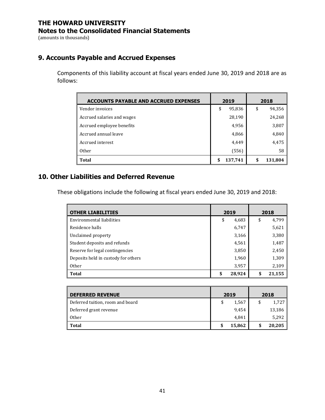(amounts in thousands)

# **9. Accounts Payable and Accrued Expenses**

 Components of this liability account at fiscal years ended June 30, 2019 and 2018 are as follows:

| <b>ACCOUNTS PAYABLE AND ACCRUED EXPENSES</b> | 2019          | 2018          |  |  |
|----------------------------------------------|---------------|---------------|--|--|
| Vendor invoices                              | 95,836<br>\$  | \$<br>94,356  |  |  |
| Accrued salaries and wages                   | 28,190        | 24,268        |  |  |
| Accrued employee benefits                    | 4,956         | 3,807         |  |  |
| Accrued annual leave                         | 4,866         | 4,840         |  |  |
| Accrued interest                             | 4,449         | 4,475         |  |  |
| <b>Other</b>                                 | (556)         | 58            |  |  |
| <b>Total</b>                                 | 137,741<br>\$ | 131,804<br>\$ |  |  |

# **10. Other Liabilities and Deferred Revenue**

These obligations include the following at fiscal years ended June 30, 2019 and 2018:

| <b>OTHER LIABILITIES</b>            |    | 2019   | 2018 |        |  |
|-------------------------------------|----|--------|------|--------|--|
| Environmental liabilities           | \$ | 4,683  | \$   | 4,799  |  |
| Residence halls                     |    | 6,747  |      | 5,621  |  |
| Unclaimed property                  |    | 3,166  |      | 3,380  |  |
| Student deposits and refunds        |    | 4,561  |      | 1,487  |  |
| Reserve for legal contingencies     |    | 3,850  |      | 2,450  |  |
| Deposits held in custody for others |    | 1,960  |      | 1,309  |  |
| Other                               |    | 3,957  |      | 2,109  |  |
| <b>Total</b>                        | S  | 28,924 |      | 21,155 |  |

| <b>DEFERRED REVENUE</b>          | 2019        | 2018 |        |  |
|----------------------------------|-------------|------|--------|--|
| Deferred tuition, room and board | \$<br>1,567 |      | 1,727  |  |
| Deferred grant revenue           | 9.454       |      | 13,186 |  |
| Other                            | 4.841       |      | 5,292  |  |
| Total                            | 15,862      |      | 20,205 |  |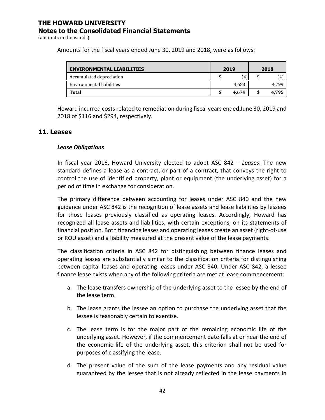(amounts in thousands)

Amounts for the fiscal years ended June 30, 2019 and 2018, were as follows:

| <b>ENVIRONMENTAL LIABILITIES</b> | 2019 |       | 2018 |       |
|----------------------------------|------|-------|------|-------|
| Accumulated depreciation         |      | (4)   |      | (4    |
| Environmental liabilities        |      | 4.683 |      | 4,799 |
| Total                            |      | 4.679 |      | 4,795 |

Howard incurred costs related to remediation during fiscal years ended June 30, 2019 and 2018 of \$116 and \$294, respectively.

# **11. Leases**

#### *Lease Obligations*

 standard defines a lease as a contract, or part of a contract, that conveys the right to In fiscal year 2016, Howard University elected to adopt ASC 842 – *Leases*. The new control the use of identified property, plant or equipment (the underlying asset) for a period of time in exchange for consideration.

 The primary difference between accounting for leases under ASC 840 and the new guidance under ASC 842 is the recognition of lease assets and lease liabilities by lessees for those leases previously classified as operating leases. Accordingly, Howard has recognized all lease assets and liabilities, with certain exceptions, on its statements of financial position. Both financing leases and operating leases create an asset (right‐of‐use or ROU asset) and a liability measured at the present value of the lease payments.

 The classification criteria in ASC 842 for distinguishing between finance leases and operating leases are substantially similar to the classification criteria for distinguishing between capital leases and operating leases under ASC 840. Under ASC 842, a lessee finance lease exists when any of the following criteria are met at lease commencement:

- a. The lease transfers ownership of the underlying asset to the lessee by the end of the lease term.
- b. The lease grants the lessee an option to purchase the underlying asset that the lessee is reasonably certain to exercise.
- the economic life of the underlying asset, this criterion shall not be used for c. The lease term is for the major part of the remaining economic life of the underlying asset. However, if the commencement date falls at or near the end of purposes of classifying the lease.
- d. The present value of the sum of the lease payments and any residual value guaranteed by the lessee that is not already reflected in the lease payments in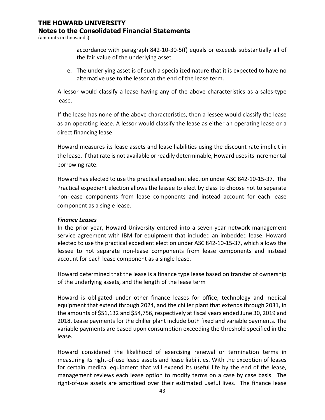(amounts in thousands)

accordance with paragraph 842‐10‐30‐5(f) equals or exceeds substantially all of the fair value of the underlying asset.

e. The underlying asset is of such a specialized nature that it is expected to have no alternative use to the lessor at the end of the lease term.

 A lessor would classify a lease having any of the above characteristics as a sales‐type lease.

 as an operating lease. A lessor would classify the lease as either an operating lease or a If the lease has none of the above characteristics, then a lessee would classify the lease direct financing lease.

 the lease. If that rate is not available or readily determinable, Howard uses its incremental Howard measures its lease assets and lease liabilities using the discount rate implicit in borrowing rate.

 Practical expedient election allows the lessee to elect by class to choose not to separate Howard has elected to use the practical expedient election under ASC 842‐10‐15‐37. The non‐lease components from lease components and instead account for each lease component as a single lease.

#### *Finance Leases*

 service agreement with IBM for equipment that included an imbedded lease. Howard In the prior year, Howard University entered into a seven-year network management elected to use the practical expedient election under ASC 842‐10‐15‐37, which allows the lessee to not separate non‐lease components from lease components and instead account for each lease component as a single lease.

 Howard determined that the lease is a finance type lease based on transfer of ownership of the underlying assets, and the length of the lease term

Howard is obligated under other finance leases for office, technology and medical equipment that extend through 2024, and the chiller plant that extends through 2031, in the amounts of \$51,132 and \$54,756, respectively at fiscal years ended June 30, 2019 and 2018. Lease payments for the chiller plant include both fixed and variable payments. The variable payments are based upon consumption exceeding the threshold specified in the lease.

 measuring its right‐of‐use lease assets and lease liabilities. With the exception of leases management reviews each lease option to modify terms on a case by case basis . The Howard considered the likelihood of exercising renewal or termination terms in for certain medical equipment that will expend its useful life by the end of the lease, right-of-use assets are amortized over their estimated useful lives. The finance lease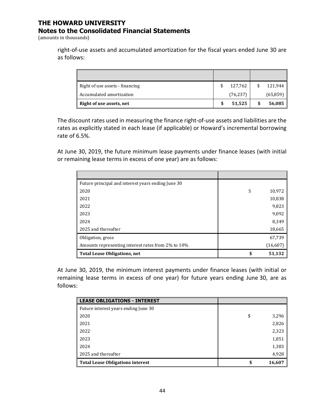(amounts in thousands)

right‐of‐use assets and accumulated amortization for the fiscal years ended June 30 are as follows:

| Right of use assets - financing | \$<br>127,762 | 121,944   |
|---------------------------------|---------------|-----------|
| Accumulated amortization        | (76, 237)     | (65, 859) |
| Right of use assets, net        | 51,525        | 56,085    |

The discount rates used in measuring the finance right‐of‐use assets and liabilities are the rates as explicitly stated in each lease (if applicable) or Howard's incremental borrowing rate of 6.5%.

At June 30, 2019, the future minimum lease payments under finance leases (with initial or remaining lease terms in excess of one year) are as follows:

| Future principal and interest years ending June 30 |   |          |
|----------------------------------------------------|---|----------|
| 2020                                               | S | 10,972   |
| 2021                                               |   | 10,838   |
| 2022                                               |   | 9,823    |
| 2023                                               |   | 9,092    |
| 2024                                               |   | 8,349    |
| 2025 and thereafter                                |   | 18,665   |
| Obligation, gross                                  |   | 67,739   |
| Amounts representing interest rates from 2% to 10% |   | (16,607) |
| <b>Total Lease Obligations, net</b>                |   | 51,132   |

At June 30, 2019, the minimum interest payments under finance leases (with initial or remaining lease terms in excess of one year) for future years ending June 30, are as follows:

| <b>LEASE OBLIGATIONS - INTEREST</b>     |             |
|-----------------------------------------|-------------|
| Future interest years ending June 30    |             |
| 2020                                    | \$<br>3,296 |
| 2021                                    | 2,826       |
| 2022                                    | 2,323       |
| 2023                                    | 1,851       |
| 2024                                    | 1,383       |
| 2025 and thereafter                     | 4,928       |
| <b>Total Lease Obligations interest</b> | 16,607      |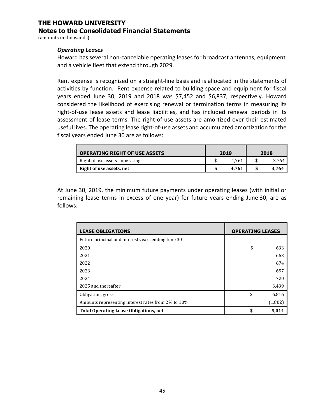(amounts in thousands)

#### *Operating Leases*

Howard has several non‐cancelable operating leases for broadcast antennas, equipment and a vehicle fleet that extend through 2029.

Rent expense is recognized on a straight‐line basis and is allocated in the statements of activities by function. Rent expense related to building space and equipment for fiscal years ended June 30, 2019 and 2018 was \$7,452 and \$6,837, respectively. Howard considered the likelihood of exercising renewal or termination terms in measuring its right-of-use lease assets and lease liabilities, and has included renewal periods in its assessment of lease terms. The right‐of‐use assets are amortized over their estimated useful lives. The operating lease right‐of‐use assets and accumulated amortization for the fiscal years ended June 30 are as follows:

| <b>OPERATING RIGHT OF USE ASSETS</b> | 2019  | 2018  |
|--------------------------------------|-------|-------|
| Right of use assets - operating      | 4.761 | 3.764 |
| Right of use assets, net             | 4.761 | 3.764 |

At June 30, 2019, the minimum future payments under operating leases (with initial or remaining lease terms in excess of one year) for future years ending June 30, are as follows:

| <b>LEASE OBLIGATIONS</b>                             | <b>OPERATING LEASES</b> |         |
|------------------------------------------------------|-------------------------|---------|
| Future principal and interest years ending June 30   |                         |         |
| 2020                                                 | \$                      | 633     |
| 2021                                                 |                         | 653     |
| 2022                                                 |                         | 674     |
| 2023                                                 |                         | 697     |
| 2024                                                 |                         | 720     |
| 2025 and thereafter                                  |                         | 3,439   |
| Obligation, gross                                    | \$                      | 6.816   |
| Amounts representing interest rates from 2\% to 10\% |                         | (1,802) |
| <b>Total Operating Lease Obligations, net</b>        | \$                      | 5,014   |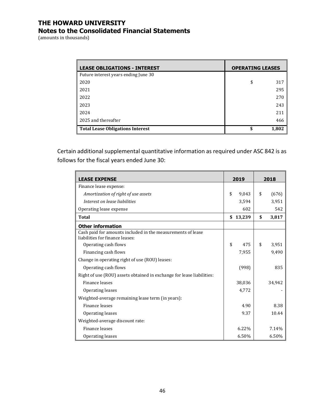(amounts in thousands)

| <b>LEASE OBLIGATIONS - INTEREST</b>     | <b>OPERATING LEASES</b> |       |
|-----------------------------------------|-------------------------|-------|
| Future interest years ending June 30    |                         |       |
| 2020                                    | \$                      | 317   |
| 2021                                    |                         | 295   |
| 2022                                    |                         | 270   |
| 2023                                    |                         | 243   |
| 2024                                    |                         | 211   |
| 2025 and thereafter                     |                         | 466   |
| <b>Total Lease Obligations Interest</b> | \$                      | 1,802 |

Certain additional supplemental quantitative information as required under ASC 842 is as follows for the fiscal years ended June 30:

| <b>LEASE EXPENSE</b>                                                                           | 2019        | 2018        |
|------------------------------------------------------------------------------------------------|-------------|-------------|
| Finance lease expense:                                                                         |             |             |
| Amortization of right of use assets                                                            | \$<br>9,043 | \$<br>(676) |
| Interest on lease liabilities                                                                  | 3,594       | 3,951       |
| Operating lease expense                                                                        | 602         | 542         |
| Total                                                                                          | \$13,239    | \$<br>3,817 |
| <b>Other information</b>                                                                       |             |             |
| Cash paid for amounts included in the measurements of lease<br>liabilities for finance leases: |             |             |
| Operating cash flows                                                                           | \$<br>475   | \$<br>3,951 |
| Financing cash flows                                                                           | 7,955       | 9,490       |
| Change in operating right of use (ROU) leases:                                                 |             |             |
| Operating cash flows                                                                           | (998)       | 835         |
| Right of use (ROU) assets obtained in exchange for lease liabilities:                          |             |             |
| Finance leases                                                                                 | 38,036      | 34,942      |
| Operating leases                                                                               | 4,772       |             |
| Weighted-average remaining lease term (in years):                                              |             |             |
| Finance leases                                                                                 | 4.90        | 8.38        |
| Operating leases                                                                               | 9.37        | 10.44       |
| Weighted-average discount rate:                                                                |             |             |
| Finance leases                                                                                 | 6.22%       | 7.14%       |
| Operating leases                                                                               | 6.50%       | 6.50%       |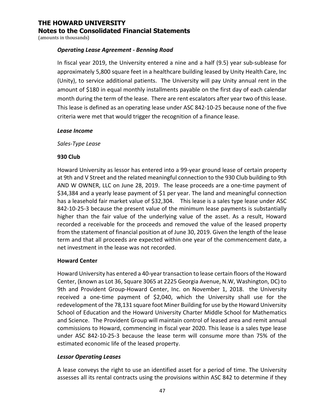(amounts in thousands)

#### *Operating Lease Agreement ‐ Benning Road*

 month during the term of the lease. There are rent escalators after year two of this lease. In fiscal year 2019, the University entered a nine and a half (9.5) year sub‐sublease for approximately 5,800 square feet in a healthcare building leased by Unity Health Care, Inc (Unity), to service additional patients. The University will pay Unity annual rent in the amount of \$180 in equal monthly installments payable on the first day of each calendar This lease is defined as an operating lease under ASC 842‐10‐25 because none of the five criteria were met that would trigger the recognition of a finance lease.

#### *Lease Income*

*Sales‐Type Lease* 

#### **930 Club**

 has a leasehold fair market value of \$32,304. This lease is a sales type lease under ASC from the statement of financial position at of June 30, 2019. Given the length of the lease Howard University as lessor has entered into a 99‐year ground lease of certain property at 9th and V Street and the related meaningful connection to the 930 Club building to 9th AND W OWNER, LLC on June 28, 2019. The lease proceeds are a one‐time payment of \$34,384 and a yearly lease payment of \$1 per year. The land and meaningful connection 842-10-25-3 because the present value of the minimum lease payments is substantially higher than the fair value of the underlying value of the asset. As a result, Howard recorded a receivable for the proceeds and removed the value of the leased property term and that all proceeds are expected within one year of the commencement date, a net investment in the lease was not recorded.

#### **Howard Center**

received a one-time payment of \$2,040, which the University shall use for the redevelopment of the 78,131 square foot Miner Building for use by the Howard University Howard University has entered a 40‐year transaction to lease certain floors of the Howard Center, (known as Lot 36, Square 3065 at 2225 Georgia Avenue, N.W, Washington, DC) to 9th and Provident Group-Howard Center, Inc. on November 1, 2018. the University School of Education and the Howard University Charter Middle School for Mathematics and Science. The Provident Group will maintain control of leased area and remit annual commissions to Howard, commencing in fiscal year 2020. This lease is a sales type lease under ASC 842‐10‐25‐3 because the lease term will consume more than 75% of the estimated economic life of the leased property.

#### *Lessor Operating Leases*

A lease conveys the right to use an identified asset for a period of time. The University assesses all its rental contracts using the provisions within ASC 842 to determine if they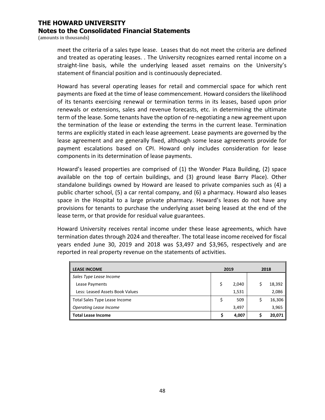(amounts in thousands)

 and treated as operating leases. . The University recognizes earned rental income on a meet the criteria of a sales type lease. Leases that do not meet the criteria are defined straight-line basis, while the underlying leased asset remains on the University's statement of financial position and is continuously depreciated.

Howard has several operating leases for retail and commercial space for which rent of its tenants exercising renewal or termination terms in its leases, based upon prior payments are fixed at the time of lease commencement. Howard considers the likelihood renewals or extensions, sales and revenue forecasts, etc. in determining the ultimate term of the lease. Some tenants have the option of re‐negotiating a new agreement upon the termination of the lease or extending the terms in the current lease. Termination terms are explicitly stated in each lease agreement. Lease payments are governed by the lease agreement and are generally fixed, although some lease agreements provide for payment escalations based on CPI. Howard only includes consideration for lease components in its determination of lease payments.

Howard's leased properties are comprised of (1) the Wonder Plaza Building, (2) space available on the top of certain buildings, and (3) ground lease Barry Place). Other standalone buildings owned by Howard are leased to private companies such as (4) a public charter school, (5) a car rental company, and (6) a pharmacy. Howard also leases space in the Hospital to a large private pharmacy. Howard's leases do not have any provisions for tenants to purchase the underlying asset being leased at the end of the lease term, or that provide for residual value guarantees.

 years ended June 30, 2019 and 2018 was \$3,497 and \$3,965, respectively and are Howard University receives rental income under these lease agreements, which have termination dates through 2024 and thereafter. The total lease income received for fiscal reported in real property revenue on the statements of activities.

| <b>LEASE INCOME</b>             |   | 2019  | 2018 |        |  |
|---------------------------------|---|-------|------|--------|--|
| Sales Type Lease Income         |   |       |      |        |  |
| Lease Payments                  |   | 2,040 |      | 18,392 |  |
| Less: Leased Assets Book Values |   | 1,531 |      | 2,086  |  |
| Total Sales Type Lease Income   |   | 509   |      | 16,306 |  |
| Operating Lease Income          |   | 3,497 |      | 3,965  |  |
| <b>Total Lease Income</b>       | Ś | 4,007 |      | 20,071 |  |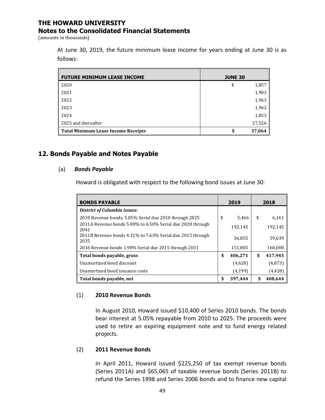(amounts in thousands)

 At June 30, 2019, the future minimum lease income for years ending at June 30 is as follows:

| <b>FUTURE MINIMUM LEASE INCOME</b>         | <b>JUNE 30</b> |
|--------------------------------------------|----------------|
| 2020                                       | 1,857<br>\$    |
| 2021                                       | 1,903          |
| 2022                                       | 1,963          |
| 2023                                       | 1,962          |
| 2024                                       | 1,853          |
| 2025 and thereafter                        | 27,526         |
| <b>Total Minimum Lease Income Receipts</b> | \$<br>37,064   |

# **12. Bonds Payable and Notes Payable**

#### (a)  *Bonds Payable*

Howard is obligated with respect to the following bond issues at June 30:

| <b>BONDS PAYABLE</b>                                               | 2019          | 2018          |
|--------------------------------------------------------------------|---------------|---------------|
| <b>District of Columbia issues:</b>                                |               |               |
| 2010 Revenue bonds, 5.05% Serial due 2010 through 2025             | \$<br>5,466   | \$<br>6,161   |
| 2011A Revenue bonds 5.00% to 6.50% Serial due 2020 through<br>2041 | 192,145       | 192,145       |
| 2011B Revenue bonds 4.31% to 7.63% Serial due 2015 through<br>2035 | 56,855        | 59,639        |
| 2016 Revenue bonds 1.98% Serial due 2015 through 2031              | 151,805       | 160,000       |
| Total bonds payable, gross                                         | \$<br>406,271 | \$<br>417,945 |
| Unamortized bond discount                                          | (4,628)       | (4,873)       |
| Unamortized bond issuance costs                                    | (4, 199)      | (4, 428)      |
| Total bonds payable, net                                           | \$<br>397.444 | \$<br>408.644 |

#### (1) **2010 Revenue Bonds**

In August 2010, Howard issued \$10,400 of Series 2010 bonds. The bonds bear interest at 5.05% repayable from 2010 to 2025. The proceeds were used to retire an expiring equipment note and to fund energy related projects.

#### (2) **2011 Revenue Bonds**

In April 2011, Howard issued \$225,250 of tax exempt revenue bonds (Series 2011A) and \$65,065 of taxable revenue bonds (Series 2011B) to refund the Series 1998 and Series 2006 bonds and to finance new capital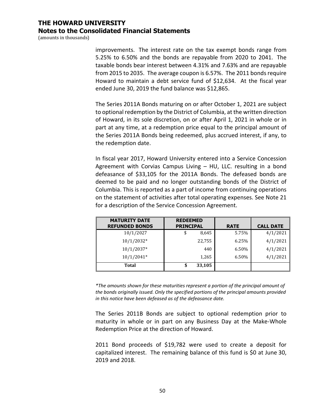(amounts in thousands)

 5.25% to 6.50% and the bonds are repayable from 2020 to 2041. The taxable bonds bear interest between 4.31% and 7.63% and are repayable improvements. The interest rate on the tax exempt bonds range from from 2015 to 2035. The average coupon is 6.57%. The 2011 bonds require Howard to maintain a debt service fund of \$12,634. At the fiscal year ended June 30, 2019 the fund balance was \$12,865.

 of Howard, in its sole discretion, on or after April 1, 2021 in whole or in The Series 2011A Bonds maturing on or after October 1, 2021 are subject to optional redemption by the District of Columbia, at the written direction part at any time, at a redemption price equal to the principal amount of the Series 2011A Bonds being redeemed, plus accrued interest, if any, to the redemption date.

In fiscal year 2017, Howard University entered into a Service Concession Agreement with Corvias Campus Living – HU, LLC. resulting in a bond defeasance of \$33,105 for the 2011A Bonds. The defeased bonds are deemed to be paid and no longer outstanding bonds of the District of Columbia. This is reported as a part of income from continuing operations on the statement of activities after total operating expenses. See Note 21 for a description of the Service Concession Agreement.

| <b>MATURITY DATE</b><br><b>REFUNDED BONDS</b> | <b>REDEEMED</b><br><b>PRINCIPAL</b> | <b>RATE</b> | <b>CALL DATE</b> |
|-----------------------------------------------|-------------------------------------|-------------|------------------|
| 10/1/2027                                     | 8,645<br>\$                         | 5.75%       | 4/1/2021         |
| $10/1/2032*$                                  | 22,755                              | 6.25%       | 4/1/2021         |
| $10/1/2037*$                                  | 440                                 | 6.50%       | 4/1/2021         |
| $10/1/2041*$                                  | 1,265                               | 6.50%       | 4/1/2021         |
| Total                                         | 33,105<br>\$                        |             |                  |

 *in this notice have been defeased as of the defeasance date. \*The amounts shown for these maturities represent a portion of the principal amount of the bonds originally issued. Only the specified portions of the principal amounts provided* 

The Series 2011B Bonds are subject to optional redemption prior to maturity in whole or in part on any Business Day at the Make-Whole Redemption Price at the direction of Howard.

2011 Bond proceeds of \$19,782 were used to create a deposit for capitalized interest. The remaining balance of this fund is \$0 at June 30, 2019 and 2018.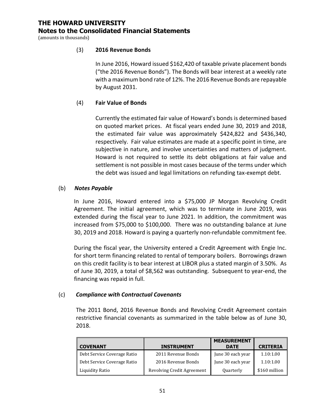(amounts in thousands)

#### (3) **2016 Revenue Bonds**

 with a maximum bond rate of 12%. The 2016 Revenue Bonds are repayable In June 2016, Howard issued \$162,420 of taxable private placement bonds ("the 2016 Revenue Bonds"). The Bonds will bear interest at a weekly rate by August 2031.

#### (4) **Fair Value of Bonds**

the estimated fair value was approximately \$424,822 and \$436,340, settlement is not possible in most cases because of the terms under which Currently the estimated fair value of Howard's bonds is determined based on quoted market prices. At fiscal years ended June 30, 2019 and 2018, respectively. Fair value estimates are made at a specific point in time, are subjective in nature, and involve uncertainties and matters of judgment. Howard is not required to settle its debt obligations at fair value and the debt was issued and legal limitations on refunding tax‐exempt debt.

#### (b)  *Notes Payable*

 In June 2016, Howard entered into a \$75,000 JP Morgan Revolving Credit Agreement. The initial agreement, which was to terminate in June 2019, was extended during the fiscal year to June 2021. In addition, the commitment was increased from \$75,000 to \$100,000. There was no outstanding balance at June 30, 2019 and 2018. Howard is paying a quarterly non‐refundable commitment fee.

 of June 30, 2019, a total of \$8,562 was outstanding. Subsequent to year‐end, the During the fiscal year, the University entered a Credit Agreement with Engie Inc. for short term financing related to rental of temporary boilers. Borrowings drawn on this credit facility is to bear interest at LIBOR plus a stated margin of 3.50%. As financing was repaid in full.

#### (c)  *Compliance with Contractual Covenants*

The 2011 Bond, 2016 Revenue Bonds and Revolving Credit Agreement contain restrictive financial covenants as summarized in the table below as of June 30, 2018.

|                             |                            | <b>MEASUREMENT</b> |                 |
|-----------------------------|----------------------------|--------------------|-----------------|
| <b>COVENANT</b>             | <b>INSTRUMENT</b>          | <b>DATE</b>        | <b>CRITERIA</b> |
| Debt Service Coverage Ratio | 2011 Revenue Bonds         | June 30 each year  | 1.10:1.00       |
| Debt Service Coverage Ratio | 2016 Revenue Bonds         | June 30 each year  | 1.10:1.00       |
| Liquidity Ratio             | Revolving Credit Agreement | Quarterly          | \$160 million   |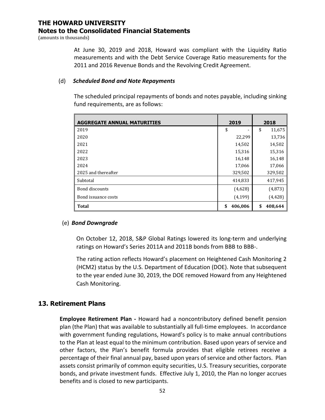(amounts in thousands)

 measurements and with the Debt Service Coverage Ratio measurements for the 2011 and 2016 Revenue Bonds and the Revolving Credit Agreement. At June 30, 2019 and 2018, Howard was compliant with the Liquidity Ratio

#### (d)  *Scheduled Bond and Note Repayments*

The scheduled principal repayments of bonds and notes payable, including sinking fund requirements, are as follows:

| <b>AGGREGATE ANNUAL MATURITIES</b> | 2019          | 2018          |
|------------------------------------|---------------|---------------|
| 2019                               | \$            | \$<br>11,675  |
| 2020                               | 22,299        | 13,736        |
| 2021                               | 14,502        | 14,502        |
| 2022                               | 15,316        | 15,316        |
| 2023                               | 16,148        | 16,148        |
| 2024                               | 17,066        | 17,066        |
| 2025 and thereafter                | 329,502       | 329,502       |
| Subtotal                           | 414,833       | 417,945       |
| Bond discounts                     | (4,628)       | (4, 873)      |
| Bond issuance costs                | (4, 199)      | (4, 428)      |
| <b>Total</b>                       | 406,006<br>\$ | 408,644<br>\$ |

#### (e) *Bond Downgrade*

On October 12, 2018, S&P Global Ratings lowered its long‐term and underlying ratings on Howard's Series 2011A and 2011B bonds from BBB to BBB‐.

The rating action reflects Howard's placement on Heightened Cash Monitoring 2 (HCM2) status by the U.S. Department of Education (DOE). Note that subsequent to the year ended June 30, 2019, the DOE removed Howard from any Heightened Cash Monitoring.

#### **13. Retirement Plans**

**Employee Retirement Plan - Howard had a noncontributory defined benefit pension** plan (the Plan) that was available to substantially all full‐time employees. In accordance with government funding regulations, Howard's policy is to make annual contributions to the Plan at least equal to the minimum contribution. Based upon years of service and other factors, the Plan's benefit formula provides that eligible retirees receive a percentage of their final annual pay, based upon years of service and other factors. Plan assets consist primarily of common equity securities, U.S. Treasury securities, corporate bonds, and private investment funds. Effective July 1, 2010, the Plan no longer accrues benefits and is closed to new participants.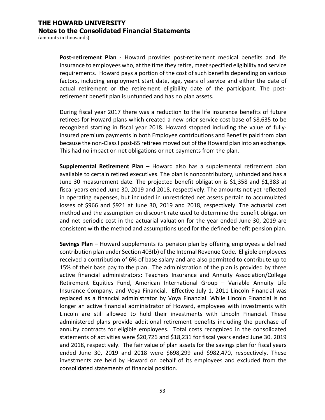(amounts in thousands)

 requirements. Howard pays a portion of the cost of such benefits depending on various factors, including employment start date, age, years of service and either the date of **Post-retirement Plan -** Howard provides post-retirement medical benefits and life insurance to employees who, at the time they retire, meet specified eligibility and service actual retirement or the retirement eligibility date of the participant. The postretirement benefit plan is unfunded and has no plan assets.

 because the non‐Class I post‐65 retirees moved out of the Howard plan into an exchange. During fiscal year 2017 there was a reduction to the life insurance benefits of future retirees for Howard plans which created a new prior service cost base of \$8,635 to be recognized starting in fiscal year 2018. Howard stopped including the value of fullyinsured premium payments in both Employee contributions and Benefits paid from plan This had no impact on net obligations or net payments from the plan.

 losses of \$966 and \$921 at June 30, 2019 and 2018, respectively. The actuarial cost **Supplemental Retirement Plan** – Howard also has a supplemental retirement plan available to certain retired executives. The plan is noncontributory, unfunded and has a June 30 measurement date. The projected benefit obligation is \$1,358 and \$1,383 at fiscal years ended June 30, 2019 and 2018, respectively. The amounts not yet reflected in operating expenses, but included in unrestricted net assets pertain to accumulated method and the assumption on discount rate used to determine the benefit obligation and net periodic cost in the actuarial valuation for the year ended June 30, 2019 are consistent with the method and assumptions used for the defined benefit pension plan.

 **Savings Plan** – Howard supplements its pension plan by offering employees a defined received a contribution of 6% of base salary and are also permitted to contribute up to 15% of their base pay to the plan. The administration of the plan is provided by three replaced as a financial administrator by Voya Financial. While Lincoln Financial is no contribution plan under Section 403(b) of the Internal Revenue Code. Eligible employees active financial administrators: Teachers Insurance and Annuity Association/College Retirement Equities Fund, American International Group – Variable Annuity Life Insurance Company, and Voya Financial. Effective July 1, 2011 Lincoln Financial was longer an active financial administrator of Howard, employees with investments with Lincoln are still allowed to hold their investments with Lincoln Financial. These administered plans provide additional retirement benefits including the purchase of annuity contracts for eligible employees. Total costs recognized in the consolidated statements of activities were \$20,726 and \$18,231 for fiscal years ended June 30, 2019 and 2018, respectively. The fair value of plan assets for the savings plan for fiscal years ended June 30, 2019 and 2018 were \$698,299 and \$982,470, respectively. These investments are held by Howard on behalf of its employees and excluded from the consolidated statements of financial position.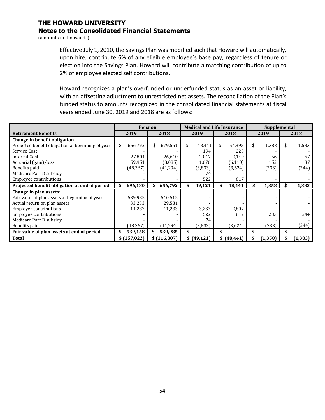(amounts in thousands)

Effective July 1, 2010, the Savings Plan was modified such that Howard will automatically, upon hire, contribute 6% of any eligible employee's base pay, regardless of tenure or election into the Savings Plan. Howard will contribute a matching contribution of up to 2% of employee elected self contributions.

Howard recognizes a plan's overfunded or underfunded status as an asset or liability, with an offsetting adjustment to unrestricted net assets. The reconciliation of the Plan's funded status to amounts recognized in the consolidated financial statements at fiscal years ended June 30, 2019 and 2018 are as follows:

|                                                   | <b>Pension</b> |               | <b>Medical and Life Insurance</b> |                 | Supplemental  |                |
|---------------------------------------------------|----------------|---------------|-----------------------------------|-----------------|---------------|----------------|
| <b>Retirement Benefits</b>                        | 2019           | 2018          | 2019                              | 2018            | 2019          | 2018           |
| Change in benefit obligation                      |                |               |                                   |                 |               |                |
| Projected benefit obligation at beginning of year | 656,792<br>S   | 679,561<br>\$ | \$<br>48.441                      | \$<br>54,995    | \$<br>1,383   | \$<br>1,533    |
| Service Cost                                      |                |               | 194                               | 223             |               |                |
| Interest Cost                                     | 27,804         | 26,610        | 2,047                             | 2,140           | 56            | 57             |
| Actuarial (gain)/loss                             | 59,951         | (8,085)       | 1,676                             | (6, 110)        | 152           | 37             |
| Benefits paid                                     | (48,367)       | (41,294)      | (3,833)                           | (3,624)         | (233)         | (244)          |
| Medicare Part D subsidy                           |                |               | 74                                |                 |               |                |
| <b>Employee contributions</b>                     |                |               | 522                               | 817             |               |                |
| Projected benefit obligation at end of period     | 696,180<br>\$  | \$<br>656,792 | 49,121<br>\$                      | 48,441          | 1,358<br>\$   | 1,383          |
| Change in plan assets:                            |                |               |                                   |                 |               |                |
| Fair value of plan assets at beginning of year    | 539,985        | 540,515       |                                   |                 |               |                |
| Actual return on plan assets                      | 33,253         | 29,531        |                                   |                 |               |                |
| <b>Employer contributions</b>                     | 14,287         | 11,233        | 3,237                             | 2,807           |               |                |
| <b>Employee contributions</b>                     |                |               | 522                               | 817             | 233           | 244            |
| Medicare Part D subsidy                           |                |               | 74                                |                 |               |                |
| Benefits paid                                     | (48,367)       | (41,294)      | (3,833)                           | (3,624)         | (233)         | (244)          |
| Fair value of plan assets at end of period        | 539,158<br>\$. | 539,985       | \$                                | \$              | \$            | \$             |
| <b>Total</b>                                      | \$(157,022)    | \$(116,807)   | (49, 121)<br>\$                   | (48, 441)<br>\$ | (1, 358)<br>S | (1, 383)<br>\$ |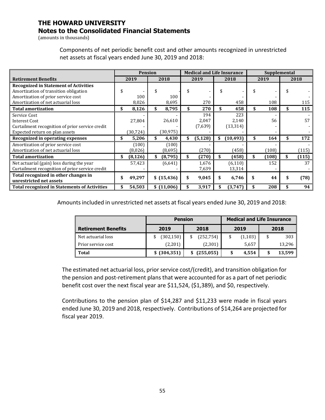(amounts in thousands)

Components of net periodic benefit cost and other amounts recognized in unrestricted net assets at fiscal years ended June 30, 2019 and 2018:

|                                                                 |     | <b>Pension</b> |     |             | <b>Medical and Life Insurance</b> |                 | Supplemental |    |       |
|-----------------------------------------------------------------|-----|----------------|-----|-------------|-----------------------------------|-----------------|--------------|----|-------|
| <b>Retirement Benefits</b>                                      |     | 2019           |     | 2018        | 2019                              | 2018            | 2019         |    | 2018  |
| <b>Recognized in Statement of Activities</b>                    |     |                |     |             |                                   |                 |              |    |       |
| Amortization of transition obligation                           |     |                |     |             |                                   |                 |              |    |       |
| Amortization of prior service cost                              |     | 100            |     | 100         |                                   |                 |              |    |       |
| Amortization of net actuarial loss                              |     | 8,026          |     | 8,695       | 270                               | 458             | 108          |    | 115   |
| <b>Total amortization</b>                                       | S   | 8,126          | \$  | 8,795       | 270                               | 458             | \$<br>108    |    | 115   |
| Service Cost                                                    |     |                |     |             | 194                               | 223             |              |    |       |
| Interest Cost                                                   |     | 27,804         |     | 26,610      | 2,047                             | 2,140           | 56           |    | 57    |
| Curtailment recognition of prior service credit                 |     |                |     |             | (7,639)                           | (13, 314)       |              |    |       |
| Expected return on plan assets                                  |     | (30,724)       |     | (30,975)    |                                   |                 |              |    |       |
| Recognized in operating expenses                                | \$  | 5,206          | \$. | 4,430       | \$<br>(5, 128)                    | \$<br>(10, 493) | \$<br>164    | \$ | 172   |
| Amortization of prior service cost                              |     | (100)          |     | (100)       |                                   |                 |              |    |       |
| Amortization of net actuarial loss                              |     | (8,026)        |     | (8,695)     | (270)                             | (458)           | (108)        |    | (115) |
| <b>Total amortization</b>                                       | \$  | (8, 126)       | \$. | (8, 795)    | \$<br>(270)                       | \$<br>(458)     | \$<br>(108)  | \$ | (115) |
| Net actuarial (gain) loss during the year                       |     | 57,423         |     | (6,641)     | 1,676                             | (6, 110)        | 152          |    | 37    |
| Curtailment recognition of prior service credit                 |     |                |     |             | 7,639                             | 13,314          |              |    |       |
| Total recognized in other changes in<br>unrestricted net assets |     | 49.297         |     | \$(15, 436) | \$<br>9,045                       | \$<br>6,746     | \$<br>44     |    | (78)  |
| <b>Total recognized in Statements of Activities</b>             | \$. | 54,503         |     | \$(11,006)  | 3,917                             | (3,747)         | \$<br>208    | S  | 94    |

Amounts included in unrestricted net assets at fiscal years ended June 30, 2019 and 2018:

|                            | <b>Pension</b> |            |          | <b>Medical and Life Insurance</b> |
|----------------------------|----------------|------------|----------|-----------------------------------|
| <b>Retirement Benefits</b> | 2019           | 2018       | 2019     | 2018                              |
| Net actuarial loss         | (302, 150)     | (252, 754) | (1, 103) | 303                               |
| Prior service cost         | (2,201)        | (2,301)    | 5,657    | 13,296                            |
| <b>Total</b>               | \$ (304, 351)  | (255, 055) | 4.554    | 13,599                            |

The estimated net actuarial loss, prior service cost/(credit), and transition obligation for the pension and post‐retirement plans that were accounted for as a part of net periodic benefit cost over the next fiscal year are \$11,524, (\$1,389), and \$0, respectively.

Contributions to the pension plan of \$14,287 and \$11,233 were made in fiscal years ended June 30, 2019 and 2018, respectively. Contributions of \$14,264 are projected for fiscal year 2019.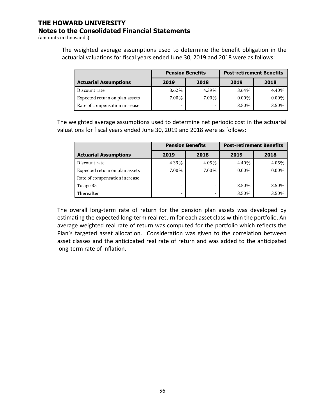(amounts in thousands)

The weighted average assumptions used to determine the benefit obligation in the actuarial valuations for fiscal years ended June 30, 2019 and 2018 were as follows:

|                                |       | <b>Pension Benefits</b> |          | <b>Post-retirement Benefits</b> |
|--------------------------------|-------|-------------------------|----------|---------------------------------|
| <b>Actuarial Assumptions</b>   | 2019  | 2018                    | 2019     | 2018                            |
| Discount rate                  | 3.62% | 4.39%                   | 3.64%    | 4.40%                           |
| Expected return on plan assets | 7.00% | 7.00%                   | $0.00\%$ | $0.00\%$                        |
| Rate of compensation increase  |       |                         | 3.50%    | 3.50%                           |

The weighted average assumptions used to determine net periodic cost in the actuarial valuations for fiscal years ended June 30, 2019 and 2018 were as follows:

|                                | <b>Pension Benefits</b> |       |          | <b>Post-retirement Benefits</b> |
|--------------------------------|-------------------------|-------|----------|---------------------------------|
| <b>Actuarial Assumptions</b>   | 2019                    | 2018  | 2019     | 2018                            |
| Discount rate                  | 4.39%                   | 4.05% | 4.40%    | 4.05%                           |
| Expected return on plan assets | 7.00%                   | 7.00% | $0.00\%$ | $0.00\%$                        |
| Rate of compensation increase  |                         |       |          |                                 |
| To age 35                      |                         |       | 3.50%    | 3.50%                           |
| Thereafter                     |                         |       | 3.50%    | 3.50%                           |

 average weighted real rate of return was computed for the portfolio which reflects the Plan's targeted asset allocation. Consideration was given to the correlation between The overall long-term rate of return for the pension plan assets was developed by estimating the expected long‐term real return for each asset class within the portfolio. An asset classes and the anticipated real rate of return and was added to the anticipated long‐term rate of inflation.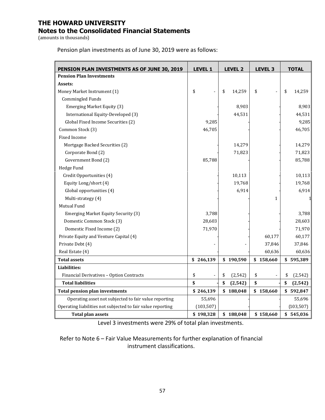(amounts in thousands)

Pension plan investments as of June 30, 2019 were as follows:

| PENSION PLAN INVESTMENTS AS OF JUNE 30, 2019                | <b>LEVEL 1</b> | <b>LEVEL 2</b> | <b>LEVEL 3</b> | <b>TOTAL</b>   |
|-------------------------------------------------------------|----------------|----------------|----------------|----------------|
| <b>Pension Plan Investments</b>                             |                |                |                |                |
| Assets:                                                     |                |                |                |                |
| Money Market Instrument (1)                                 | \$             | \$<br>14,259   | \$             | \$<br>14,259   |
| Commingled Funds                                            |                |                |                |                |
| <b>Emerging Market Equity (3)</b>                           |                | 8,903          |                | 8,903          |
| International Equity-Developed (3)                          |                | 44,531         |                | 44,531         |
| Global Fixed Income Securities (2)                          | 9,285          |                |                | 9,285          |
| Common Stock (3)                                            | 46,705         |                |                | 46,705         |
| <b>Fixed Income</b>                                         |                |                |                |                |
| Mortgage Backed Securities (2)                              |                | 14,279         |                | 14,279         |
| Corporate Bond (2)                                          |                | 71,823         |                | 71,823         |
| Government Bond (2)                                         | 85,788         |                |                | 85,788         |
| Hedge Fund                                                  |                |                |                |                |
| Credit Opportunities (4)                                    |                | 10,113         |                | 10,113         |
| Equity Long/short (4)                                       |                | 19,768         |                | 19,768         |
| Global opportunities (4)                                    |                | 6,914          |                | 6,914          |
| Multi-strategy (4)                                          |                |                | $\mathbf{1}$   |                |
| Mutual Fund                                                 |                |                |                |                |
| <b>Emerging Market Equity Security (3)</b>                  | 3,788          |                |                | 3,788          |
| Domestic Common Stock (3)                                   | 28,603         |                |                | 28,603         |
| Domestic Fixed Income (2)                                   | 71,970         |                |                | 71,970         |
| Private Equity and Venture Capital (4)                      |                |                | 60,177         | 60,177         |
| Private Debt (4)                                            |                |                | 37,846         | 37,846         |
| Real Estate (4)                                             |                |                | 60,636         | 60,636         |
| <b>Total assets</b>                                         | \$246,139      | \$190,590      | \$158,660      | \$595,389      |
| Liabilities:                                                |                |                |                |                |
| Financial Derivatives - Option Contracts                    | \$             | \$<br>(2,542)  | \$             | \$<br>(2, 542) |
| <b>Total liabilities</b>                                    | \$             | \$<br>(2, 542) | \$             | \$<br>(2, 542) |
| <b>Total pension plan investments</b>                       | \$246,139      | \$188,048      | \$158,660      | \$592,847      |
| Operating asset not subjected to fair value reporting       | 55,696         |                |                | 55,696         |
| Operating liabilities not subjected to fair value reporting | (103, 507)     |                |                | (103, 507)     |
| <b>Total plan assets</b>                                    | \$198,328      | \$188,048      | \$158,660      | \$545,036      |

Level 3 investments were 29% of total plan investments.

Refer to Note 6 – Fair Value Measurements for further explanation of financial instrument classifications.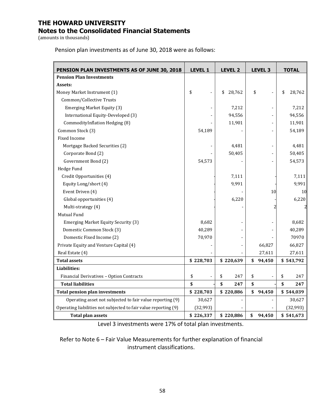(amounts in thousands)

Pension plan investments as of June 30, 2018 were as follows:

| PENSION PLAN INVESTMENTS AS OF JUNE 30, 2018                    | <b>LEVEL 1</b> | <b>LEVEL 2</b> | LEVEL <sub>3</sub> | <b>TOTAL</b> |
|-----------------------------------------------------------------|----------------|----------------|--------------------|--------------|
| <b>Pension Plan Investments</b>                                 |                |                |                    |              |
| Assets:                                                         |                |                |                    |              |
| Money Market Instrument (1)                                     | \$             | \$<br>28,762   | \$                 | \$<br>28,762 |
| Common/Collective Trusts                                        |                |                |                    |              |
| <b>Emerging Market Equity (3)</b>                               |                | 7,212          |                    | 7,212        |
| International Equity-Developed (3)                              |                | 94,556         |                    | 94,556       |
| CommodityInflation Hedging (8)                                  |                | 11,901         |                    | 11,901       |
| Common Stock (3)                                                | 54,189         |                |                    | 54,189       |
| <b>Fixed Income</b>                                             |                |                |                    |              |
| Mortgage Backed Securities (2)                                  |                | 4,481          |                    | 4,481        |
| Corporate Bond (2)                                              |                | 50,405         |                    | 50,405       |
| Government Bond (2)                                             | 54,573         |                |                    | 54,573       |
| Hedge Fund                                                      |                |                |                    |              |
| Credit Opportunities (4)                                        |                | 7,111          |                    | 7,111        |
| Equity Long/short (4)                                           |                | 9,991          |                    | 9,991        |
| Event Driven (4)                                                |                |                | 10                 | 10           |
| Global opportunities (4)                                        |                | 6,220          |                    | 6,220        |
| Multi-strategy (4)                                              |                |                |                    |              |
| Mutual Fund                                                     |                |                |                    |              |
| <b>Emerging Market Equity Security (3)</b>                      | 8,682          |                |                    | 8,682        |
| Domestic Common Stock (3)                                       | 40,289         |                |                    | 40,289       |
| Domestic Fixed Income (2)                                       | 70,970         |                |                    | 70970        |
| Private Equity and Venture Capital (4)                          |                |                | 66,827             | 66,827       |
| Real Estate (4)                                                 |                |                | 27,611             | 27,611       |
| <b>Total assets</b>                                             | \$228,703      | \$220,639      | \$<br>94,450       | \$543,792    |
| Liabilities:                                                    |                |                |                    |              |
| Financial Derivatives - Option Contracts                        | \$             | \$<br>247      | \$                 | \$<br>247    |
| <b>Total liabilities</b>                                        | \$             | \$<br>247      | \$                 | \$<br>247    |
| <b>Total pension plan investments</b>                           | \$228,703      | \$220,886      | \$94,450           | \$544,039    |
| Operating asset not subjected to fair value reporting (9)       | 30,627         |                |                    | 30,627       |
| Operating liabilities not subjected to fair value reporting (9) | (32,993)       |                |                    | (32,993)     |
| Total plan assets                                               | \$226,337      | \$220,886      | \$<br>94,450       | \$541,673    |

Level 3 investments were 17% of total plan investments.

Refer to Note 6 – Fair Value Measurements for further explanation of financial instrument classifications.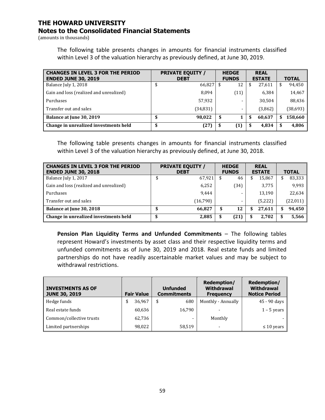(amounts in thousands)

The following table presents changes in amounts for financial instruments classified within Level 3 of the valuation hierarchy as previously defined, at June 30, 2019.

| <b>CHANGES IN LEVEL 3 FOR THE PERIOD</b><br><b>ENDED JUNE 30, 2019</b> |   | <b>PRIVATE EQUITY /</b><br><b>DEBT</b> |      | <b>HEDGE</b><br><b>FUNDS</b> |     | <b>REAL</b><br><b>ESTATE</b> | <b>TOTAL</b> |
|------------------------------------------------------------------------|---|----------------------------------------|------|------------------------------|-----|------------------------------|--------------|
| Balance July 1, 2018                                                   | Ф | 66,827                                 |      | 12                           |     | 27,611                       | 94,450       |
| Gain and loss (realized and unrealized)                                |   | 8.094                                  |      | (11)                         |     | 6,384                        | 14,467       |
| Purchases                                                              |   | 57,932                                 |      |                              |     | 30.504                       | 88,436       |
| Transfer out and sales                                                 |   | (34, 831)                              |      | ۰                            |     | (3,862)                      | (38, 693)    |
| Balance at June 30, 2019                                               | æ | 98,022                                 | - \$ | 1                            | S   | 60,637                       | 158,660      |
| Change in unrealized investments held                                  | ъ | (27)                                   | \$   | $\mathbf{1}$                 | - 5 | 4,834                        | 4,806        |

The following table presents changes in amounts for financial instruments classified within Level 3 of the valuation hierarchy as previously defined, at June 30, 2018.

| <b>CHANGES IN LEVEL 3 FOR THE PERIOD</b><br><b>ENDED JUNE 30, 2018</b> | <b>PRIVATE EQUITY /</b><br><b>DEBT</b> |    | <b>HEDGE</b><br><b>FUNDS</b> | <b>REAL</b><br><b>ESTATE</b> | <b>TOTAL</b> |
|------------------------------------------------------------------------|----------------------------------------|----|------------------------------|------------------------------|--------------|
| Balance July 1, 2017                                                   | \$<br>67,921                           | S  | 46                           | 15,867                       | 83,333       |
| Gain and loss (realized and unrealized)                                | 6,252                                  |    | (34)                         | 3,775                        | 9,993        |
| Purchases                                                              | 9.444                                  |    | ۰                            | 13,190                       | 22,634       |
| Transfer out and sales                                                 | (16,790)                               |    | -                            | (5,222)                      | (22, 011)    |
| Balance at June 30, 2018                                               | 66.827                                 | \$ | 12                           | 27.611                       | 94,450       |
| Change in unrealized investments held                                  | 2,885                                  | \$ | (21)                         | 2,702                        | 5,566        |

 unfunded commitments as of June 30, 2019 and 2018. Real estate funds and limited **Pension Plan Liquidity Terms and Unfunded Commitments** - The following tables represent Howard's investments by asset class and their respective liquidity terms and partnerships do not have readily ascertainable market values and may be subject to withdrawal restrictions.

| <b>INVESTMENTS AS OF</b><br><b>JUNE 30, 2019</b> | <b>Fair Value</b> | <b>Unfunded</b><br><b>Commitments</b> | <b>Redemption/</b><br><b>Withdrawal</b><br><b>Frequency</b> | <b>Redemption/</b><br><b>Withdrawal</b><br><b>Notice Period</b> |
|--------------------------------------------------|-------------------|---------------------------------------|-------------------------------------------------------------|-----------------------------------------------------------------|
| Hedge funds                                      | 36,967            | 680<br>\$                             | Monthly - Annually                                          | 45 - 90 days                                                    |
| Real estate funds                                | 60,636            | 16,790                                |                                                             | $1 - 5$ years                                                   |
| Common/collective trusts                         | 62,736            |                                       | Monthly                                                     |                                                                 |
| Limited partnerships                             | 98,022            | 58,519                                |                                                             | $\leq 10$ years                                                 |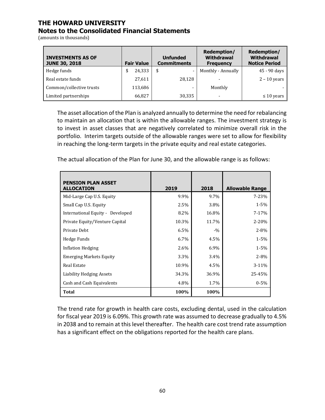(amounts in thousands)

| <b>INVESTMENTS AS OF</b><br><b>JUNE 30, 2018</b> | <b>Fair Value</b> | <b>Unfunded</b><br><b>Commitments</b> | Redemption/<br>Withdrawal<br><b>Frequency</b> | Redemption/<br>Withdrawal<br><b>Notice Period</b> |
|--------------------------------------------------|-------------------|---------------------------------------|-----------------------------------------------|---------------------------------------------------|
| Hedge funds                                      | 24,333            | -\$                                   | Monthly - Annually                            | 45 - 90 days                                      |
| Real estate funds                                | 27,611            | 28,128                                |                                               | $2 - 10$ years                                    |
| Common/collective trusts                         | 113,686           |                                       | Monthly                                       |                                                   |
| Limited partnerships                             | 66,827            | 30,335                                |                                               | $\leq 10$ years                                   |

 portfolio. Interim targets outside of the allowable ranges were set to allow for flexibility The asset allocation of the Plan is analyzed annually to determine the need for rebalancing to maintain an allocation that is within the allowable ranges. The investment strategy is to invest in asset classes that are negatively correlated to minimize overall risk in the in reaching the long‐term targets in the private equity and real estate categories.

The actual allocation of the Plan for June 30, and the allowable range is as follows:

| <b>PENSION PLAN ASSET</b>        |       |        |                        |
|----------------------------------|-------|--------|------------------------|
| <b>ALLOCATION</b>                | 2019  | 2018   | <b>Allowable Range</b> |
| Mid-Large Cap U.S. Equity        | 9.9%  | 9.7%   | 7-23%                  |
| Small Cap U.S. Equity            | 2.5%  | 3.8%   | $1 - 5%$               |
| International Equity - Developed | 8.2%  | 16.8%  | 7-17%                  |
| Private Equity/Venture Capital   | 10.3% | 11.7%  | $2 - 20%$              |
| Private Debt                     | 6.5%  | $-9/0$ | $2 - 8%$               |
| Hedge Funds                      | 6.7%  | 4.5%   | $1 - 5%$               |
| <b>Inflation Hedging</b>         | 2.6%  | 6.9%   | $1 - 5%$               |
| <b>Emerging Markets Equity</b>   | 3.3%  | 3.4%   | $2 - 8%$               |
| <b>Real Estate</b>               | 10.9% | 4.5%   | $3-11%$                |
| <b>Liability Hedging Assets</b>  | 34.3% | 36.9%  | 25-45%                 |
| Cash and Cash Equivalents        | 4.8%  | 1.7%   | $0 - 5%$               |
| Total                            | 100%  | 100%   |                        |

 for fiscal year 2019 is 6.09%. This growth rate was assumed to decrease gradually to 4.5% The trend rate for growth in health care costs, excluding dental, used in the calculation in 2038 and to remain at this level thereafter. The health care cost trend rate assumption has a significant effect on the obligations reported for the health care plans.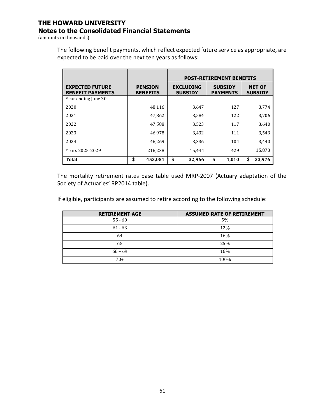(amounts in thousands)

The following benefit payments, which reflect expected future service as appropriate, are expected to be paid over the next ten years as follows:

|                                                   |                                   | <b>POST-RETIREMENT BENEFITS</b>    |                                   |                                 |  |  |  |  |
|---------------------------------------------------|-----------------------------------|------------------------------------|-----------------------------------|---------------------------------|--|--|--|--|
| <b>EXPECTED FUTURE</b><br><b>BENEFIT PAYMENTS</b> | <b>PENSION</b><br><b>BENEFITS</b> | <b>EXCLUDING</b><br><b>SUBSIDY</b> | <b>SUBSIDY</b><br><b>PAYMENTS</b> | <b>NET OF</b><br><b>SUBSIDY</b> |  |  |  |  |
| Year ending June 30:                              |                                   |                                    |                                   |                                 |  |  |  |  |
| 2020                                              | 48,116                            | 3,647                              | 127                               | 3,774                           |  |  |  |  |
| 2021                                              | 47,862                            | 3,584                              | 122                               | 3,706                           |  |  |  |  |
| 2022                                              | 47,588                            | 3,523                              | 117                               | 3,640                           |  |  |  |  |
| 2023                                              | 46,978                            | 3,432                              | 111                               | 3,543                           |  |  |  |  |
| 2024                                              | 46,269                            | 3,336                              | 104                               | 3,440                           |  |  |  |  |
| Years 2025-2029                                   | 216,238                           | 15.444                             | 429                               | 15.873                          |  |  |  |  |
| Total                                             | \$<br>453,051                     | \$<br>32,966                       | \$<br>1,010                       | \$<br>33,976                    |  |  |  |  |

The mortality retirement rates base table used MRP‐2007 (Actuary adaptation of the Society of Actuaries' RP2014 table).

If eligible, participants are assumed to retire according to the following schedule:

| <b>RETIREMENT AGE</b> | <b>ASSUMED RATE OF RETIREMENT</b> |
|-----------------------|-----------------------------------|
| $55 - 60$             | 5%                                |
| $61 - 63$             | 12%                               |
| 64                    | 16%                               |
| 65                    | 25%                               |
| $66 - 69$             | 16%                               |
| $70+$                 | 100%                              |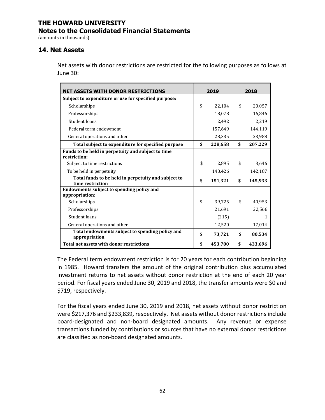# **THE HOWARD UNIVERSITY**

**Notes to the Consolidated Financial Statements** 

(amounts in thousands)

# **14. Net Assets**

Net assets with donor restrictions are restricted for the following purposes as follows at June 30:

| <b>NET ASSETS WITH DONOR RESTRICTIONS</b>                               | 2019 |         |               |  |  |  |  |  |  |  |  |  |  |  |  |  |  |  |  |  | 2018 |
|-------------------------------------------------------------------------|------|---------|---------------|--|--|--|--|--|--|--|--|--|--|--|--|--|--|--|--|--|------|
| Subject to expenditure or use for specified purpose:                    |      |         |               |  |  |  |  |  |  |  |  |  |  |  |  |  |  |  |  |  |      |
| Scholarships                                                            | \$   | 22,104  | \$<br>20,057  |  |  |  |  |  |  |  |  |  |  |  |  |  |  |  |  |  |      |
| Professorships                                                          |      | 18,078  | 16,846        |  |  |  |  |  |  |  |  |  |  |  |  |  |  |  |  |  |      |
| Student loans                                                           |      | 2,492   | 2,219         |  |  |  |  |  |  |  |  |  |  |  |  |  |  |  |  |  |      |
| Federal term endowment                                                  |      | 157,649 | 144,119       |  |  |  |  |  |  |  |  |  |  |  |  |  |  |  |  |  |      |
| General operations and other                                            |      | 28,335  | 23,988        |  |  |  |  |  |  |  |  |  |  |  |  |  |  |  |  |  |      |
| Total subject to expenditure for specified purpose                      | \$   | 228,658 | \$<br>207,229 |  |  |  |  |  |  |  |  |  |  |  |  |  |  |  |  |  |      |
| Funds to be held in perpetuity and subject to time<br>restriction:      |      |         |               |  |  |  |  |  |  |  |  |  |  |  |  |  |  |  |  |  |      |
| Subject to time restrictions                                            | \$   | 2,895   | \$<br>3,646   |  |  |  |  |  |  |  |  |  |  |  |  |  |  |  |  |  |      |
| To be held in perpetuity                                                |      | 148,426 | 142,187       |  |  |  |  |  |  |  |  |  |  |  |  |  |  |  |  |  |      |
| Total funds to be held in perpetuity and subject to<br>time restriction | \$   | 151,321 | \$<br>145,933 |  |  |  |  |  |  |  |  |  |  |  |  |  |  |  |  |  |      |
| Endowments subject to spending policy and                               |      |         |               |  |  |  |  |  |  |  |  |  |  |  |  |  |  |  |  |  |      |
| appropriation:                                                          |      |         |               |  |  |  |  |  |  |  |  |  |  |  |  |  |  |  |  |  |      |
| Scholarships                                                            | \$   | 39,725  | \$<br>40,953  |  |  |  |  |  |  |  |  |  |  |  |  |  |  |  |  |  |      |
| Professorships                                                          |      | 21,691  | 22,566        |  |  |  |  |  |  |  |  |  |  |  |  |  |  |  |  |  |      |
| Student loans                                                           |      | (215)   | 1             |  |  |  |  |  |  |  |  |  |  |  |  |  |  |  |  |  |      |
| General operations and other                                            |      | 12,520  | 17,014        |  |  |  |  |  |  |  |  |  |  |  |  |  |  |  |  |  |      |
| Total endowments subject to spending policy and<br>appropriation        | \$   | 73,721  | \$<br>80,534  |  |  |  |  |  |  |  |  |  |  |  |  |  |  |  |  |  |      |
| Total net assets with donor restrictions                                | \$   | 453,700 | \$<br>433,696 |  |  |  |  |  |  |  |  |  |  |  |  |  |  |  |  |  |      |

The Federal term endowment restriction is for 20 years for each contribution beginning in 1985. Howard transfers the amount of the original contribution plus accumulated investment returns to net assets without donor restriction at the end of each 20 year period. For fiscal years ended June 30, 2019 and 2018, the transfer amounts were \$0 and \$719, respectively.

 were \$217,376 and \$233,839, respectively. Net assets without donor restrictions include For the fiscal years ended June 30, 2019 and 2018, net assets without donor restriction board‐designated and non‐board designated amounts. Any revenue or expense transactions funded by contributions or sources that have no external donor restrictions are classified as non‐board designated amounts.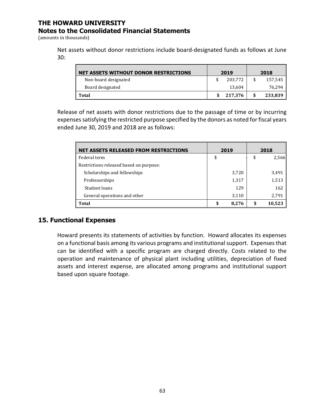(amounts in thousands)

Net assets without donor restrictions include board‐designated funds as follows at June 30:

| <b>NET ASSETS WITHOUT DONOR RESTRICTIONS</b> | 2019    | 2018 |         |  |
|----------------------------------------------|---------|------|---------|--|
| Non-board designated                         | 203,772 |      | 157,545 |  |
| Board designated                             | 13.604  |      | 76,294  |  |
| Total                                        | 217,376 |      | 233,839 |  |

 Release of net assets with donor restrictions due to the passage of time or by incurring expenses satisfying the restricted purpose specified by the donors as noted for fiscal years ended June 30, 2019 and 2018 are as follows:

| <b>NET ASSETS RELEASED FROM RESTRICTIONS</b> | 2019        | 2018         |
|----------------------------------------------|-------------|--------------|
| Federal term                                 | \$          | \$<br>2,566  |
| Restrictions released based on purpose:      |             |              |
| Scholarships and fellowships                 | 3,720       | 3,491        |
| Professorships                               | 1,317       | 1,513        |
| Student loans                                | 129         | 162          |
| General operations and other                 | 3,110       | 2,791        |
| Total                                        | \$<br>8,276 | \$<br>10,523 |

# **15. Functional Expenses**

 on a functional basis among its various programs and institutional support. Expenses that can be identified with a specific program are charged directly. Costs related to the Howard presents its statements of activities by function. Howard allocates its expenses operation and maintenance of physical plant including utilities, depreciation of fixed assets and interest expense, are allocated among programs and institutional support based upon square footage.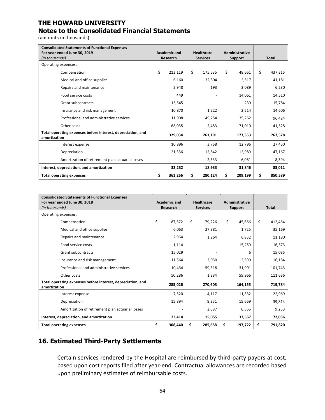(amounts in thousands)

| <b>Consolidated Statements of Functional Expenses</b><br>For year ended June 30, 2019<br>(in thousands) | <b>Academic and</b><br>Research | <b>Healthcare</b><br><b>Services</b> | Administrative<br><b>Support</b> | <b>Total</b>  |
|---------------------------------------------------------------------------------------------------------|---------------------------------|--------------------------------------|----------------------------------|---------------|
| Operating expenses:                                                                                     |                                 |                                      |                                  |               |
| Compensation                                                                                            | \$<br>213,119                   | \$<br>175,535                        | \$<br>48,661                     | \$<br>437,315 |
| Medical and office supplies                                                                             | 6,160                           | 32,504                               | 2,517                            | 41,181        |
| Repairs and maintenance                                                                                 | 2,948                           | 193                                  | 3,089                            | 6,230         |
| Food service costs                                                                                      | 449                             | ٠                                    | 14,061                           | 14,510        |
| <b>Grant subcontracts</b>                                                                               | 15,545                          |                                      | 239                              | 15,784        |
| Insurance and risk management                                                                           | 10,870                          | 1,222                                | 2,514                            | 14,606        |
| Professional and administrative services                                                                | 11,908                          | 49,254                               | 35,262                           | 96,424        |
| Other costs                                                                                             | 68,035                          | 2,483                                | 71,010                           | 141,528       |
| Total operating expenses before interest, depreciation, and<br>amortization                             | 329,034                         | 261,191                              | 177,353                          | 767,578       |
| Interest expense                                                                                        | 10,896                          | 3,758                                | 12,796                           | 27,450        |
| Depreciation                                                                                            | 21,336                          | 12,842                               | 12,989                           | 47,167        |
| Amortization of retirement plan actuarial losses                                                        |                                 | 2,333                                | 6,061                            | 8,394         |
| Interest, depreciation, and amortization                                                                | 32,232                          | 18,933                               | 31,846                           | 83,011        |
| <b>Total operating expenses</b>                                                                         | \$<br>361,266                   | \$<br>280,124                        | \$<br>209,199                    | \$<br>850,589 |

| <b>Consolidated Statements of Functional Expenses</b><br>For year ended June 30, 2018 | <b>Academic and</b> | <b>Healthcare</b> | <b>Administrative</b> |               |
|---------------------------------------------------------------------------------------|---------------------|-------------------|-----------------------|---------------|
| (in thousands)                                                                        | Research            | <b>Services</b>   | Support               | <b>Total</b>  |
| Operating expenses:                                                                   |                     |                   |                       |               |
| Compensation                                                                          | \$<br>187,572       | \$<br>179,226     | \$<br>45,666          | \$<br>412,464 |
| Medical and office supplies                                                           | 6,063               | 27,381            | 1,725                 | 35,169        |
| Repairs and maintenance                                                               | 2,964               | 1,264             | 6,952                 | 11,180        |
| Food service costs                                                                    | 1,114               |                   | 15,259                | 16,373        |
| <b>Grant subcontracts</b>                                                             | 15,029              |                   | 6                     | 15,035        |
| Insurance and risk management                                                         | 11,564              | 2,030             | 2,590                 | 16,184        |
| Professional and administrative services                                              | 10,434              | 59,318            | 31,991                | 101,743       |
| Other costs                                                                           | 50,286              | 1,384             | 59,966                | 111,636       |
| Total operating expenses before interest, depreciation, and<br>amortization           | 285,026             | 270,603           | 164,155               | 719,784       |
| Interest expense                                                                      | 7,520               | 4,117             | 11,332                | 22,969        |
| Depreciation                                                                          | 15,894              | 8,251             | 15,669                | 39,814        |
| Amortization of retirement plan actuarial losses                                      |                     | 2,687             | 6,566                 | 9,253         |
| Interest, depreciation, and amortization                                              | 23,414              | 15,055            | 33,567                | 72,036        |
| <b>Total operating expenses</b>                                                       | \$<br>308,440       | \$<br>285,658     | \$<br>197,722         | \$<br>791,820 |

# **16. Estimated Third-Party Settlements**

Certain services rendered by the Hospital are reimbursed by third‐party payors at cost, based upon cost reports filed after year‐end. Contractual allowances are recorded based upon preliminary estimates of reimbursable costs.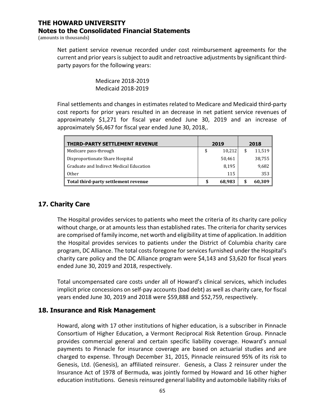(amounts in thousands)

Net patient service revenue recorded under cost reimbursement agreements for the current and prior years is subject to audit and retroactive adjustments by significant third‐ party payors for the following years:

> Medicare 2018‐2019 Medicaid 2018‐2019

 Final settlements and changes in estimates related to Medicare and Medicaid third‐party cost reports for prior years resulted in an decrease in net patient service revenues of approximately \$1,271 for fiscal year ended June 30, 2019 and an increase of approximately \$6,467 for fiscal year ended June 30, 2018,.

| <b>THIRD-PARTY SETTLEMENT REVENUE</b>   | 2019         | 2018   |
|-----------------------------------------|--------------|--------|
| Medicare pass-through                   | \$<br>10,212 | 11,519 |
| Disproportionate Share Hospital         | 50.461       | 38,755 |
| Graduate and Indirect Medical Education | 8.195        | 9,682  |
| <b>Other</b>                            | 115          | 353    |
| Total third-party settlement revenue    | 68,983       | 60,309 |

# **17. Charity Care**

 The Hospital provides services to patients who meet the criteria of its charity care policy without charge, or at amounts less than established rates. The criteria for charity services are comprised of family income, net worth and eligibility at time of application. In addition the Hospital provides services to patients under the District of Columbia charity care program, DC Alliance. The total costs foregone for services furnished under the Hospital's charity care policy and the DC Alliance program were \$4,143 and \$3,620 for fiscal years ended June 30, 2019 and 2018, respectively.

 implicit price concessions on self‐pay accounts (bad debt) as well as charity care, for fiscal Total uncompensated care costs under all of Howard's clinical services, which includes years ended June 30, 2019 and 2018 were \$59,888 and \$52,759, respectively.

#### **18. Insurance and Risk Management**

 charged to expense. Through December 31, 2015, Pinnacle reinsured 95% of its risk to Genesis, Ltd. (Genesis), an affiliated reinsurer. Genesis, a Class 2 reinsurer under the Howard, along with 17 other institutions of higher education, is a subscriber in Pinnacle Consortium of Higher Education, a Vermont Reciprocal Risk Retention Group. Pinnacle provides commercial general and certain specific liability coverage. Howard's annual payments to Pinnacle for insurance coverage are based on actuarial studies and are Insurance Act of 1978 of Bermuda, was jointly formed by Howard and 16 other higher education institutions. Genesis reinsured general liability and automobile liability risks of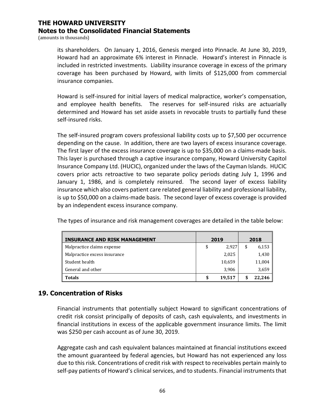(amounts in thousands)

 its shareholders. On January 1, 2016, Genesis merged into Pinnacle. At June 30, 2019, included in restricted investments. Liability insurance coverage in excess of the primary coverage has been purchased by Howard, with limits of \$125,000 from commercial Howard had an approximate 6% interest in Pinnacle. Howard's interest in Pinnacle is insurance companies.

Howard is self‐insured for initial layers of medical malpractice, worker's compensation, and employee health benefits. The reserves for self-insured risks are actuarially determined and Howard has set aside assets in revocable trusts to partially fund these self‐insured risks.

 depending on the cause. In addition, there are two layers of excess insurance coverage. The first layer of the excess insurance coverage is up to \$35,000 on a claims‐made basis. covers prior acts retroactive to two separate policy periods dating July 1, 1996 and January 1, 1986, and is completely reinsured. The second layer of excess liability is up to \$50,000 on a claims‐made basis. The second layer of excess coverage is provided The self‐insured program covers professional liability costs up to \$7,500 per occurrence This layer is purchased through a captive insurance company, Howard University Capitol Insurance Company Ltd. (HUCIC), organized under the laws of the Cayman Islands. HUCIC insurance which also covers patient care related general liability and professional liability, by an independent excess insurance company.

| The types of insurance and risk management coverages are detailed in the table below: |  |
|---------------------------------------------------------------------------------------|--|
|                                                                                       |  |

| <b>INSURANCE AND RISK MANAGEMENT</b> | 2019 |        | 2018 |        |
|--------------------------------------|------|--------|------|--------|
| Malpractice claims expense           |      | 2,927  |      | 6,153  |
| Malpractice excess insurance         |      | 2,025  |      | 1,430  |
| Student health                       |      | 10,659 |      | 11,004 |
| General and other                    |      | 3,906  |      | 3,659  |
| <b>Totals</b>                        |      | 19,517 |      | 22.246 |

# **19. Concentration of Risks**

Financial instruments that potentially subject Howard to significant concentrations of credit risk consist principally of deposits of cash, cash equivalents, and investments in financial institutions in excess of the applicable government insurance limits. The limit was \$250 per cash account as of June 30, 2019.

 due to this risk. Concentrations of credit risk with respect to receivables pertain mainly to Aggregate cash and cash equivalent balances maintained at financial institutions exceed the amount guaranteed by federal agencies, but Howard has not experienced any loss self‐pay patients of Howard's clinical services, and to students. Financial instruments that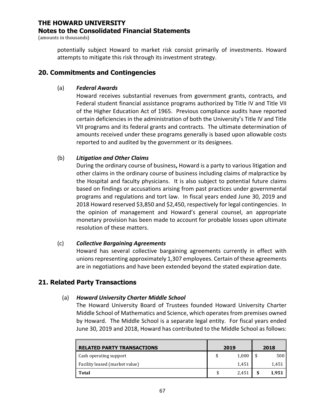(amounts in thousands)

potentially subject Howard to market risk consist primarily of investments. Howard attempts to mitigate this risk through its investment strategy.

# **20. Commitments and Contingencies**

#### (a) *Federal Awards*

 VII programs and its federal grants and contracts. The ultimate determination of Howard receives substantial revenues from government grants, contracts, and Federal student financial assistance programs authorized by Title IV and Title VII of the Higher Education Act of 1965. Previous compliance audits have reported certain deficiencies in the administration of both the University's Title IV and Title amounts received under these programs generally is based upon allowable costs reported to and audited by the government or its designees.

#### (b) *Litigation and Other Claims*

During the ordinary course of business**,** Howard is a party to various litigation and other claims in the ordinary course of business including claims of malpractice by the Hospital and faculty physicians. It is also subject to potential future claims based on findings or accusations arising from past practices under governmental programs and regulations and tort law. In fiscal years ended June 30, 2019 and 2018 Howard reserved \$3,850 and \$2,450, respectively for legal contingencies. In the opinion of management and Howard's general counsel, an appropriate monetary provision has been made to account for probable losses upon ultimate resolution of these matters.

#### (c) (c) *Collective Bargaining Agreements*

Howard has several collective bargaining agreements currently in effect with unions representing approximately 1,307 employees. Certain of these agreements are in negotiations and have been extended beyond the stated expiration date.

# **21. Related Party Transactions**

#### (a) *Howard University Charter Middle School*

 by Howard. The Middle School is a separate legal entity. For fiscal years ended The Howard University Board of Trustees founded Howard University Charter Middle School of Mathematics and Science, which operates from premises owned June 30, 2019 and 2018, Howard has contributed to the Middle School as follows:

| <b>RELATED PARTY TRANSACTIONS</b> | 2019  | 2018 |       |  |
|-----------------------------------|-------|------|-------|--|
| Cash operating support            | 1,000 |      | 500   |  |
| Facility leased (market value)    | 1.451 |      | 1,451 |  |
| Total                             | 2,451 |      | 1,951 |  |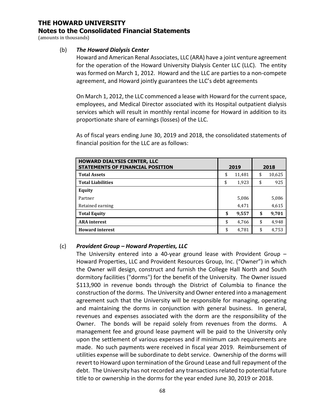(amounts in thousands)

#### (b) *The Howard Dialysis Center*

 Howard and American Renal Associates, LLC (ARA) have a joint venture agreement for the operation of the Howard University Dialysis Center LLC (LLC). The entity was formed on March 1, 2012. Howard and the LLC are parties to a non‐compete agreement, and Howard jointly guarantees the LLC's debt agreements

 services which will result in monthly rental income for Howard in addition to its On March 1, 2012, the LLC commenced a lease with Howard for the current space, employees, and Medical Director associated with its Hospital outpatient dialysis proportionate share of earnings (losses) of the LLC.

As of fiscal years ending June 30, 2019 and 2018, the consolidated statements of financial position for the LLC are as follows:

| <b>HOWARD DIALYSIS CENTER, LLC</b><br><b>STATEMENTS OF FINANCIAL POSITION</b> | 2019 |        | 2018 |        |
|-------------------------------------------------------------------------------|------|--------|------|--------|
| <b>Total Assets</b>                                                           | \$   | 11,481 | \$   | 10,625 |
| <b>Total Liabilities</b>                                                      | \$   | 1,923  | \$   | 925    |
| Equity                                                                        |      |        |      |        |
| Partner                                                                       |      | 5,086  |      | 5,086  |
| Retained earning                                                              |      | 4,471  |      | 4,615  |
| <b>Total Equity</b>                                                           | \$   | 9,557  | \$   | 9,701  |
| <b>ARA</b> interest                                                           | \$   | 4,766  | \$   | 4,948  |
| <b>Howard interest</b>                                                        | \$   | 4,781  | \$   | 4,753  |

#### (c) *Provident Group – Howard Properties, LLC*

 The University entered into a 40‐year ground lease with Provident Group – Howard Properties, LLC and Provident Resources Group, Inc. ("Owner") in which the Owner will design, construct and furnish the College Hall North and South dormitory facilities ("dorms") for the benefit of the University. The Owner issued \$113,900 in revenue bonds through the District of Columbia to finance the construction of the dorms. The University and Owner entered into a management agreement such that the University will be responsible for managing, operating and maintaining the dorms in conjunction with general business. In general, revenues and expenses associated with the dorm are the responsibility of the Owner. The bonds will be repaid solely from revenues from the dorms. A management fee and ground lease payment will be paid to the University only upon the settlement of various expenses and if minimum cash requirements are made. No such payments were received in fiscal year 2019. Reimbursement of utilities expense will be subordinate to debt service. Ownership of the dorms will revert to Howard upon termination of the Ground Lease and full repayment of the debt. The University has not recorded any transactions related to potential future title to or ownership in the dorms for the year ended June 30, 2019 or 2018.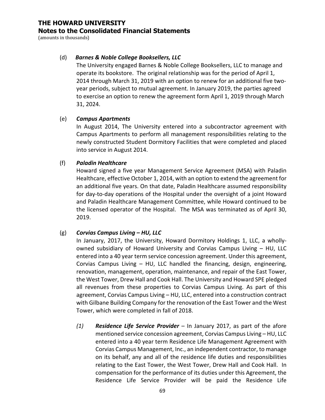(amounts in thousands)

#### (d)  *Barnes & Noble College Booksellers, LLC*

The University engaged Barnes & Noble College Booksellers, LLC to manage and operate its bookstore. The original relationship was for the period of April 1, 2014 through March 31, 2019 with an option to renew for an additional five two‐ year periods, subject to mutual agreement. In January 2019, the parties agreed to exercise an option to renew the agreement form April 1, 2019 through March 31, 2024.

#### (e) *Campus Apartments*

In August 2014, The University entered into a subcontractor agreement with Campus Apartments to perform all management responsibilities relating to the newly constructed Student Dormitory Facilities that were completed and placed into service in August 2014.

#### (f) *Paladin Healthcare*

Howard signed a five year Management Service Agreement (MSA) with Paladin Healthcare, effective October 1, 2014, with an option to extend the agreement for an additional five years. On that date, Paladin Healthcare assumed responsibility for day‐to‐day operations of the Hospital under the oversight of a joint Howard and Paladin Healthcare Management Committee, while Howard continued to be the licensed operator of the Hospital. The MSA was terminated as of April 30, 2019.

#### (g) *Corvias Campus Living – HU, LLC*

 all revenues from these properties to Corvias Campus Living. As part of this In January, 2017, the University, Howard Dormitory Holdings 1, LLC, a wholly‐ owned subsidiary of Howard University and Corvias Campus Living – HU, LLC entered into a 40 year term service concession agreement. Under this agreement, Corvias Campus Living – HU, LLC handled the financing, design, engineering, renovation, management, operation, maintenance, and repair of the East Tower, the West Tower, Drew Hall and Cook Hall. The University and Howard SPE pledged agreement, Corvias Campus Living – HU, LLC, entered into a construction contract with Gilbane Building Company for the renovation of the East Tower and the West Tower, which were completed in fall of 2018.

 *(1) Residence Life Service Provider* – In January 2017, as part of the afore on its behalf, any and all of the residence life duties and responsibilities mentioned service concession agreement, Corvias Campus Living – HU, LLC entered into a 40 year term Residence Life Management Agreement with Corvias Campus Management, Inc., an independent contractor, to manage relating to the East Tower, the West Tower, Drew Hall and Cook Hall. In compensation for the performance of its duties under this Agreement, the Residence Life Service Provider will be paid the Residence Life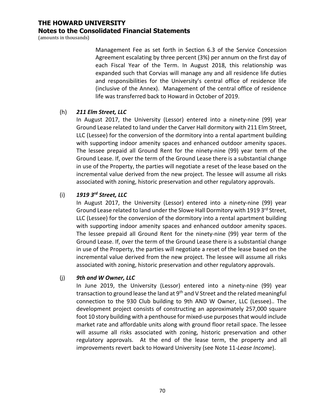(amounts in thousands)

 Management Fee as set forth in Section 6.3 of the Service Concession each Fiscal Year of the Term. In August 2018, this relationship was Agreement escalating by three percent (3%) per annum on the first day of expanded such that Corvias will manage any and all residence life duties and responsibilities for the University's central office of residence life (inclusive of the Annex). Management of the central office of residence life was transferred back to Howard in October of 2019.

#### (h) *211 Elm Street, LLC*

 LLC (Lessee) for the conversion of the dormitory into a rental apartment building In August 2017, the University (Lessor) entered into a ninety-nine (99) year Ground Lease related to land under the Carver Hall dormitory with 211 Elm Street, with supporting indoor amenity spaces and enhanced outdoor amenity spaces. The lessee prepaid all Ground Rent for the ninety-nine (99) year term of the Ground Lease. If, over the term of the Ground Lease there is a substantial change in use of the Property, the parties will negotiate a reset of the lease based on the incremental value derived from the new project. The lessee will assume all risks associated with zoning, historic preservation and other regulatory approvals.

#### (i) *1919 3rd Street, LLC*

Ground Lease related to land under the Slowe Hall Dormitory with 1919 3rd Street, LLC (Lessee) for the conversion of the dormitory into a rental apartment building In August 2017, the University (Lessor) entered into a ninety-nine (99) year with supporting indoor amenity spaces and enhanced outdoor amenity spaces. The lessee prepaid all Ground Rent for the ninety-nine (99) year term of the Ground Lease. If, over the term of the Ground Lease there is a substantial change in use of the Property, the parties will negotiate a reset of the lease based on the incremental value derived from the new project. The lessee will assume all risks associated with zoning, historic preservation and other regulatory approvals.

#### (j) *9th and W Owner, LLC*

 connection to the 930 Club building to 9th AND W Owner, LLC (Lessee).. The foot 10 story building with a penthouse for mixed‐use purposes that would include In June 2019, the University (Lessor) entered into a ninety-nine (99) year transaction to ground lease the land at 9<sup>th</sup> and V Street and the related meaningful development project consists of constructing an approximately 257,000 square market rate and affordable units along with ground floor retail space. The lessee will assume all risks associated with zoning, historic preservation and other regulatory approvals. At the end of the lease term, the property and all improvements revert back to Howard University (see Note 11‐*Lease Income*).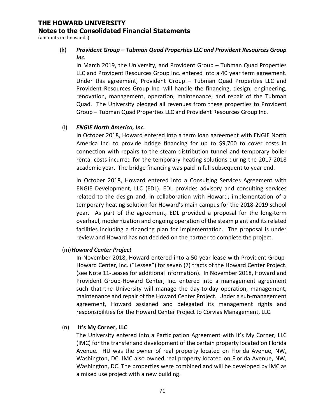# **THE HOWARD UNIVERSITY**

#### **Notes to the Consolidated Financial Statements**

(amounts in thousands)

### (k) *Provident Group – Tubman Quad Properties LLC and Provident Resources Group Inc.*

In March 2019, the University, and Provident Group – Tubman Quad Properties LLC and Provident Resources Group Inc. entered into a 40 year term agreement. Under this agreement, Provident Group – Tubman Quad Properties LLC and Provident Resources Group Inc. will handle the financing, design, engineering, renovation, management, operation, maintenance, and repair of the Tubman Quad. The University pledged all revenues from these properties to Provident Group – Tubman Quad Properties LLC and Provident Resources Group Inc.

#### (l)  *ENGIE North America, Inc.*

America Inc. to provide bridge financing for up to \$9,700 to cover costs in In October 2018, Howard entered into a term loan agreement with ENGIE North connection with repairs to the steam distribution tunnel and temporary boiler rental costs incurred for the temporary heating solutions during the 2017‐2018 academic year. The bridge financing was paid in full subsequent to year end.

 temporary heating solution for Howard's main campus for the 2018‐2019 school year. As part of the agreement, EDL provided a proposal for the long-term overhaul, modernization and ongoing operation of the steam plant and its related facilities including a financing plan for implementation. The proposal is under In October 2018, Howard entered into a Consulting Services Agreement with ENGIE Development, LLC (EDL). EDL provides advisory and consulting services related to the design and, in collaboration with Howard, implementation of a review and Howard has not decided on the partner to complete the project.

#### (m)*Howard Center Project*

 (see Note 11‐Leases for additional information). In November 2018, Howard and Provident Group‐Howard Center, Inc. entered into a management agreement In November 2018, Howard entered into a 50 year lease with Provident Group‐ Howard Center, Inc. ("Lessee") for seven (7) tracts of the Howard Center Project. such that the University will manage the day-to-day operation, management, maintenance and repair of the Howard Center Project. Under a sub-management agreement, Howard assigned and delegated its management rights and responsibilities for the Howard Center Project to Corvias Management, LLC.

#### (n)  **It's My Corner, LLC**

The University entered into a Participation Agreement with It's My Corner, LLC (IMC) for the transfer and development of the certain property located on Florida Avenue. HU was the owner of real property located on Florida Avenue, NW, Washington, DC. IMC also owned real property located on Florida Avenue, NW, Washington, DC. The properties were combined and will be developed by IMC as a mixed use project with a new building.